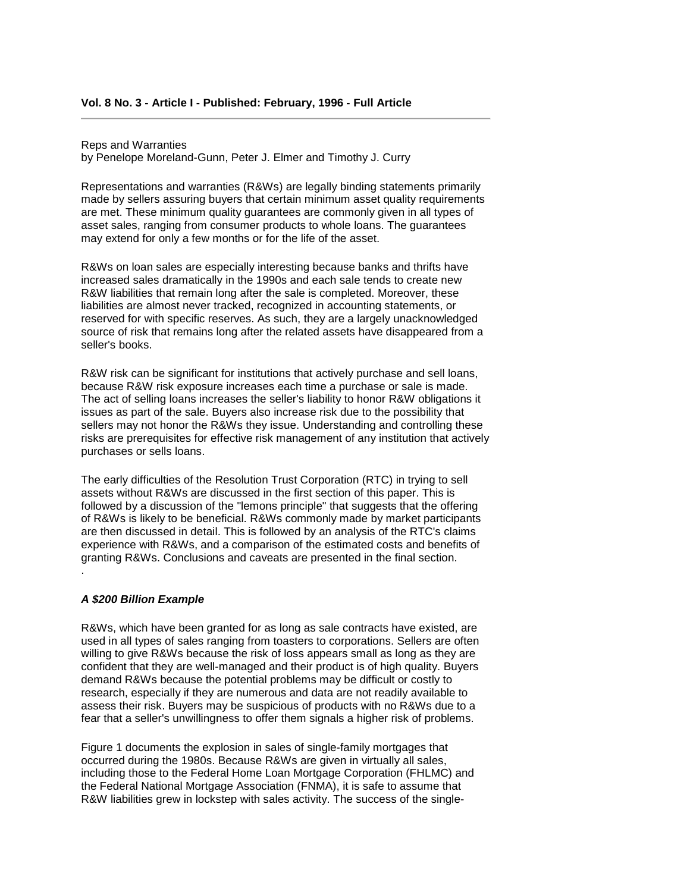Reps and Warranties

by Penelope Moreland-Gunn, Peter J. Elmer and Timothy J. Curry

 are met. These minimum quality guarantees are commonly given in all types of may extend for only a few months or for the life of the asset. Representations and warranties (R&Ws) are legally binding statements primarily made by sellers assuring buyers that certain minimum asset quality requirements asset sales, ranging from consumer products to whole loans. The guarantees

 R&W liabilities that remain long after the sale is completed. Moreover, these R&Ws on loan sales are especially interesting because banks and thrifts have increased sales dramatically in the 1990s and each sale tends to create new liabilities are almost never tracked, recognized in accounting statements, or reserved for with specific reserves. As such, they are a largely unacknowledged source of risk that remains long after the related assets have disappeared from a seller's books.

 issues as part of the sale. Buyers also increase risk due to the possibility that R&W risk can be significant for institutions that actively purchase and sell loans, because R&W risk exposure increases each time a purchase or sale is made. The act of selling loans increases the seller's liability to honor R&W obligations it sellers may not honor the R&Ws they issue. Understanding and controlling these risks are prerequisites for effective risk management of any institution that actively purchases or sells loans.

 of R&Ws is likely to be beneficial. R&Ws commonly made by market participants The early difficulties of the Resolution Trust Corporation (RTC) in trying to sell assets without R&Ws are discussed in the first section of this paper. This is followed by a discussion of the "lemons principle" that suggests that the offering are then discussed in detail. This is followed by an analysis of the RTC's claims experience with R&Ws, and a comparison of the estimated costs and benefits of granting R&Ws. Conclusions and caveats are presented in the final section. .

### *A \$200 Billion Example*

 confident that they are well-managed and their product is of high quality. Buyers demand R&Ws because the potential problems may be difficult or costly to R&Ws, which have been granted for as long as sale contracts have existed, are used in all types of sales ranging from toasters to corporations. Sellers are often willing to give R&Ws because the risk of loss appears small as long as they are research, especially if they are numerous and data are not readily available to assess their risk. Buyers may be suspicious of products with no R&Ws due to a fear that a seller's unwillingness to offer them signals a higher risk of problems.

 occurred during the 1980s. Because R&Ws are given in virtually all sales, the Federal National Mortgage Association (FNMA), it is safe to assume that Figure 1 documents the explosion in sales of single-family mortgages that including those to the Federal Home Loan Mortgage Corporation (FHLMC) and R&W liabilities grew in lockstep with sales activity. The success of the single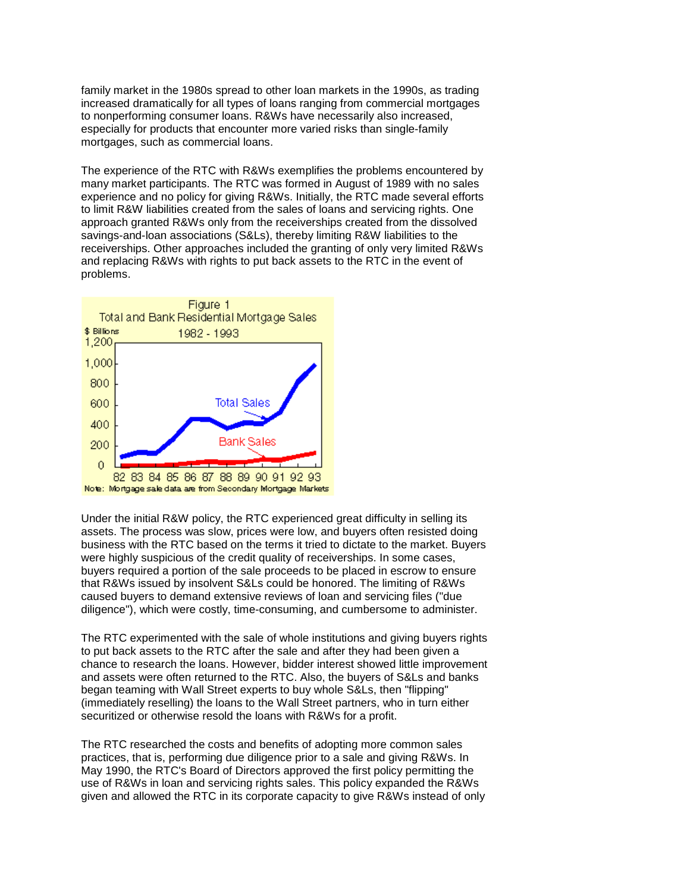mortgages, such as commercial loans. family market in the 1980s spread to other loan markets in the 1990s, as trading increased dramatically for all types of loans ranging from commercial mortgages to nonperforming consumer loans. R&Ws have necessarily also increased, especially for products that encounter more varied risks than single-family

 receiverships. Other approaches included the granting of only very limited R&Ws and replacing R&Ws with rights to put back assets to the RTC in the event of The experience of the RTC with R&Ws exemplifies the problems encountered by many market participants. The RTC was formed in August of 1989 with no sales experience and no policy for giving R&Ws. Initially, the RTC made several efforts to limit R&W liabilities created from the sales of loans and servicing rights. One approach granted R&Ws only from the receiverships created from the dissolved savings-and-loan associations (S&Ls), thereby limiting R&W liabilities to the problems.



 assets. The process was slow, prices were low, and buyers often resisted doing were highly suspicious of the credit quality of receiverships. In some cases, that R&Ws issued by insolvent S&Ls could be honored. The limiting of R&Ws Under the initial R&W policy, the RTC experienced great difficulty in selling its business with the RTC based on the terms it tried to dictate to the market. Buyers buyers required a portion of the sale proceeds to be placed in escrow to ensure caused buyers to demand extensive reviews of loan and servicing files ("due diligence"), which were costly, time-consuming, and cumbersome to administer.

 chance to research the loans. However, bidder interest showed little improvement (immediately reselling) the loans to the Wall Street partners, who in turn either The RTC experimented with the sale of whole institutions and giving buyers rights to put back assets to the RTC after the sale and after they had been given a and assets were often returned to the RTC. Also, the buyers of S&Ls and banks began teaming with Wall Street experts to buy whole S&Ls, then "flipping" securitized or otherwise resold the loans with R&Ws for a profit.

The RTC researched the costs and benefits of adopting more common sales practices, that is, performing due diligence prior to a sale and giving R&Ws. In May 1990, the RTC's Board of Directors approved the first policy permitting the use of R&Ws in loan and servicing rights sales. This policy expanded the R&Ws given and allowed the RTC in its corporate capacity to give R&Ws instead of only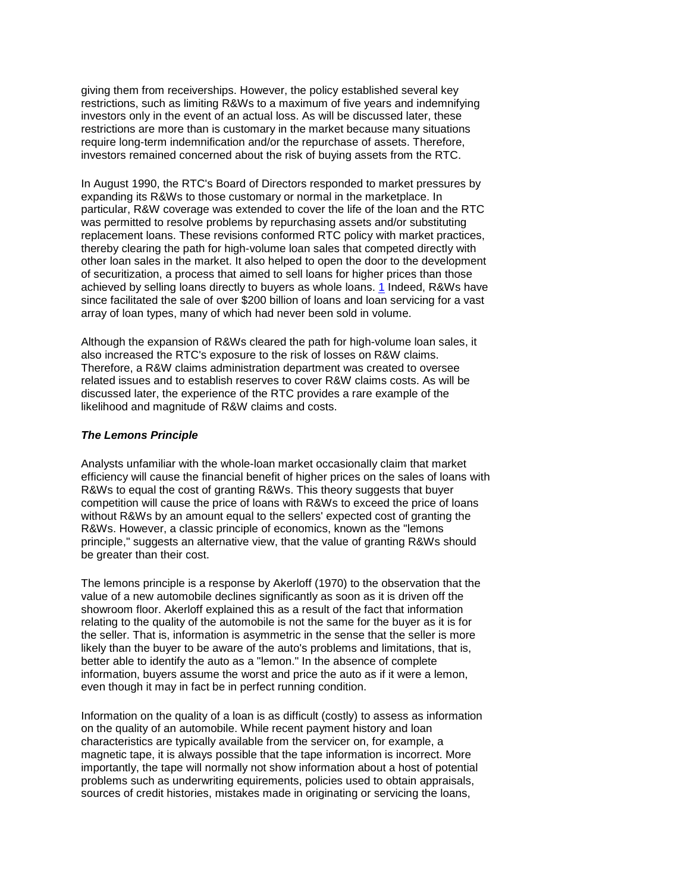investors only in the event of an actual loss. As will be discussed later, these giving them from receiverships. However, the policy established several key restrictions, such as limiting R&Ws to a maximum of five years and indemnifying restrictions are more than is customary in the market because many situations require long-term indemnification and/or the repurchase of assets. Therefore, investors remained concerned about the risk of buying assets from the RTC.

 particular, R&W coverage was extended to cover the life of the loan and the RTC of securitization, a process that aimed to sell loans for higher prices than those achieved by selling loans directly to buyers as whole loans. <u>1</u> Indeed, R&Ws have since facilitated the sale of over \$200 billion of loans and loan servicing for a vast array of loan types, many of which had never been sold in volume. In August 1990, the RTC's Board of Directors responded to market pressures by expanding its R&Ws to those customary or normal in the marketplace. In was permitted to resolve problems by repurchasing assets and/or substituting replacement loans. These revisions conformed RTC policy with market practices, thereby clearing the path for high-volume loan sales that competed directly with other loan sales in the market. It also helped to open the door to the development

Although the expansion of R&Ws cleared the path for high-volume loan sales, it also increased the RTC's exposure to the risk of losses on R&W claims. Therefore, a R&W claims administration department was created to oversee related issues and to establish reserves to cover R&W claims costs. As will be discussed later, the experience of the RTC provides a rare example of the likelihood and magnitude of R&W claims and costs.

### *The Lemons Principle*

 be greater than their cost. Analysts unfamiliar with the whole-loan market occasionally claim that market efficiency will cause the financial benefit of higher prices on the sales of loans with R&Ws to equal the cost of granting R&Ws. This theory suggests that buyer competition will cause the price of loans with R&Ws to exceed the price of loans without R&Ws by an amount equal to the sellers' expected cost of granting the R&Ws. However, a classic principle of economics, known as the "lemons principle," suggests an alternative view, that the value of granting R&Ws should

 value of a new automobile declines significantly as soon as it is driven off the relating to the quality of the automobile is not the same for the buyer as it is for likely than the buyer to be aware of the auto's problems and limitations, that is, information, buyers assume the worst and price the auto as if it were a lemon, The lemons principle is a response by Akerloff (1970) to the observation that the showroom floor. Akerloff explained this as a result of the fact that information the seller. That is, information is asymmetric in the sense that the seller is more better able to identify the auto as a "lemon." In the absence of complete even though it may in fact be in perfect running condition.

 on the quality of an automobile. While recent payment history and loan importantly, the tape will normally not show information about a host of potential sources of credit histories, mistakes made in originating or servicing the loans, Information on the quality of a loan is as difficult (costly) to assess as information characteristics are typically available from the servicer on, for example, a magnetic tape, it is always possible that the tape information is incorrect. More problems such as underwriting equirements, policies used to obtain appraisals,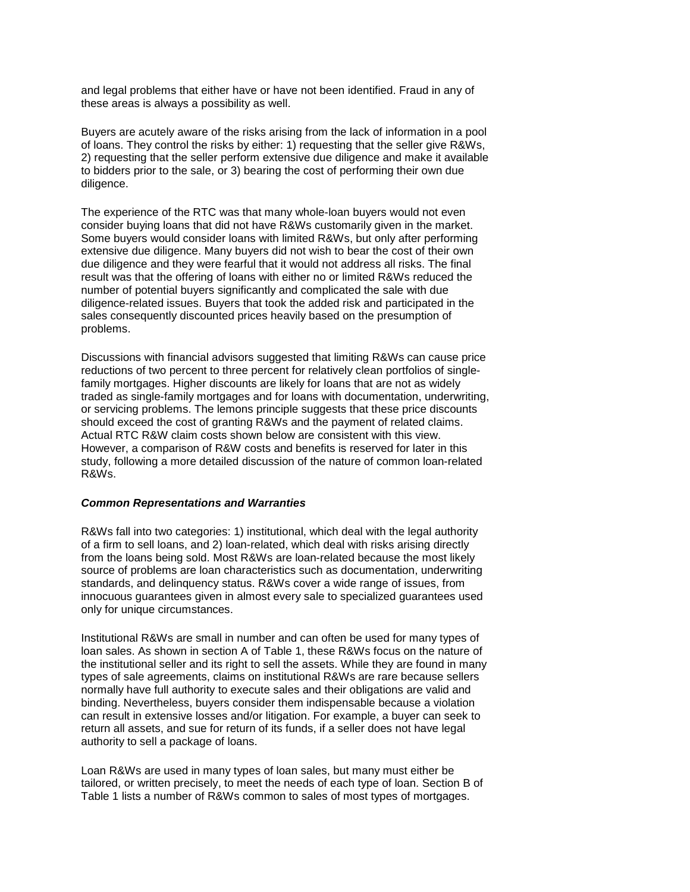these areas is always a possibility as well. and legal problems that either have or have not been identified. Fraud in any of

Buyers are acutely aware of the risks arising from the lack of information in a pool of loans. They control the risks by either: 1) requesting that the seller give R&Ws, 2) requesting that the seller perform extensive due diligence and make it available to bidders prior to the sale, or 3) bearing the cost of performing their own due diligence.

 Some buyers would consider loans with limited R&Ws, but only after performing due diligence and they were fearful that it would not address all risks. The final result was that the offering of loans with either no or limited R&Ws reduced the The experience of the RTC was that many whole-loan buyers would not even consider buying loans that did not have R&Ws customarily given in the market. extensive due diligence. Many buyers did not wish to bear the cost of their own number of potential buyers significantly and complicated the sale with due diligence-related issues. Buyers that took the added risk and participated in the sales consequently discounted prices heavily based on the presumption of problems.

 family mortgages. Higher discounts are likely for loans that are not as widely Actual RTC R&W claim costs shown below are consistent with this view. However, a comparison of R&W costs and benefits is reserved for later in this Discussions with financial advisors suggested that limiting R&Ws can cause price reductions of two percent to three percent for relatively clean portfolios of singletraded as single-family mortgages and for loans with documentation, underwriting, or servicing problems. The lemons principle suggests that these price discounts should exceed the cost of granting R&Ws and the payment of related claims. study, following a more detailed discussion of the nature of common loan-related R&Ws.

#### *Common Representations and Warranties*

 R&Ws fall into two categories: 1) institutional, which deal with the legal authority of a firm to sell loans, and 2) loan-related, which deal with risks arising directly from the loans being sold. Most R&Ws are loan-related because the most likely source of problems are loan characteristics such as documentation, underwriting standards, and delinquency status. R&Ws cover a wide range of issues, from innocuous guarantees given in almost every sale to specialized guarantees used only for unique circumstances.

 the institutional seller and its right to sell the assets. While they are found in many return all assets, and sue for return of its funds, if a seller does not have legal Institutional R&Ws are small in number and can often be used for many types of loan sales. As shown in section A of Table 1, these R&Ws focus on the nature of types of sale agreements, claims on institutional R&Ws are rare because sellers normally have full authority to execute sales and their obligations are valid and binding. Nevertheless, buyers consider them indispensable because a violation can result in extensive losses and/or litigation. For example, a buyer can seek to authority to sell a package of loans.

 tailored, or written precisely, to meet the needs of each type of loan. Section B of Table 1 lists a number of R&Ws common to sales of most types of mortgages. Loan R&Ws are used in many types of loan sales, but many must either be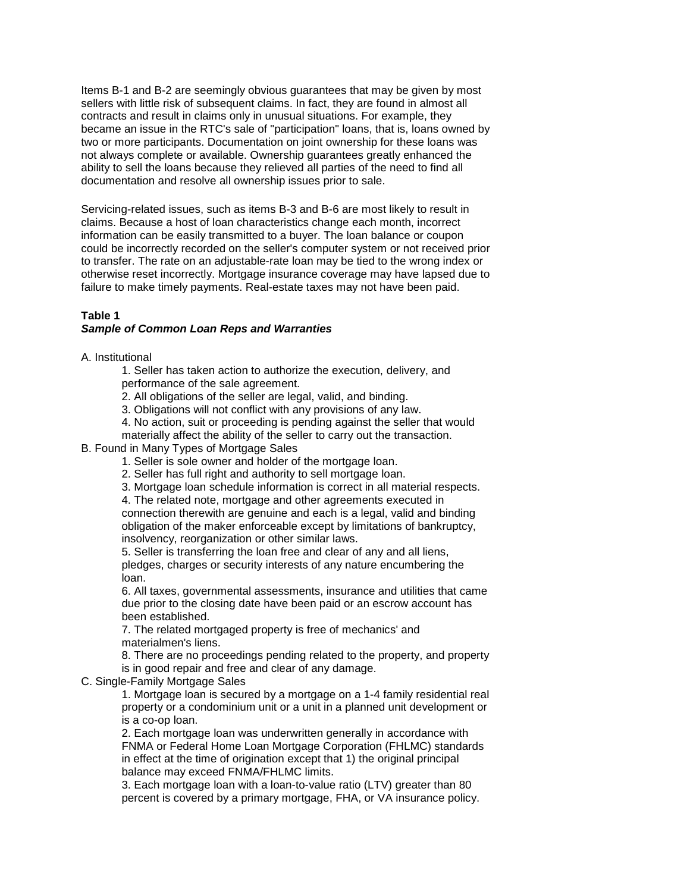contracts and result in claims only in unusual situations. For example, they two or more participants. Documentation on joint ownership for these loans was Items B-1 and B-2 are seemingly obvious guarantees that may be given by most sellers with little risk of subsequent claims. In fact, they are found in almost all became an issue in the RTC's sale of "participation" loans, that is, loans owned by not always complete or available. Ownership guarantees greatly enhanced the ability to sell the loans because they relieved all parties of the need to find all documentation and resolve all ownership issues prior to sale.

 to transfer. The rate on an adjustable-rate loan may be tied to the wrong index or otherwise reset incorrectly. Mortgage insurance coverage may have lapsed due to Servicing-related issues, such as items B-3 and B-6 are most likely to result in claims. Because a host of loan characteristics change each month, incorrect information can be easily transmitted to a buyer. The loan balance or coupon could be incorrectly recorded on the seller's computer system or not received prior failure to make timely payments. Real-estate taxes may not have been paid.

## **Table 1**

## *Sample of Common Loan Reps and Warranties*

A. Institutional

- 1. Seller has taken action to authorize the execution, delivery, and performance of the sale agreement.
- 2. All obligations of the seller are legal, valid, and binding.
- 3. Obligations will not conflict with any provisions of any law.
- 4. No action, suit or proceeding is pending against the seller that would

materially affect the ability of the seller to carry out the transaction.

- B. Found in Many Types of Mortgage Sales
	- 1. Seller is sole owner and holder of the mortgage loan.
	- 2. Seller has full right and authority to sell mortgage loan.
	- 3. Mortgage loan schedule information is correct in all material respects.

4. The related note, mortgage and other agreements executed in connection therewith are genuine and each is a legal, valid and binding obligation of the maker enforceable except by limitations of bankruptcy, insolvency, reorganization or other similar laws.

 5. Seller is transferring the loan free and clear of any and all liens, pledges, charges or security interests of any nature encumbering the loan.

 due prior to the closing date have been paid or an escrow account has 6. All taxes, governmental assessments, insurance and utilities that came been established.

7. The related mortgaged property is free of mechanics' and materialmen's liens.

8. There are no proceedings pending related to the property, and property is in good repair and free and clear of any damage.

C. Single-Family Mortgage Sales

1. Mortgage loan is secured by a mortgage on a 1-4 family residential real property or a condominium unit or a unit in a planned unit development or is a co-op loan.

 in effect at the time of origination except that 1) the original principal 2. Each mortgage loan was underwritten generally in accordance with FNMA or Federal Home Loan Mortgage Corporation (FHLMC) standards balance may exceed FNMA/FHLMC limits.

3. Each mortgage loan with a loan-to-value ratio (LTV) greater than 80 percent is covered by a primary mortgage, FHA, or VA insurance policy.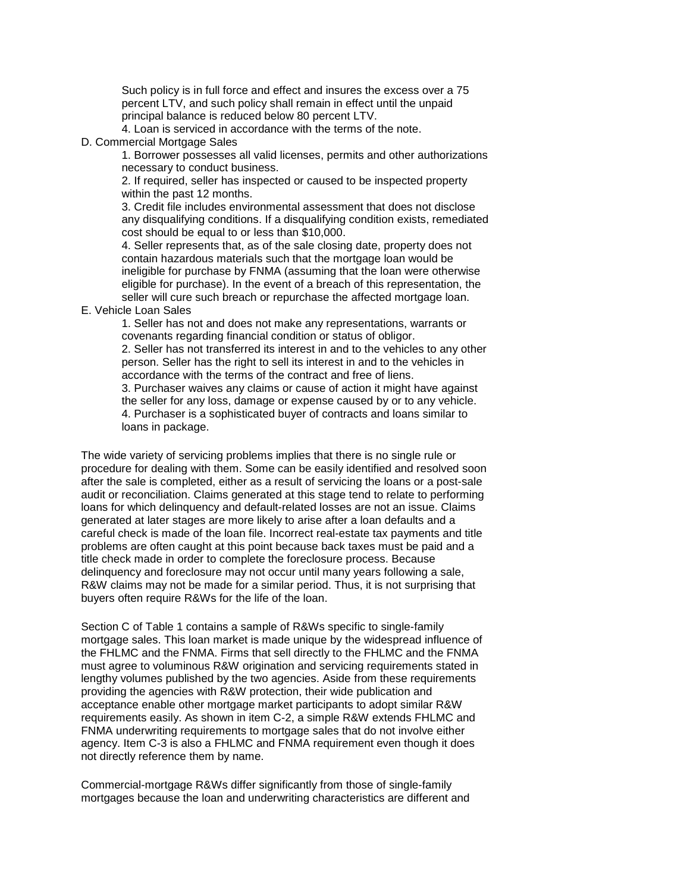principal balance is reduced below 80 percent LTV. Such policy is in full force and effect and insures the excess over a 75 percent LTV, and such policy shall remain in effect until the unpaid

4. Loan is serviced in accordance with the terms of the note.

D. Commercial Mortgage Sales

1. Borrower possesses all valid licenses, permits and other authorizations necessary to conduct business.

2. If required, seller has inspected or caused to be inspected property within the past 12 months.

3. Credit file includes environmental assessment that does not disclose any disqualifying conditions. If a disqualifying condition exists, remediated cost should be equal to or less than \$10,000.

 seller will cure such breach or repurchase the affected mortgage loan. 4. Seller represents that, as of the sale closing date, property does not contain hazardous materials such that the mortgage loan would be ineligible for purchase by FNMA (assuming that the loan were otherwise eligible for purchase). In the event of a breach of this representation, the

E. Vehicle Loan Sales

1. Seller has not and does not make any representations, warrants or covenants regarding financial condition or status of obligor.

 2. Seller has not transferred its interest in and to the vehicles to any other person. Seller has the right to sell its interest in and to the vehicles in accordance with the terms of the contract and free of liens.

 the seller for any loss, damage or expense caused by or to any vehicle. 3. Purchaser waives any claims or cause of action it might have against 4. Purchaser is a sophisticated buyer of contracts and loans similar to loans in package.

 loans for which delinquency and default-related losses are not an issue. Claims R&W claims may not be made for a similar period. Thus, it is not surprising that The wide variety of servicing problems implies that there is no single rule or procedure for dealing with them. Some can be easily identified and resolved soon after the sale is completed, either as a result of servicing the loans or a post-sale audit or reconciliation. Claims generated at this stage tend to relate to performing generated at later stages are more likely to arise after a loan defaults and a careful check is made of the loan file. Incorrect real-estate tax payments and title problems are often caught at this point because back taxes must be paid and a title check made in order to complete the foreclosure process. Because delinquency and foreclosure may not occur until many years following a sale, buyers often require R&Ws for the life of the loan.

 lengthy volumes published by the two agencies. Aside from these requirements agency. Item C-3 is also a FHLMC and FNMA requirement even though it does not directly reference them by name. Section C of Table 1 contains a sample of R&Ws specific to single-family mortgage sales. This loan market is made unique by the widespread influence of the FHLMC and the FNMA. Firms that sell directly to the FHLMC and the FNMA must agree to voluminous R&W origination and servicing requirements stated in providing the agencies with R&W protection, their wide publication and acceptance enable other mortgage market participants to adopt similar R&W requirements easily. As shown in item C-2, a simple R&W extends FHLMC and FNMA underwriting requirements to mortgage sales that do not involve either

Commercial-mortgage R&Ws differ significantly from those of single-family mortgages because the loan and underwriting characteristics are different and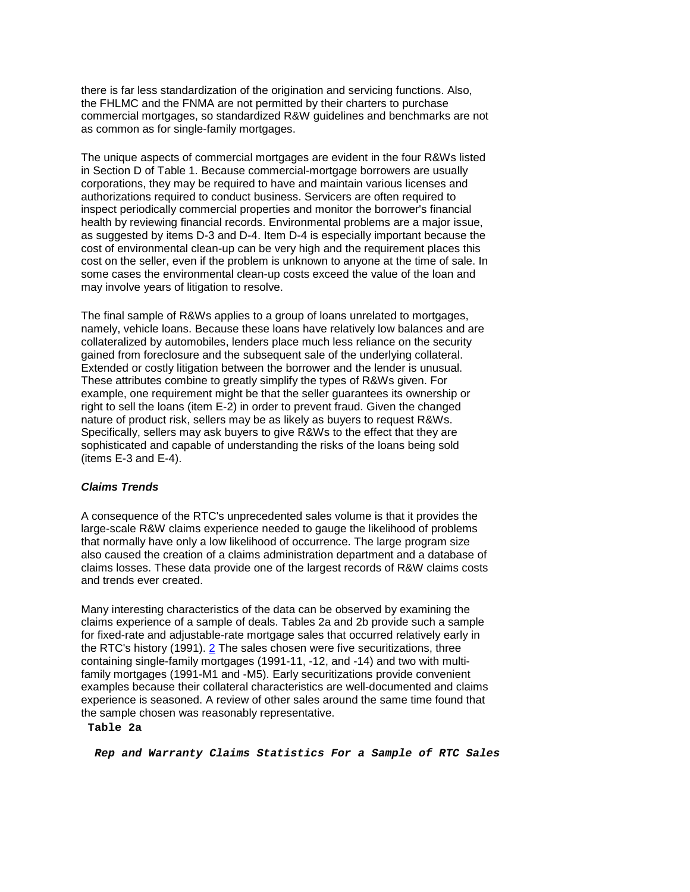there is far less standardization of the origination and servicing functions. Also, the FHLMC and the FNMA are not permitted by their charters to purchase commercial mortgages, so standardized R&W guidelines and benchmarks are not as common as for single-family mortgages.

 in Section D of Table 1. Because commercial-mortgage borrowers are usually The unique aspects of commercial mortgages are evident in the four R&Ws listed corporations, they may be required to have and maintain various licenses and authorizations required to conduct business. Servicers are often required to inspect periodically commercial properties and monitor the borrower's financial health by reviewing financial records. Environmental problems are a major issue, as suggested by items D-3 and D-4. Item D-4 is especially important because the cost of environmental clean-up can be very high and the requirement places this cost on the seller, even if the problem is unknown to anyone at the time of sale. In some cases the environmental clean-up costs exceed the value of the loan and may involve years of litigation to resolve.

 Extended or costly litigation between the borrower and the lender is unusual. nature of product risk, sellers may be as likely as buyers to request R&Ws. The final sample of R&Ws applies to a group of loans unrelated to mortgages, namely, vehicle loans. Because these loans have relatively low balances and are collateralized by automobiles, lenders place much less reliance on the security gained from foreclosure and the subsequent sale of the underlying collateral. These attributes combine to greatly simplify the types of R&Ws given. For example, one requirement might be that the seller guarantees its ownership or right to sell the loans (item E-2) in order to prevent fraud. Given the changed Specifically, sellers may ask buyers to give R&Ws to the effect that they are sophisticated and capable of understanding the risks of the loans being sold (items E-3 and E-4).

### *Claims Trends*

 that normally have only a low likelihood of occurrence. The large program size A consequence of the RTC's unprecedented sales volume is that it provides the large-scale R&W claims experience needed to gauge the likelihood of problems also caused the creation of a claims administration department and a database of claims losses. These data provide one of the largest records of R&W claims costs and trends ever created.

 for fixed-rate and adjustable-rate mortgage sales that occurred relatively early in experience is seasoned. A review of other sales around the same time found that Many interesting characteristics of the data can be observed by examining the claims experience of a sample of deals. Tables 2a and 2b provide such a sample the RTC's history (1991). [2](https://fdicnet-qa.fdic.gov/bank/analytical/banking/1995summ/art1foot.html#2) The sales chosen were five securitizations, three containing single-family mortgages (1991-11, -12, and -14) and two with multifamily mortgages (1991-M1 and -M5). Early securitizations provide convenient examples because their collateral characteristics are well-documented and claims the sample chosen was reasonably representative.

#### **Table 2a**

*Rep and Warranty Claims Statistics For a Sample of RTC Sales*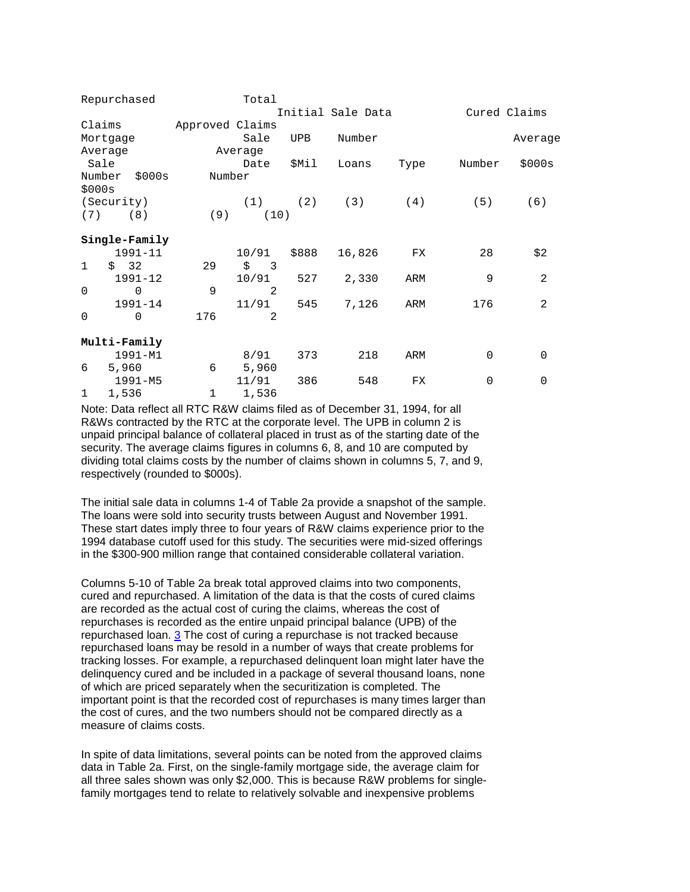|                  | Repurchased   |                 | Total    |       |                   |      |             |                |
|------------------|---------------|-----------------|----------|-------|-------------------|------|-------------|----------------|
|                  |               |                 |          |       | Initial Sale Data |      |             | Cured Claims   |
| Claims           |               | Approved Claims |          |       |                   |      |             |                |
|                  | Mortgage      |                 | Sale     | UPB   | Number            |      |             | Average        |
| Average          |               |                 | Average  |       |                   |      |             |                |
| Sale             |               |                 | Date     | \$Mil | Loans             | Type | Number      | \$000s         |
| Number<br>\$000s | \$000s        | Number          |          |       |                   |      |             |                |
|                  | (Security)    |                 | (1)      |       | $(2)$ $(3)$       | (4)  | (5)         | (6)            |
| (7)              | (8)           | (9)             | (10)     |       |                   |      |             |                |
|                  | Single-Family |                 |          |       |                   |      |             |                |
|                  | $1991 - 11$   |                 | 10/91    | \$888 | 16,826            | FX   | 28          | \$2            |
| $\mathbf{1}$     | \$32          | 29              | $\sin 3$ |       |                   |      |             |                |
|                  | $1991 - 12$   |                 | 10/91    | 527   | 2,330             | ARM  | 9           | $\overline{2}$ |
| $\Omega$         | $\Omega$      | 9               | 2        |       |                   |      |             |                |
|                  | 1991-14       |                 | 11/91    | 545   | 7,126             | ARM  | 176         | $\overline{2}$ |
| $\mathbf 0$      | $\Omega$      | 176             | 2        |       |                   |      |             |                |
|                  | Multi-Family  |                 |          |       |                   |      |             |                |
|                  | 1991-M1       |                 | 8/91     | 373   | 218               | ARM  | $\mathbf 0$ | $\mathbf 0$    |
| 6                | 5,960         | 6               | 5,960    |       |                   |      |             |                |
|                  | $1991 - M5$   |                 | 11/91    | 386   | 548               | FX   | $\mathbf 0$ | $\mathbf 0$    |
| 1                | 1,536         | $\mathbf 1$     | 1,536    |       |                   |      |             |                |

 Note: Data reflect all RTC R&W claims filed as of December 31, 1994, for all R&Ws contracted by the RTC at the corporate level. The UPB in column 2 is unpaid principal balance of collateral placed in trust as of the starting date of the security. The average claims figures in columns 6, 8, and 10 are computed by dividing total claims costs by the number of claims shown in columns 5, 7, and 9, respectively (rounded to \$000s).

 in the \$300-900 million range that contained considerable collateral variation. The initial sale data in columns 1-4 of Table 2a provide a snapshot of the sample. The loans were sold into security trusts between August and November 1991. These start dates imply three to four years of R&W claims experience prior to the 1994 database cutoff used for this study. The securities were mid-sized offerings

 cured and repurchased. A limitation of the data is that the costs of cured claims are recorded as the actual cost of curing the claims, whereas the cost of repurchased loans may be resold in a number of ways that create problems for delinquency cured and be included in a package of several thousand loans, none Columns 5-10 of Table 2a break total approved claims into two components, repurchases is recorded as the entire unpaid principal balance (UPB) of the repurchased loan. [3](https://fdicnet-qa.fdic.gov/bank/analytical/banking/1995summ/art1foot.html#3) The cost of curing a repurchase is not tracked because tracking losses. For example, a repurchased delinquent loan might later have the of which are priced separately when the securitization is completed. The important point is that the recorded cost of repurchases is many times larger than the cost of cures, and the two numbers should not be compared directly as a measure of claims costs.

In spite of data limitations, several points can be noted from the approved claims data in Table 2a. First, on the single-family mortgage side, the average claim for all three sales shown was only \$2,000. This is because R&W problems for singlefamily mortgages tend to relate to relatively solvable and inexpensive problems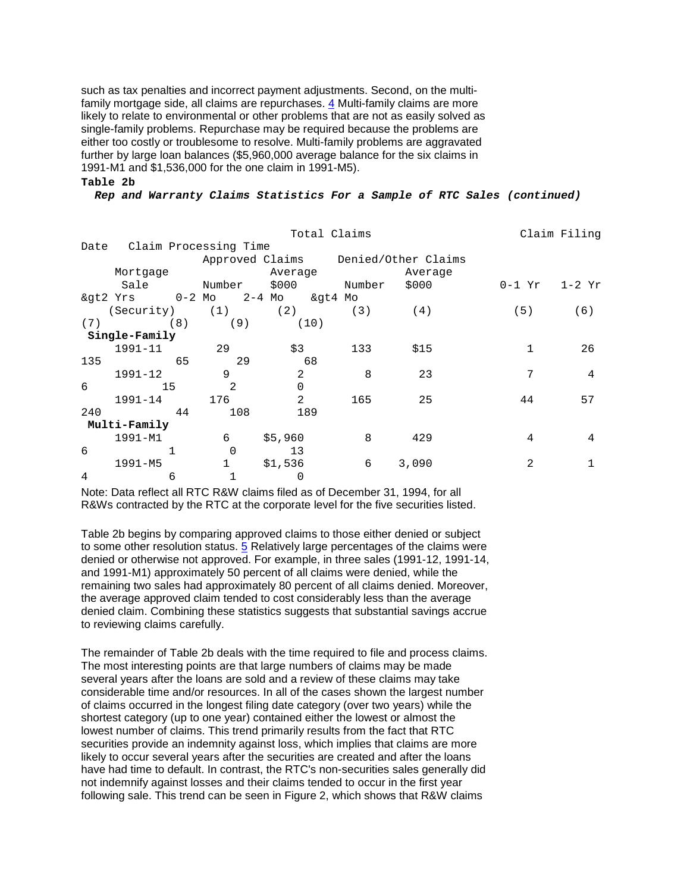such as tax penalties and incorrect payment adjustments. Second, on the multifamily mortgage side, all claims are repurchases. [4](https://fdicnet-qa.fdic.gov/bank/analytical/banking/1995summ/art1foot.html#4) Multi-family claims are more likely to relate to environmental or other problems that are not as easily solved as single-family problems. Repurchase may be required because the problems are either too costly or troublesome to resolve. Multi-family problems are aggravated further by large loan balances (\$5,960,000 average balance for the six claims in 1991-M1 and \$1,536,000 for the one claim in 1991-M5).

#### **Table 2b**

*Rep and Warranty Claims Statistics For a Sample of RTC Sales (continued)* 

|            |                                    |              | Claim Filing   |     |                                     |                       |     |  |  |
|------------|------------------------------------|--------------|----------------|-----|-------------------------------------|-----------------------|-----|--|--|
| Date       | Claim Processing Time              |              |                |     |                                     |                       |     |  |  |
|            |                                    |              |                |     | Approved Claims Denied/Other Claims |                       |     |  |  |
|            | Mortgage                           |              | Average        |     | Average                             |                       |     |  |  |
|            | Sale Number \$000 Number           |              |                |     | \$000                               | $0 - 1 Yr$ $1 - 2 Yr$ |     |  |  |
|            | & at 2 Yrs 0-2 Mo 2-4 Mo & at 4 Mo |              |                |     |                                     |                       |     |  |  |
|            | (Security) (1)                     |              | $(2)$ (3)      |     | (4)                                 | (5)                   | (6) |  |  |
| (7)        | (8)                                | (9)          | (10)           |     |                                     |                       |     |  |  |
|            | Single-Family                      |              |                |     |                                     |                       |     |  |  |
|            | 1991-11                            | $\sim$ 29    | \$3            | 133 | \$15                                |                       | 26  |  |  |
| 135        | 65                                 | 29           | 68             |     |                                     |                       |     |  |  |
|            | 1991-12                            | 9            | 2              | 8   | 23                                  | 7                     | 4   |  |  |
| $\epsilon$ | 15                                 | 2            | $\Omega$       |     |                                     |                       |     |  |  |
|            | 1991-14                            | 176          | $\mathfrak{D}$ | 165 | 25                                  | 44                    | 57  |  |  |
| 240        | 44                                 | 108          | 189            |     |                                     |                       |     |  |  |
|            | Multi-Family                       |              |                |     |                                     |                       |     |  |  |
|            | 1991-M1                            | 6            | \$5,960        | 8   | 429                                 | 4                     | 4   |  |  |
| 6          |                                    | $\Omega$     | 13             |     |                                     |                       |     |  |  |
|            | $1991 - M5$                        | $\mathbf{1}$ | \$1,536        | 6   | 3,090                               | 2                     |     |  |  |
| 4          | 6                                  |              | 0              |     |                                     |                       |     |  |  |

 Note: Data reflect all RTC R&W claims filed as of December 31, 1994, for all R&Ws contracted by the RTC at the corporate level for the five securities listed.

 remaining two sales had approximately 80 percent of all claims denied. Moreover, Table 2b begins by comparing approved claims to those either denied or subject to some other resolution status. [5](https://fdicnet-qa.fdic.gov/bank/analytical/banking/1995summ/art1foot.html#5) Relatively large percentages of the claims were denied or otherwise not approved. For example, in three sales (1991-12, 1991-14, and 1991-M1) approximately 50 percent of all claims were denied, while the the average approved claim tended to cost considerably less than the average denied claim. Combining these statistics suggests that substantial savings accrue to reviewing claims carefully.

 The most interesting points are that large numbers of claims may be made considerable time and/or resources. In all of the cases shown the largest number have had time to default. In contrast, the RTC's non-securities sales generally did not indemnify against losses and their claims tended to occur in the first year The remainder of Table 2b deals with the time required to file and process claims. several years after the loans are sold and a review of these claims may take of claims occurred in the longest filing date category (over two years) while the shortest category (up to one year) contained either the lowest or almost the lowest number of claims. This trend primarily results from the fact that RTC securities provide an indemnity against loss, which implies that claims are more likely to occur several years after the securities are created and after the loans following sale. This trend can be seen in Figure 2, which shows that R&W claims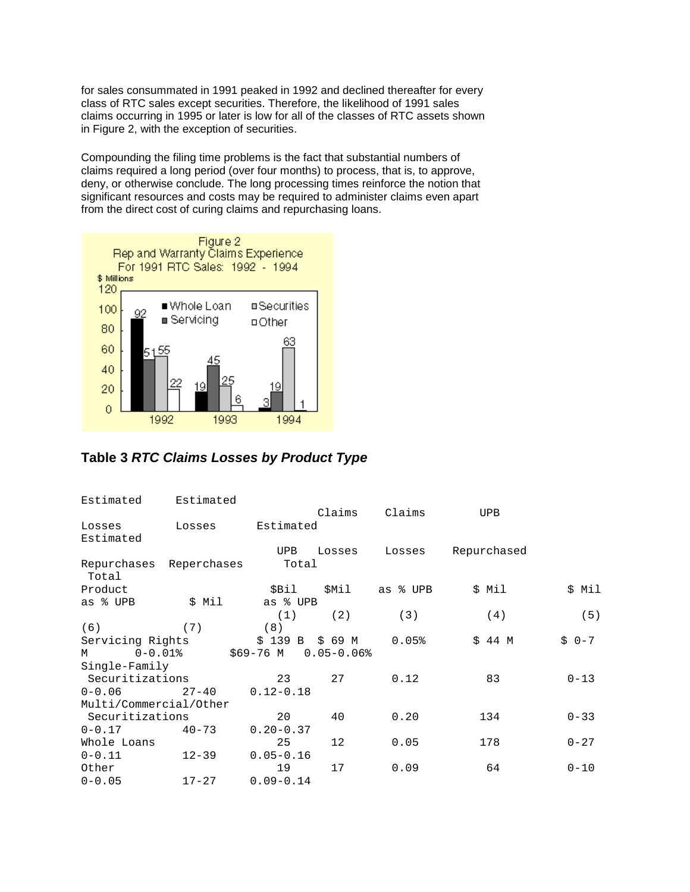claims occurring in 1995 or later is low for all of the classes of RTC assets shown in Figure 2, with the exception of securities. for sales consummated in 1991 peaked in 1992 and declined thereafter for every class of RTC sales except securities. Therefore, the likelihood of 1991 sales

Compounding the filing time problems is the fact that substantial numbers of claims required a long period (over four months) to process, that is, to approve, deny, or otherwise conclude. The long processing times reinforce the notion that significant resources and costs may be required to administer claims even apart from the direct cost of curing claims and repurchasing loans.



**Table 3** *RTC Claims Losses by Product Type* 

| Estimated              | Estimated    |                      |         |          |             |          |
|------------------------|--------------|----------------------|---------|----------|-------------|----------|
| Losses<br>Estimated    | Losses       | Estimated            | Claims  | Claims   | <b>UPB</b>  |          |
|                        |              | UPB                  | Losses  | Losses   | Repurchased |          |
| Repurchases<br>Total   | Reperchases  | Total                |         |          |             |          |
| Product                |              | \$Bil                | \$Mil   | as % UPB | \$ Mil      | \$ Mil   |
| as % UPB               | \$ Mil       | as % UPB             |         |          |             |          |
|                        |              | (1)                  | (2)     | (3)      | (4)         | (5)      |
| (6)                    | (7)          | (8)                  |         |          |             |          |
| Servicing Rights       |              | $$139$ B             | \$ 69 M | 0.05%    | $$44$ M     | $$0-7$   |
| M                      | $0 - 0.01$ % | \$69-76 M 0.05-0.06% |         |          |             |          |
| Single-Family          |              |                      |         |          |             |          |
| Securitizations        |              | 23                   | 27      | 0.12     | 83          | $0 - 13$ |
| $0 - 0.06$             | $27 - 40$    | $0.12 - 0.18$        |         |          |             |          |
| Multi/Commercial/Other |              |                      |         |          |             |          |
| Securitizations        |              | 20                   | 40      | 0.20     | 134         | $0 - 33$ |
| $0 - 0.17$             | $40 - 73$    | $0.20 - 0.37$        |         |          |             |          |
| Whole Loans            |              | 25                   | 12      | 0.05     | 178         | $0 - 27$ |
| $0 - 0.11$             | $12 - 39$    | $0.05 - 0.16$        |         |          |             |          |
| Other                  |              | 19                   | 17      | 0.09     | 64          | $0 - 10$ |
| $0 - 0.05$             | $17 - 27$    | $0.09 - 0.14$        |         |          |             |          |
|                        |              |                      |         |          |             |          |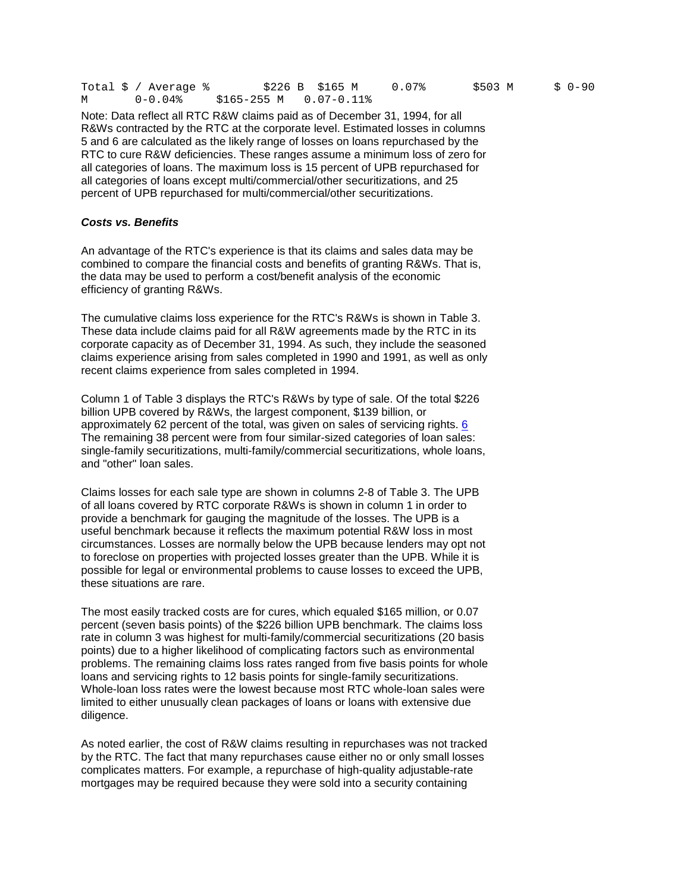|  | Total \$ / Average % |                       | \$226 B  \$165 M | $0.07\%$ | \$503 M |  | S 0-90 |
|--|----------------------|-----------------------|------------------|----------|---------|--|--------|
|  | 0-0.04%              | S165-255 M 0.07-0.11% |                  |          |         |  |        |

 all categories of loans except multi/commercial/other securitizations, and 25 Note: Data reflect all RTC R&W claims paid as of December 31, 1994, for all R&Ws contracted by the RTC at the corporate level. Estimated losses in columns 5 and 6 are calculated as the likely range of losses on loans repurchased by the RTC to cure R&W deficiencies. These ranges assume a minimum loss of zero for all categories of loans. The maximum loss is 15 percent of UPB repurchased for percent of UPB repurchased for multi/commercial/other securitizations.

#### *Costs vs. Benefits*

 combined to compare the financial costs and benefits of granting R&Ws. That is, An advantage of the RTC's experience is that its claims and sales data may be the data may be used to perform a cost/benefit analysis of the economic efficiency of granting R&Ws.

 claims experience arising from sales completed in 1990 and 1991, as well as only The cumulative claims loss experience for the RTC's R&Ws is shown in Table 3. These data include claims paid for all R&W agreements made by the RTC in its corporate capacity as of December 31, 1994. As such, they include the seasoned recent claims experience from sales completed in 1994.

Column 1 of Table 3 displays the RTC's R&Ws by type of sale. Of the total \$226 billion UPB covered by R&Ws, the largest component, \$139 billion, or approximately 62 percent of the total, was given on sales of servicing rights. [6](https://fdicnet-qa.fdic.gov/bank/analytical/banking/1995summ/art1foot.html#6)  The remaining 38 percent were from four similar-sized categories of loan sales: single-family securitizations, multi-family/commercial securitizations, whole loans, and "other" loan sales.

 to foreclose on properties with projected losses greater than the UPB. While it is these situations are rare. Claims losses for each sale type are shown in columns 2-8 of Table 3. The UPB of all loans covered by RTC corporate R&Ws is shown in column 1 in order to provide a benchmark for gauging the magnitude of the losses. The UPB is a useful benchmark because it reflects the maximum potential R&W loss in most circumstances. Losses are normally below the UPB because lenders may opt not possible for legal or environmental problems to cause losses to exceed the UPB,

The most easily tracked costs are for cures, which equaled \$165 million, or 0.07 percent (seven basis points) of the \$226 billion UPB benchmark. The claims loss rate in column 3 was highest for multi-family/commercial securitizations (20 basis points) due to a higher likelihood of complicating factors such as environmental problems. The remaining claims loss rates ranged from five basis points for whole loans and servicing rights to 12 basis points for single-family securitizations. Whole-loan loss rates were the lowest because most RTC whole-loan sales were limited to either unusually clean packages of loans or loans with extensive due diligence.

 mortgages may be required because they were sold into a security containing As noted earlier, the cost of R&W claims resulting in repurchases was not tracked by the RTC. The fact that many repurchases cause either no or only small losses complicates matters. For example, a repurchase of high-quality adjustable-rate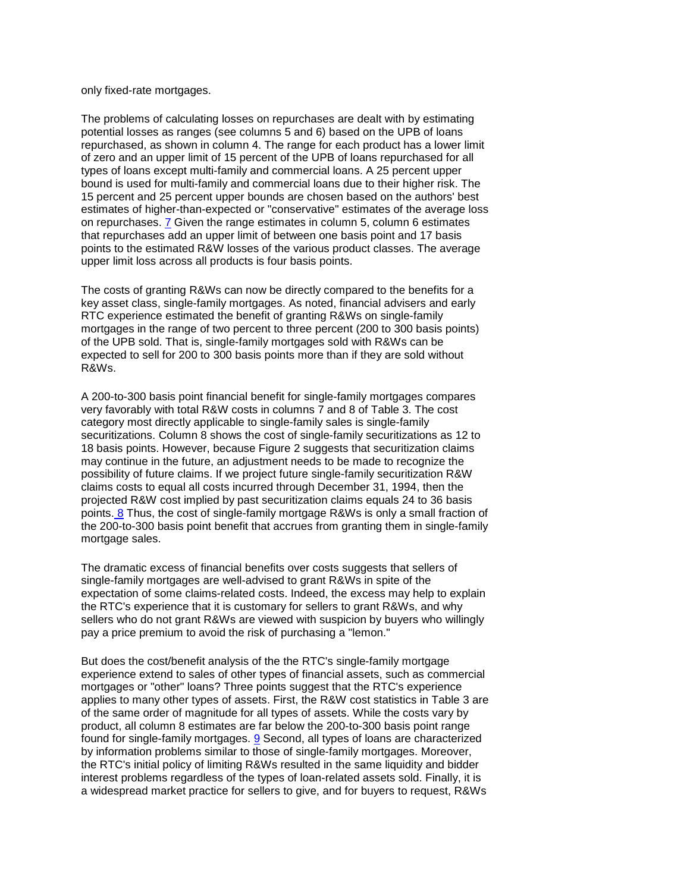only fixed-rate mortgages.

 The problems of calculating losses on repurchases are dealt with by estimating of zero and an upper limit of 15 percent of the UPB of loans repurchased for all 15 percent and 25 percent upper bounds are chosen based on the authors' best upper limit loss across all products is four basis points. potential losses as ranges (see columns 5 and 6) based on the UPB of loans repurchased, as shown in column 4. The range for each product has a lower limit types of loans except multi-family and commercial loans. A 25 percent upper bound is used for multi-family and commercial loans due to their higher risk. The estimates of higher-than-expected or "conservative" estimates of the average loss on repurchases. [7](https://fdicnet-qa.fdic.gov/bank/analytical/banking/1995summ/art1foot.html#7) Given the range estimates in column 5, column 6 estimates that repurchases add an upper limit of between one basis point and 17 basis points to the estimated R&W losses of the various product classes. The average

The costs of granting R&Ws can now be directly compared to the benefits for a key asset class, single-family mortgages. As noted, financial advisers and early RTC experience estimated the benefit of granting R&Ws on single-family mortgages in the range of two percent to three percent (200 to 300 basis points) of the UPB sold. That is, single-family mortgages sold with R&Ws can be expected to sell for 200 to 300 basis points more than if they are sold without R&Ws.

 the 200-to-300 basis point benefit that accrues from granting them in single-family A 200-to-300 basis point financial benefit for single-family mortgages compares very favorably with total R&W costs in columns 7 and 8 of Table 3. The cost category most directly applicable to single-family sales is single-family securitizations. Column 8 shows the cost of single-family securitizations as 12 to 18 basis points. However, because Figure 2 suggests that securitization claims may continue in the future, an adjustment needs to be made to recognize the possibility of future claims. If we project future single-family securitization R&W claims costs to equal all costs incurred through December 31, 1994, then the projected R&W cost implied by past securitization claims equals 24 to 36 basis points[. 8](https://fdicnet-qa.fdic.gov/bank/analytical/banking/1995summ/art1foot.html#8) Thus, the cost of single-family mortgage R&Ws is only a small fraction of mortgage sales.

 sellers who do not grant R&Ws are viewed with suspicion by buyers who willingly The dramatic excess of financial benefits over costs suggests that sellers of single-family mortgages are well-advised to grant R&Ws in spite of the expectation of some claims-related costs. Indeed, the excess may help to explain the RTC's experience that it is customary for sellers to grant R&Ws, and why pay a price premium to avoid the risk of purchasing a "lemon."

found for single-family mortgages. <u>9</u> Second, all types of loans are characterized the RTC's initial policy of limiting R&Ws resulted in the same liquidity and bidder But does the cost/benefit analysis of the the RTC's single-family mortgage experience extend to sales of other types of financial assets, such as commercial mortgages or "other" loans? Three points suggest that the RTC's experience applies to many other types of assets. First, the R&W cost statistics in Table 3 are of the same order of magnitude for all types of assets. While the costs vary by product, all column 8 estimates are far below the 200-to-300 basis point range by information problems similar to those of single-family mortgages. Moreover, interest problems regardless of the types of loan-related assets sold. Finally, it is a widespread market practice for sellers to give, and for buyers to request, R&Ws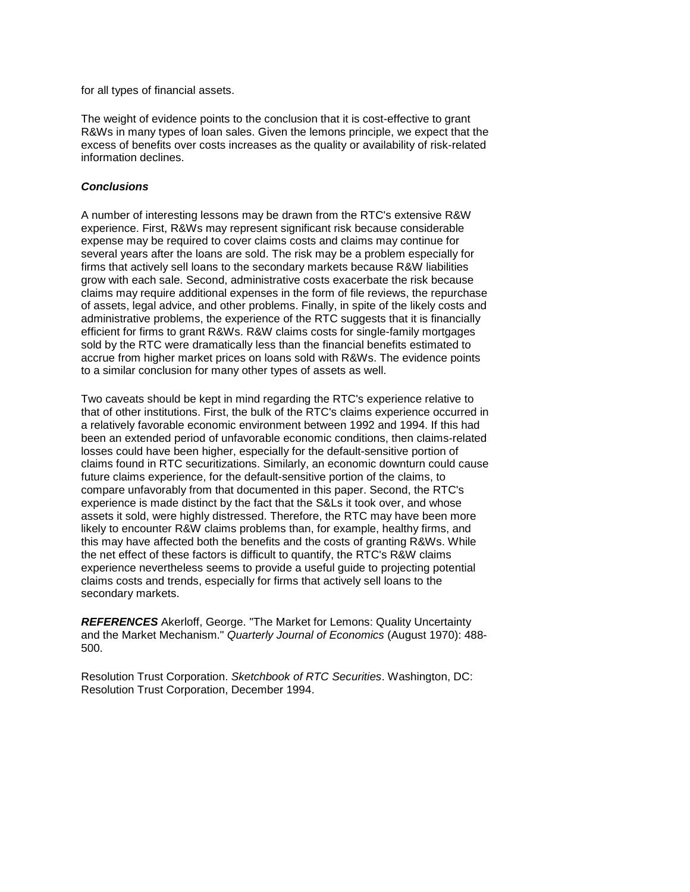for all types of financial assets.

 The weight of evidence points to the conclusion that it is cost-effective to grant R&Ws in many types of loan sales. Given the lemons principle, we expect that the excess of benefits over costs increases as the quality or availability of risk-related information declines.

## *Conclusions*

 experience. First, R&Ws may represent significant risk because considerable of assets, legal advice, and other problems. Finally, in spite of the likely costs and A number of interesting lessons may be drawn from the RTC's extensive R&W expense may be required to cover claims costs and claims may continue for several years after the loans are sold. The risk may be a problem especially for firms that actively sell loans to the secondary markets because R&W liabilities grow with each sale. Second, administrative costs exacerbate the risk because claims may require additional expenses in the form of file reviews, the repurchase administrative problems, the experience of the RTC suggests that it is financially efficient for firms to grant R&Ws. R&W claims costs for single-family mortgages sold by the RTC were dramatically less than the financial benefits estimated to accrue from higher market prices on loans sold with R&Ws. The evidence points to a similar conclusion for many other types of assets as well.

 compare unfavorably from that documented in this paper. Second, the RTC's the net effect of these factors is difficult to quantify, the RTC's R&W claims Two caveats should be kept in mind regarding the RTC's experience relative to that of other institutions. First, the bulk of the RTC's claims experience occurred in a relatively favorable economic environment between 1992 and 1994. If this had been an extended period of unfavorable economic conditions, then claims-related losses could have been higher, especially for the default-sensitive portion of claims found in RTC securitizations. Similarly, an economic downturn could cause future claims experience, for the default-sensitive portion of the claims, to experience is made distinct by the fact that the S&Ls it took over, and whose assets it sold, were highly distressed. Therefore, the RTC may have been more likely to encounter R&W claims problems than, for example, healthy firms, and this may have affected both the benefits and the costs of granting R&Ws. While experience nevertheless seems to provide a useful guide to projecting potential claims costs and trends, especially for firms that actively sell loans to the secondary markets.

*REFERENCES* Akerloff, George. "The Market for Lemons: Quality Uncertainty and the Market Mechanism." *Quarterly Journal of Economics* (August 1970): 488 500.

 Resolution Trust Corporation. *Sketchbook of RTC Securities*. Washington, DC: Resolution Trust Corporation, December 1994.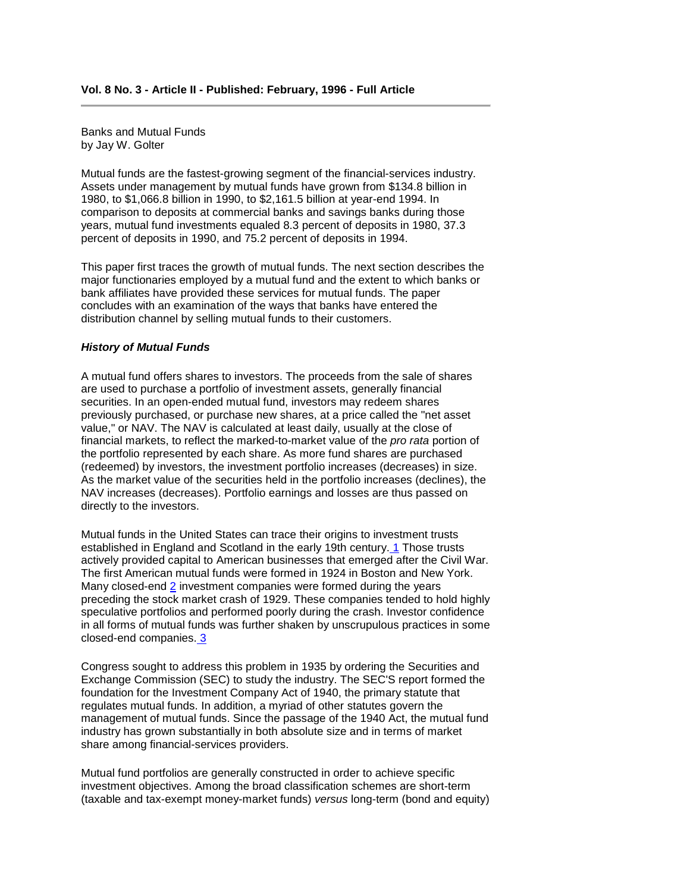Banks and Mutual Funds by Jay W. Golter

Mutual funds are the fastest-growing segment of the financial-services industry. Assets under management by mutual funds have grown from \$134.8 billion in 1980, to \$1,066.8 billion in 1990, to \$2,161.5 billion at year-end 1994. In comparison to deposits at commercial banks and savings banks during those years, mutual fund investments equaled 8.3 percent of deposits in 1980, 37.3 percent of deposits in 1990, and 75.2 percent of deposits in 1994.

 bank affiliates have provided these services for mutual funds. The paper This paper first traces the growth of mutual funds. The next section describes the major functionaries employed by a mutual fund and the extent to which banks or concludes with an examination of the ways that banks have entered the distribution channel by selling mutual funds to their customers.

#### *History of Mutual Funds*

 value," or NAV. The NAV is calculated at least daily, usually at the close of A mutual fund offers shares to investors. The proceeds from the sale of shares are used to purchase a portfolio of investment assets, generally financial securities. In an open-ended mutual fund, investors may redeem shares previously purchased, or purchase new shares, at a price called the "net asset financial markets, to reflect the marked-to-market value of the *pro rata* portion of the portfolio represented by each share. As more fund shares are purchased (redeemed) by investors, the investment portfolio increases (decreases) in size. As the market value of the securities held in the portfolio increases (declines), the NAV increases (decreases). Portfolio earnings and losses are thus passed on directly to the investors.

 actively provided capital to American businesses that emerged after the Civil War. The first American mutual funds were formed in 1924 in Boston and New York. closed-end companies. 3 Mutual funds in the United States can trace their origins to investment trusts established in England and Scotland in the early 19th century[. 1](https://fdicnet-qa.fdic.gov/bank/analytical/banking/1995summ/art2foot.html#1) Those trusts Many closed-end [2](https://fdicnet-qa.fdic.gov/bank/analytical/banking/1995summ/art2foot.html#2) investment companies were formed during the years preceding the stock market crash of 1929. These companies tended to hold highly speculative portfolios and performed poorly during the crash. Investor confidence in all forms of mutual funds was further shaken by unscrupulous practices in some

 regulates mutual funds. In addition, a myriad of other statutes govern the industry has grown substantially in both absolute size and in terms of market Congress sought to address this problem in 1935 by ordering the Securities and Exchange Commission (SEC) to study the industry. The SEC'S report formed the foundation for the Investment Company Act of 1940, the primary statute that management of mutual funds. Since the passage of the 1940 Act, the mutual fund share among financial-services providers.

Mutual fund portfolios are generally constructed in order to achieve specific investment objectives. Among the broad classification schemes are short-term (taxable and tax-exempt money-market funds) *versus* long-term (bond and equity)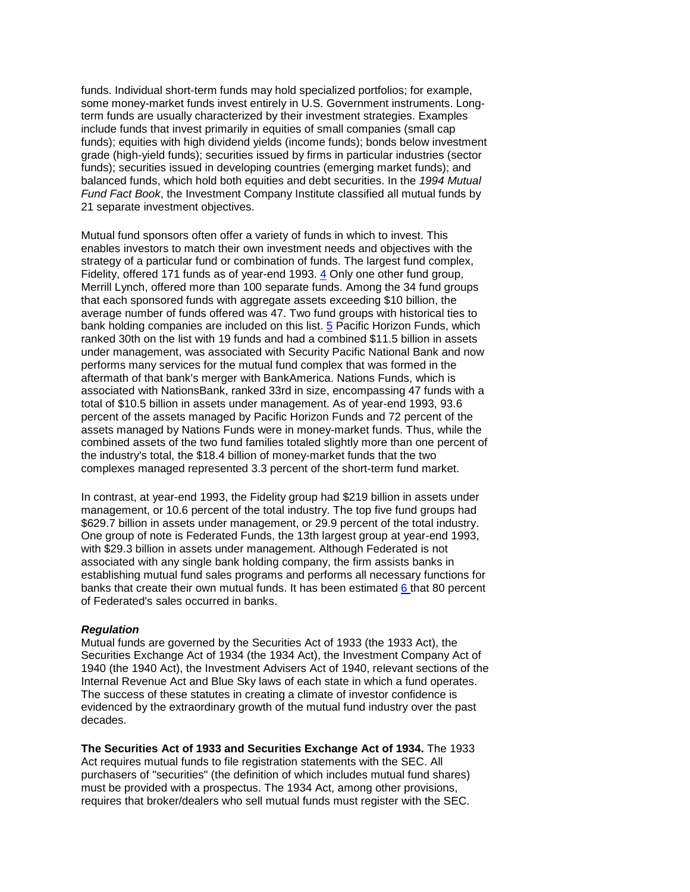term funds are usually characterized by their investment strategies. Examples include funds that invest primarily in equities of small companies (small cap *Fund Fact Book*, the Investment Company Institute classified all mutual funds by funds. Individual short-term funds may hold specialized portfolios; for example, some money-market funds invest entirely in U.S. Government instruments. Longfunds); equities with high dividend yields (income funds); bonds below investment grade (high-yield funds); securities issued by firms in particular industries (sector funds); securities issued in developing countries (emerging market funds); and balanced funds, which hold both equities and debt securities. In the *1994 Mutual*  21 separate investment objectives.

 enables investors to match their own investment needs and objectives with the Fidelity, offered 171 funds as of year-end 1993. [4](https://fdicnet-qa.fdic.gov/bank/analytical/banking/1995summ/art2foot.html#4) Only one other fund group, ranked 30th on the list with 19 funds and had a combined \$11.5 billion in assets aftermath of that bank's merger with BankAmerica. Nations Funds, which is total of \$10.5 billion in assets under management. As of year-end 1993, 93.6 Mutual fund sponsors often offer a variety of funds in which to invest. This strategy of a particular fund or combination of funds. The largest fund complex, Merrill Lynch, offered more than 100 separate funds. Among the 34 fund groups that each sponsored funds with aggregate assets exceeding \$10 billion, the average number of funds offered was 47. Two fund groups with historical ties to bank holding companies are included on this list. [5](https://fdicnet-qa.fdic.gov/bank/analytical/banking/1995summ/art2foot.html#5) Pacific Horizon Funds, which under management, was associated with Security Pacific National Bank and now performs many services for the mutual fund complex that was formed in the associated with NationsBank, ranked 33rd in size, encompassing 47 funds with a percent of the assets managed by Pacific Horizon Funds and 72 percent of the assets managed by Nations Funds were in money-market funds. Thus, while the combined assets of the two fund families totaled slightly more than one percent of the industry's total, the \$18.4 billion of money-market funds that the two complexes managed represented 3.3 percent of the short-term fund market.

 In contrast, at year-end 1993, the Fidelity group had \$219 billion in assets under with \$29.3 billion in assets under management. Although Federated is not management, or 10.6 percent of the total industry. The top five fund groups had \$629.7 billion in assets under management, or 29.9 percent of the total industry. One group of note is Federated Funds, the 13th largest group at year-end 1993, associated with any single bank holding company, the firm assists banks in establishing mutual fund sales programs and performs all necessary functions for banks that create their own mutual funds. It has been estimated [6 t](https://fdicnet-qa.fdic.gov/bank/analytical/banking/1995summ/art2foot.html#6)hat 80 percent of Federated's sales occurred in banks.

#### *Regulation*

 Securities Exchange Act of 1934 (the 1934 Act), the Investment Company Act of Internal Revenue Act and Blue Sky laws of each state in which a fund operates. Mutual funds are governed by the Securities Act of 1933 (the 1933 Act), the 1940 (the 1940 Act), the Investment Advisers Act of 1940, relevant sections of the The success of these statutes in creating a climate of investor confidence is evidenced by the extraordinary growth of the mutual fund industry over the past decades.

**The Securities Act of 1933 and Securities Exchange Act of 1934.** The 1933 Act requires mutual funds to file registration statements with the SEC. All purchasers of "securities" (the definition of which includes mutual fund shares) must be provided with a prospectus. The 1934 Act, among other provisions, requires that broker/dealers who sell mutual funds must register with the SEC.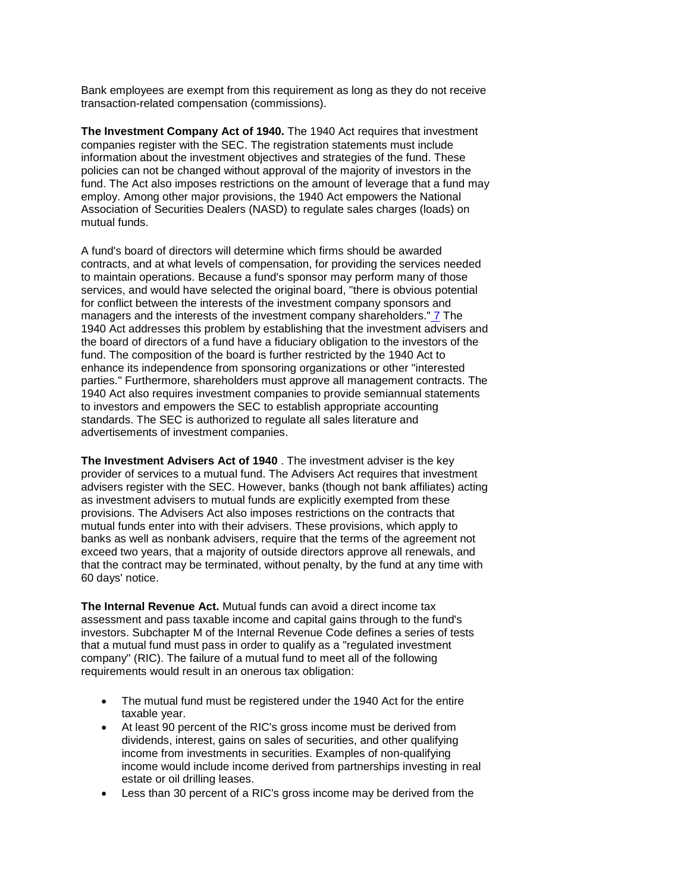Bank employees are exempt from this requirement as long as they do not receive transaction-related compensation (commissions).

**The Investment Company Act of 1940.** The 1940 Act requires that investment companies register with the SEC. The registration statements must include information about the investment objectives and strategies of the fund. These policies can not be changed without approval of the majority of investors in the fund. The Act also imposes restrictions on the amount of leverage that a fund may employ. Among other major provisions, the 1940 Act empowers the National Association of Securities Dealers (NASD) to regulate sales charges (loads) on mutual funds.

 contracts, and at what levels of compensation, for providing the services needed to maintain operations. Because a fund's sponsor may perform many of those A fund's board of directors will determine which firms should be awarded services, and would have selected the original board, "there is obvious potential for conflict between the interests of the investment company sponsors and managers and the interests of the investment company shareholders.[" 7](https://fdicnet-qa.fdic.gov/bank/analytical/banking/1995summ/art2foot.html#7) The 1940 Act addresses this problem by establishing that the investment advisers and the board of directors of a fund have a fiduciary obligation to the investors of the fund. The composition of the board is further restricted by the 1940 Act to enhance its independence from sponsoring organizations or other "interested parties." Furthermore, shareholders must approve all management contracts. The 1940 Act also requires investment companies to provide semiannual statements to investors and empowers the SEC to establish appropriate accounting standards. The SEC is authorized to regulate all sales literature and advertisements of investment companies.

 exceed two years, that a majority of outside directors approve all renewals, and **The Investment Advisers Act of 1940** . The investment adviser is the key provider of services to a mutual fund. The Advisers Act requires that investment advisers register with the SEC. However, banks (though not bank affiliates) acting as investment advisers to mutual funds are explicitly exempted from these provisions. The Advisers Act also imposes restrictions on the contracts that mutual funds enter into with their advisers. These provisions, which apply to banks as well as nonbank advisers, require that the terms of the agreement not that the contract may be terminated, without penalty, by the fund at any time with 60 days' notice.

 investors. Subchapter M of the Internal Revenue Code defines a series of tests **The Internal Revenue Act.** Mutual funds can avoid a direct income tax assessment and pass taxable income and capital gains through to the fund's that a mutual fund must pass in order to qualify as a "regulated investment company" (RIC). The failure of a mutual fund to meet all of the following requirements would result in an onerous tax obligation:

- The mutual fund must be registered under the 1940 Act for the entire taxable year.
- At least 90 percent of the RIC's gross income must be derived from dividends, interest, gains on sales of securities, and other qualifying income from investments in securities. Examples of non-qualifying income would include income derived from partnerships investing in real estate or oil drilling leases.
- Less than 30 percent of a RIC's gross income may be derived from the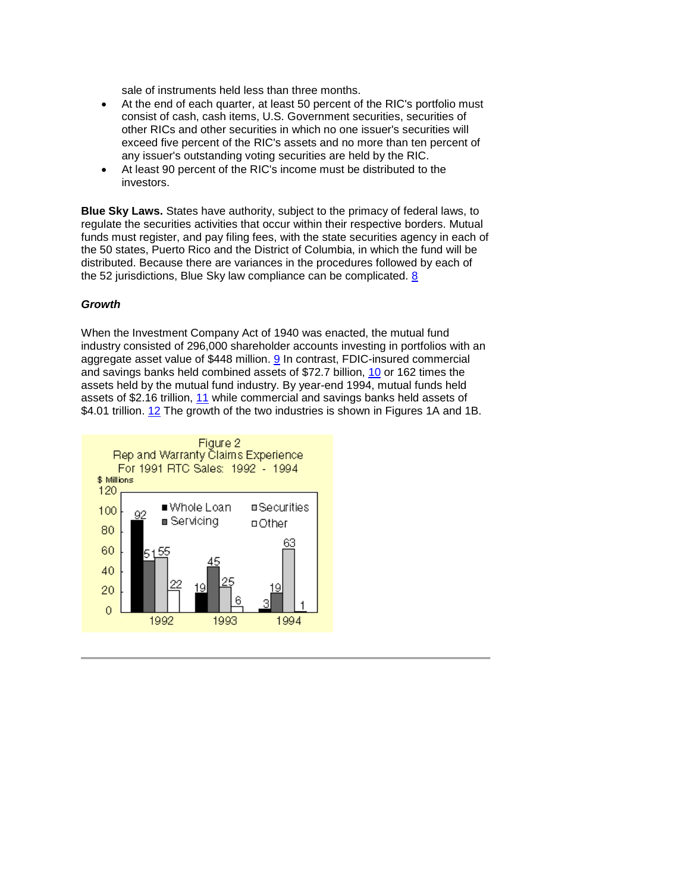sale of instruments held less than three months.

- other RICs and other securities in which no one issuer's securities will exceed five percent of the RIC's assets and no more than ten percent of • At the end of each quarter, at least 50 percent of the RIC's portfolio must consist of cash, cash items, U.S. Government securities, securities of any issuer's outstanding voting securities are held by the RIC.
- At least 90 percent of the RIC's income must be distributed to the investors.

 regulate the securities activities that occur within their respective borders. Mutual funds must register, and pay filing fees, with the state securities agency in each of the 52 jurisdictions, Blue Sky law compliance can be complicated. <u>8</u> **Blue Sky Laws.** States have authority, subject to the primacy of federal laws, to the 50 states, Puerto Rico and the District of Columbia, in which the fund will be distributed. Because there are variances in the procedures followed by each of

## *Growth*

 When the Investment Company Act of 1940 was enacted, the mutual fund industry consisted of 296,000 shareholder accounts investing in portfolios with an assets held by the mutual fund industry. By year-end 1994, mutual funds held \$4.01 trillion. [12](https://fdicnet-qa.fdic.gov/bank/analytical/banking/1995summ/art2foot.html#12) The growth of the two industries is shown in Figures 1A and 1B. aggregate asset value of \$448 million. [9](https://fdicnet-qa.fdic.gov/bank/analytical/banking/1995summ/art2foot.html#9) In contrast, FDIC-insured commercial and savings banks held combined assets of \$72.7 billion, [10 o](https://fdicnet-qa.fdic.gov/bank/analytical/banking/1995summ/art2foot.html#10)r 162 times the assets of \$2.16 trillion, [11](https://fdicnet-qa.fdic.gov/bank/analytical/banking/1995summ/art2foot.html#11) while commercial and savings banks held assets of

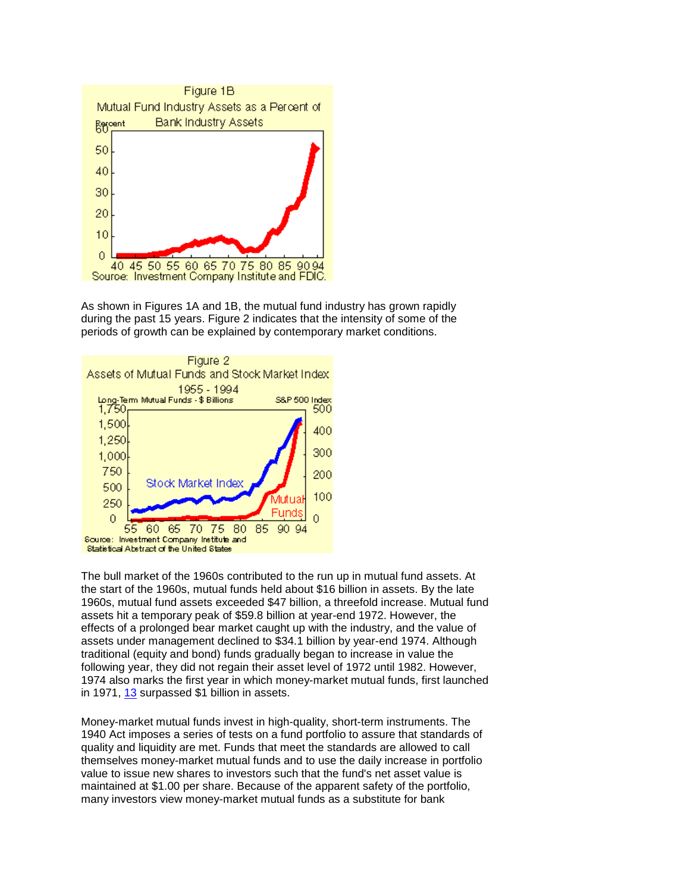

As shown in Figures 1A and 1B, the mutual fund industry has grown rapidly during the past 15 years. Figure 2 indicates that the intensity of some of the periods of growth can be explained by contemporary market conditions.



 the start of the 1960s, mutual funds held about \$16 billion in assets. By the late following year, they did not regain their asset level of 1972 until 1982. However, The bull market of the 1960s contributed to the run up in mutual fund assets. At 1960s, mutual fund assets exceeded \$47 billion, a threefold increase. Mutual fund assets hit a temporary peak of \$59.8 billion at year-end 1972. However, the effects of a prolonged bear market caught up with the industry, and the value of assets under management declined to \$34.1 billion by year-end 1974. Although traditional (equity and bond) funds gradually began to increase in value the 1974 also marks the first year in which money-market mutual funds, first launched in 1971, [13](https://fdicnet-qa.fdic.gov/bank/analytical/banking/1995summ/art2foot.html#13) surpassed \$1 billion in assets.

Money-market mutual funds invest in high-quality, short-term instruments. The 1940 Act imposes a series of tests on a fund portfolio to assure that standards of quality and liquidity are met. Funds that meet the standards are allowed to call themselves money-market mutual funds and to use the daily increase in portfolio value to issue new shares to investors such that the fund's net asset value is maintained at \$1.00 per share. Because of the apparent safety of the portfolio, many investors view money-market mutual funds as a substitute for bank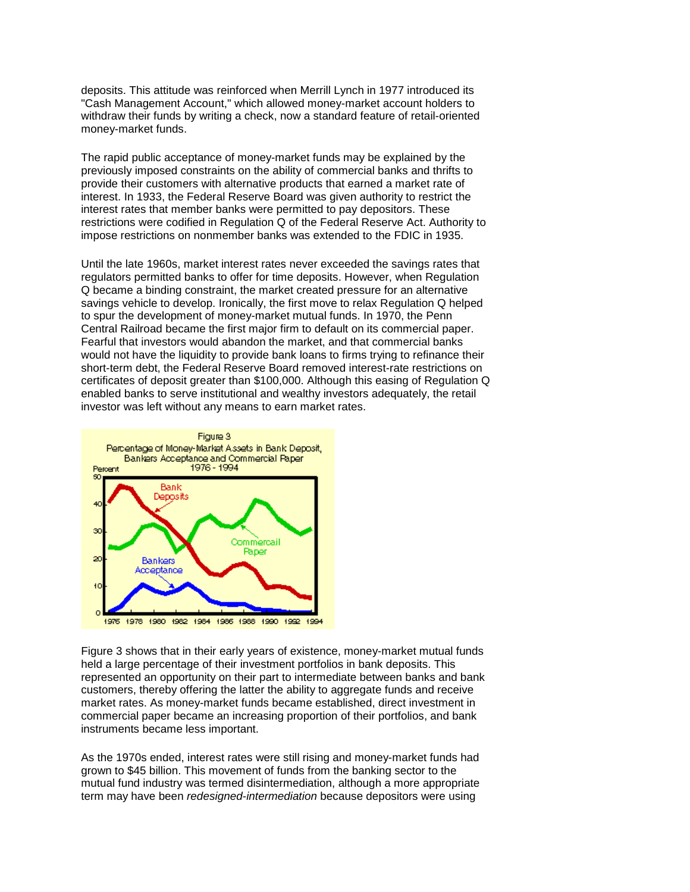deposits. This attitude was reinforced when Merrill Lynch in 1977 introduced its withdraw their funds by writing a check, now a standard feature of retail-oriented "Cash Management Account," which allowed money-market account holders to money-market funds.

 The rapid public acceptance of money-market funds may be explained by the impose restrictions on nonmember banks was extended to the FDIC in 1935. previously imposed constraints on the ability of commercial banks and thrifts to provide their customers with alternative products that earned a market rate of interest. In 1933, the Federal Reserve Board was given authority to restrict the interest rates that member banks were permitted to pay depositors. These restrictions were codified in Regulation Q of the Federal Reserve Act. Authority to

 enabled banks to serve institutional and wealthy investors adequately, the retail investor was left without any means to earn market rates. Until the late 1960s, market interest rates never exceeded the savings rates that regulators permitted banks to offer for time deposits. However, when Regulation Q became a binding constraint, the market created pressure for an alternative savings vehicle to develop. Ironically, the first move to relax Regulation Q helped to spur the development of money-market mutual funds. In 1970, the Penn Central Railroad became the first major firm to default on its commercial paper. Fearful that investors would abandon the market, and that commercial banks would not have the liquidity to provide bank loans to firms trying to refinance their short-term debt, the Federal Reserve Board removed interest-rate restrictions on certificates of deposit greater than \$100,000. Although this easing of Regulation Q



 Figure 3 shows that in their early years of existence, money-market mutual funds held a large percentage of their investment portfolios in bank deposits. This represented an opportunity on their part to intermediate between banks and bank customers, thereby offering the latter the ability to aggregate funds and receive market rates. As money-market funds became established, direct investment in commercial paper became an increasing proportion of their portfolios, and bank instruments became less important.

As the 1970s ended, interest rates were still rising and money-market funds had grown to \$45 billion. This movement of funds from the banking sector to the mutual fund industry was termed disintermediation, although a more appropriate term may have been *redesigned-intermediation* because depositors were using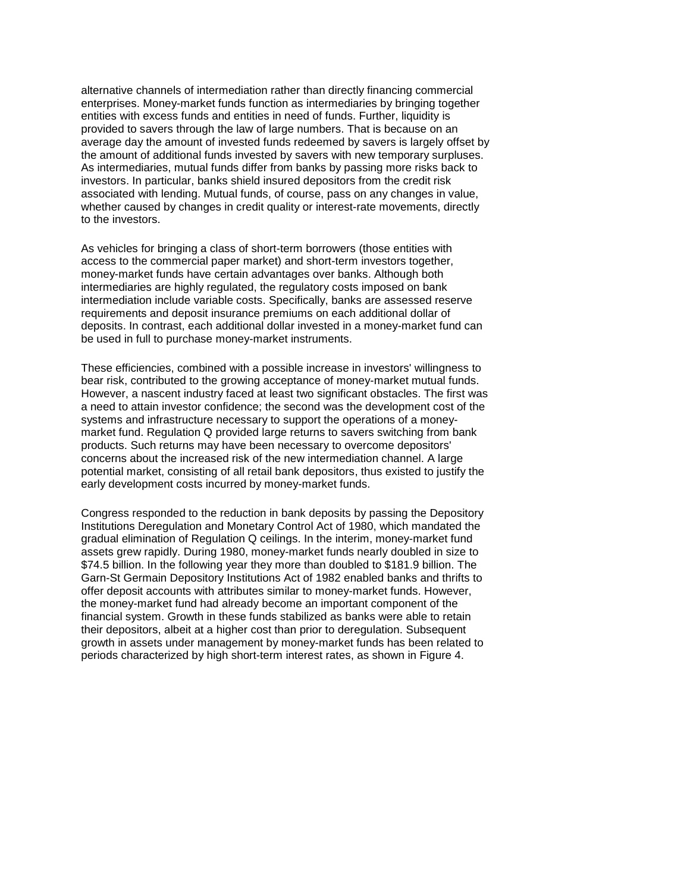entities with excess funds and entities in need of funds. Further, liquidity is average day the amount of invested funds redeemed by savers is largely offset by alternative channels of intermediation rather than directly financing commercial enterprises. Money-market funds function as intermediaries by bringing together provided to savers through the law of large numbers. That is because on an the amount of additional funds invested by savers with new temporary surpluses. As intermediaries, mutual funds differ from banks by passing more risks back to investors. In particular, banks shield insured depositors from the credit risk associated with lending. Mutual funds, of course, pass on any changes in value, whether caused by changes in credit quality or interest-rate movements, directly to the investors.

 As vehicles for bringing a class of short-term borrowers (those entities with requirements and deposit insurance premiums on each additional dollar of access to the commercial paper market) and short-term investors together, money-market funds have certain advantages over banks. Although both intermediaries are highly regulated, the regulatory costs imposed on bank intermediation include variable costs. Specifically, banks are assessed reserve deposits. In contrast, each additional dollar invested in a money-market fund can be used in full to purchase money-market instruments.

 bear risk, contributed to the growing acceptance of money-market mutual funds. However, a nascent industry faced at least two significant obstacles. The first was These efficiencies, combined with a possible increase in investors' willingness to a need to attain investor confidence; the second was the development cost of the systems and infrastructure necessary to support the operations of a moneymarket fund. Regulation Q provided large returns to savers switching from bank products. Such returns may have been necessary to overcome depositors' concerns about the increased risk of the new intermediation channel. A large potential market, consisting of all retail bank depositors, thus existed to justify the early development costs incurred by money-market funds.

 Congress responded to the reduction in bank deposits by passing the Depository Institutions Deregulation and Monetary Control Act of 1980, which mandated the offer deposit accounts with attributes similar to money-market funds. However, their depositors, albeit at a higher cost than prior to deregulation. Subsequent gradual elimination of Regulation Q ceilings. In the interim, money-market fund assets grew rapidly. During 1980, money-market funds nearly doubled in size to \$74.5 billion. In the following year they more than doubled to \$181.9 billion. The Garn-St Germain Depository Institutions Act of 1982 enabled banks and thrifts to the money-market fund had already become an important component of the financial system. Growth in these funds stabilized as banks were able to retain growth in assets under management by money-market funds has been related to periods characterized by high short-term interest rates, as shown in Figure 4.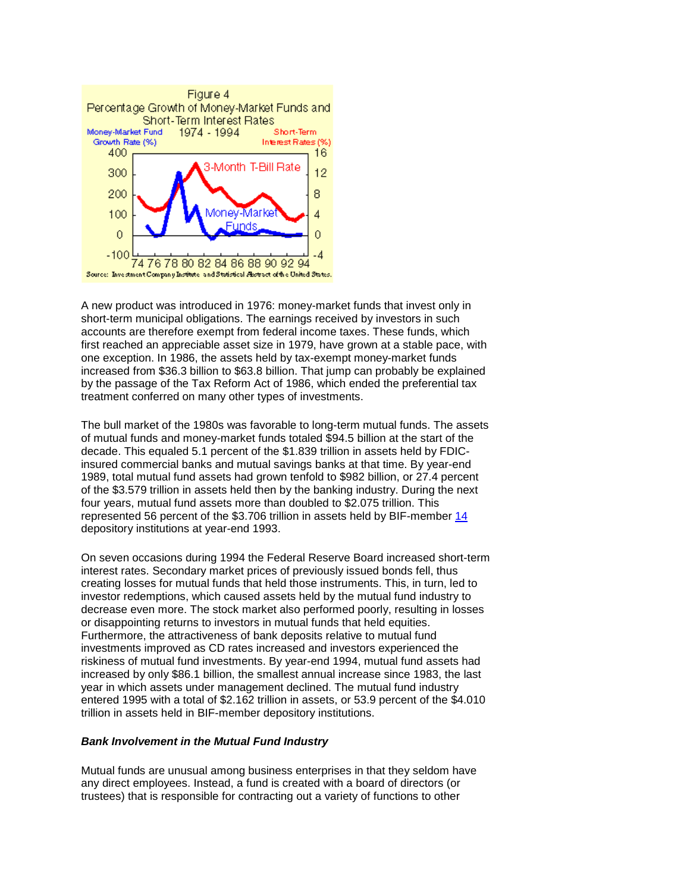

 A new product was introduced in 1976: money-market funds that invest only in accounts are therefore exempt from federal income taxes. These funds, which by the passage of the Tax Reform Act of 1986, which ended the preferential tax short-term municipal obligations. The earnings received by investors in such first reached an appreciable asset size in 1979, have grown at a stable pace, with one exception. In 1986, the assets held by tax-exempt money-market funds increased from \$36.3 billion to \$63.8 billion. That jump can probably be explained treatment conferred on many other types of investments.

The bull market of the 1980s was favorable to long-term mutual funds. The assets of mutual funds and money-market funds totaled \$94.5 billion at the start of the decade. This equaled 5.1 percent of the \$1.839 trillion in assets held by FDICinsured commercial banks and mutual savings banks at that time. By year-end 1989, total mutual fund assets had grown tenfold to \$982 billion, or 27.4 percent of the \$3.579 trillion in assets held then by the banking industry. During the next four years, mutual fund assets more than doubled to \$2.075 trillion. This represented 56 percent of the \$3.706 trillion in assets held by BIF-member [14](https://fdicnet-qa.fdic.gov/bank/analytical/banking/1995summ/art2foot.html#14)  depository institutions at year-end 1993.

On seven occasions during 1994 the Federal Reserve Board increased short-term interest rates. Secondary market prices of previously issued bonds fell, thus creating losses for mutual funds that held those instruments. This, in turn, led to investor redemptions, which caused assets held by the mutual fund industry to decrease even more. The stock market also performed poorly, resulting in losses or disappointing returns to investors in mutual funds that held equities. Furthermore, the attractiveness of bank deposits relative to mutual fund investments improved as CD rates increased and investors experienced the riskiness of mutual fund investments. By year-end 1994, mutual fund assets had increased by only \$86.1 billion, the smallest annual increase since 1983, the last year in which assets under management declined. The mutual fund industry entered 1995 with a total of \$2.162 trillion in assets, or 53.9 percent of the \$4.010 trillion in assets held in BIF-member depository institutions.

### *Bank Involvement in the Mutual Fund Industry*

 any direct employees. Instead, a fund is created with a board of directors (or trustees) that is responsible for contracting out a variety of functions to other Mutual funds are unusual among business enterprises in that they seldom have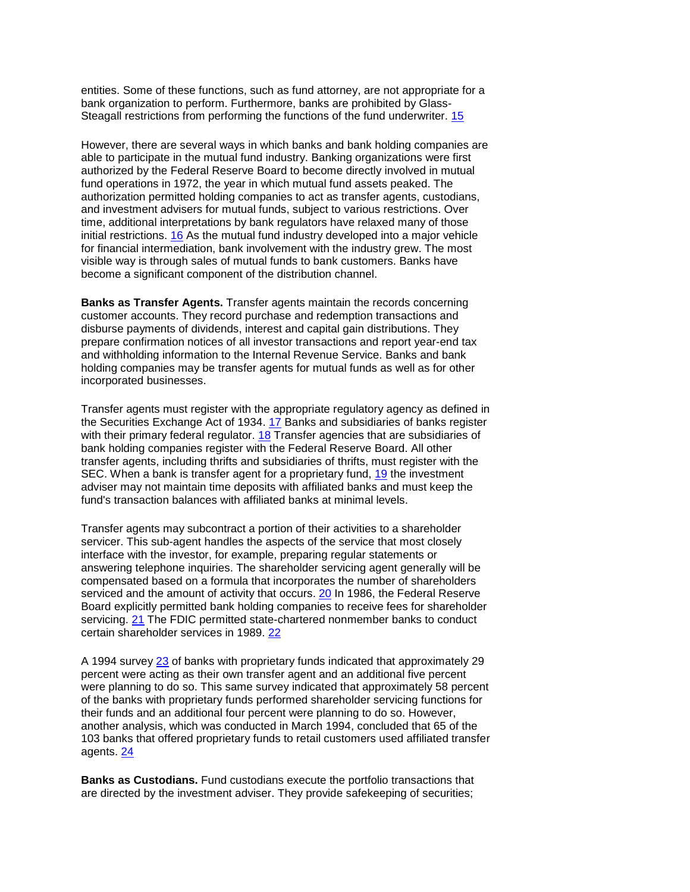Steagall restrictions from performing the functions of the fund underwriter. 15 entities. Some of these functions, such as fund attorney, are not appropriate for a bank organization to perform. Furthermore, banks are prohibited by Glass-

 able to participate in the mutual fund industry. Banking organizations were first However, there are several ways in which banks and bank holding companies are authorized by the Federal Reserve Board to become directly involved in mutual fund operations in 1972, the year in which mutual fund assets peaked. The authorization permitted holding companies to act as transfer agents, custodians, and investment advisers for mutual funds, subject to various restrictions. Over time, additional interpretations by bank regulators have relaxed many of those initial restrictions. [16](https://fdicnet-qa.fdic.gov/bank/analytical/banking/1995summ/art2foot.html#16) As the mutual fund industry developed into a major vehicle for financial intermediation, bank involvement with the industry grew. The most visible way is through sales of mutual funds to bank customers. Banks have become a significant component of the distribution channel.

 **Banks as Transfer Agents.** Transfer agents maintain the records concerning disburse payments of dividends, interest and capital gain distributions. They customer accounts. They record purchase and redemption transactions and prepare confirmation notices of all investor transactions and report year-end tax and withholding information to the Internal Revenue Service. Banks and bank holding companies may be transfer agents for mutual funds as well as for other incorporated businesses.

with their primary federal regulator. [18](https://fdicnet-qa.fdic.gov/bank/analytical/banking/1995summ/art2foot.html#18) Transfer agencies that are subsidiaries of bank holding companies register with the Federal Reserve Board. All other transfer agents, including thrifts and subsidiaries of thrifts, must register with the Transfer agents must register with the appropriate regulatory agency as defined in the Securities Exchange Act of 1934. [17](https://fdicnet-qa.fdic.gov/bank/analytical/banking/1995summ/art2foot.html#17) Banks and subsidiaries of banks register SEC. When a bank is transfer agent for a proprietary fund, [19](https://fdicnet-qa.fdic.gov/bank/analytical/banking/1995summ/art2foot.html#19) the investment adviser may not maintain time deposits with affiliated banks and must keep the fund's transaction balances with affiliated banks at minimal levels.

serviced and the amount of activity that occurs. [20 I](https://fdicnet-qa.fdic.gov/bank/analytical/banking/1995summ/art2foot.html#20)n 1986, the Federal Reserve certain shareholder services in 1989. 22 Transfer agents may subcontract a portion of their activities to a shareholder servicer. This sub-agent handles the aspects of the service that most closely interface with the investor, for example, preparing regular statements or answering telephone inquiries. The shareholder servicing agent generally will be compensated based on a formula that incorporates the number of shareholders Board explicitly permitted bank holding companies to receive fees for shareholder servicing. [21](https://fdicnet-qa.fdic.gov/bank/analytical/banking/1995summ/art2foot.html#21) The FDIC permitted state-chartered nonmember banks to conduct

 were planning to do so. This same survey indicated that approximately 58 percent agents. 24 A 1994 surve[y 23](https://fdicnet-qa.fdic.gov/bank/analytical/banking/1995summ/art2foot.html#23) of banks with proprietary funds indicated that approximately 29 percent were acting as their own transfer agent and an additional five percent of the banks with proprietary funds performed shareholder servicing functions for their funds and an additional four percent were planning to do so. However, another analysis, which was conducted in March 1994, concluded that 65 of the 103 banks that offered proprietary funds to retail customers used affiliated transfer

**Banks as Custodians.** Fund custodians execute the portfolio transactions that are directed by the investment adviser. They provide safekeeping of securities;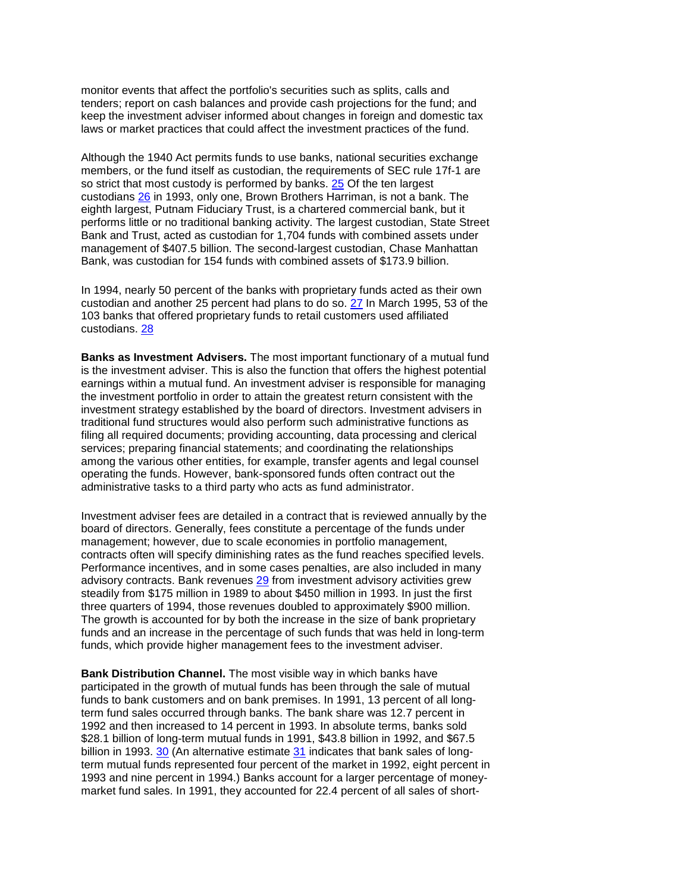monitor events that affect the portfolio's securities such as splits, calls and tenders; report on cash balances and provide cash projections for the fund; and keep the investment adviser informed about changes in foreign and domestic tax laws or market practices that could affect the investment practices of the fund.

 Although the 1940 Act permits funds to use banks, national securities exchange performs little or no traditional banking activity. The largest custodian, State Street members, or the fund itself as custodian, the requirements of SEC rule 17f-1 are so strict that most custody is performed by banks. [25](https://fdicnet-qa.fdic.gov/bank/analytical/banking/1995summ/art2foot.html#25) Of the ten largest custodians [26](https://fdicnet-qa.fdic.gov/bank/analytical/banking/1995summ/art2foot.html#26) in 1993, only one, Brown Brothers Harriman, is not a bank. The eighth largest, Putnam Fiduciary Trust, is a chartered commercial bank, but it Bank and Trust, acted as custodian for 1,704 funds with combined assets under management of \$407.5 billion. The second-largest custodian, Chase Manhattan Bank, was custodian for 154 funds with combined assets of \$173.9 billion.

custodians. 28 In 1994, nearly 50 percent of the banks with proprietary funds acted as their own custodian and another 25 percent had plans to do so. [27](https://fdicnet-qa.fdic.gov/bank/analytical/banking/1995summ/art2foot.html#27) In March 1995, 53 of the 103 banks that offered proprietary funds to retail customers used affiliated

 **Banks as Investment Advisers.** The most important functionary of a mutual fund traditional fund structures would also perform such administrative functions as is the investment adviser. This is also the function that offers the highest potential earnings within a mutual fund. An investment adviser is responsible for managing the investment portfolio in order to attain the greatest return consistent with the investment strategy established by the board of directors. Investment advisers in filing all required documents; providing accounting, data processing and clerical services; preparing financial statements; and coordinating the relationships among the various other entities, for example, transfer agents and legal counsel operating the funds. However, bank-sponsored funds often contract out the administrative tasks to a third party who acts as fund administrator.

Investment adviser fees are detailed in a contract that is reviewed annually by the board of directors. Generally, fees constitute a percentage of the funds under management; however, due to scale economies in portfolio management, contracts often will specify diminishing rates as the fund reaches specified levels. Performance incentives, and in some cases penalties, are also included in many advisory contracts. Bank revenues [29](https://fdicnet-qa.fdic.gov/bank/analytical/banking/1995summ/art2foot.html#29) from investment advisory activities grew steadily from \$175 million in 1989 to about \$450 million in 1993. In just the first three quarters of 1994, those revenues doubled to approximately \$900 million. The growth is accounted for by both the increase in the size of bank proprietary funds and an increase in the percentage of such funds that was held in long-term funds, which provide higher management fees to the investment adviser.

**Bank Distribution Channel.** The most visible way in which banks have participated in the growth of mutual funds has been through the sale of mutual funds to bank customers and on bank premises. In 1991, 13 percent of all longterm fund sales occurred through banks. The bank share was 12.7 percent in 1992 and then increased to 14 percent in 1993. In absolute terms, banks sold \$28.1 billion of long-term mutual funds in 1991, \$43.8 billion in 1992, and \$67.5 billion in 1993. [30](https://fdicnet-qa.fdic.gov/bank/analytical/banking/1995summ/art2foot.html#30) (An alternative estimate [31](https://fdicnet-qa.fdic.gov/bank/analytical/banking/1995summ/art2foot.html#31) indicates that bank sales of longterm mutual funds represented four percent of the market in 1992, eight percent in 1993 and nine percent in 1994.) Banks account for a larger percentage of moneymarket fund sales. In 1991, they accounted for 22.4 percent of all sales of short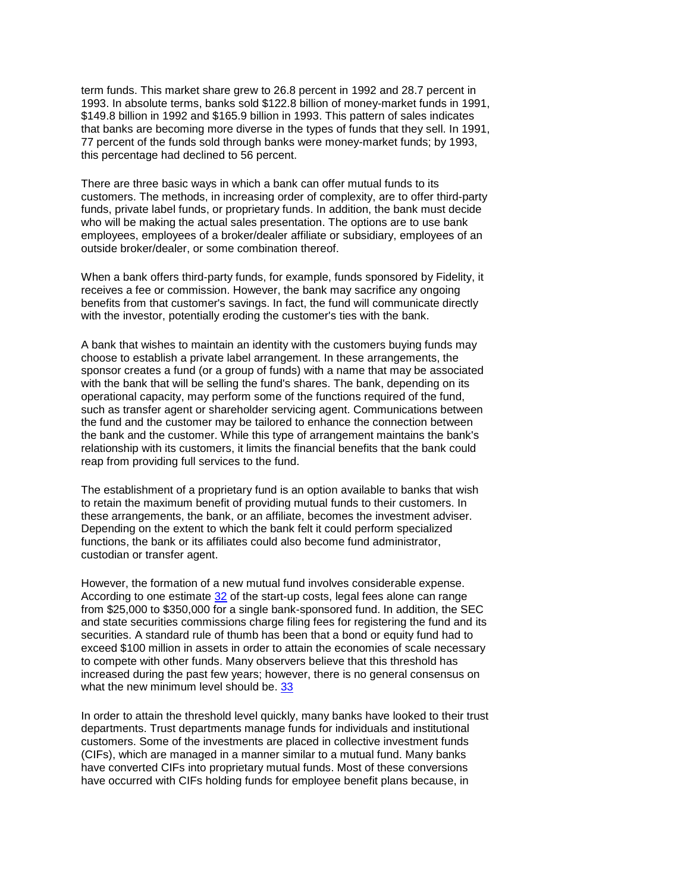term funds. This market share grew to 26.8 percent in 1992 and 28.7 percent in 1993. In absolute terms, banks sold \$122.8 billion of money-market funds in 1991, \$149.8 billion in 1992 and \$165.9 billion in 1993. This pattern of sales indicates that banks are becoming more diverse in the types of funds that they sell. In 1991, 77 percent of the funds sold through banks were money-market funds; by 1993, this percentage had declined to 56 percent.

There are three basic ways in which a bank can offer mutual funds to its customers. The methods, in increasing order of complexity, are to offer third-party funds, private label funds, or proprietary funds. In addition, the bank must decide who will be making the actual sales presentation. The options are to use bank employees, employees of a broker/dealer affiliate or subsidiary, employees of an outside broker/dealer, or some combination thereof.

 with the investor, potentially eroding the customer's ties with the bank. When a bank offers third-party funds, for example, funds sponsored by Fidelity, it receives a fee or commission. However, the bank may sacrifice any ongoing benefits from that customer's savings. In fact, the fund will communicate directly

 with the bank that will be selling the fund's shares. The bank, depending on its A bank that wishes to maintain an identity with the customers buying funds may choose to establish a private label arrangement. In these arrangements, the sponsor creates a fund (or a group of funds) with a name that may be associated operational capacity, may perform some of the functions required of the fund, such as transfer agent or shareholder servicing agent. Communications between the fund and the customer may be tailored to enhance the connection between the bank and the customer. While this type of arrangement maintains the bank's relationship with its customers, it limits the financial benefits that the bank could reap from providing full services to the fund.

The establishment of a proprietary fund is an option available to banks that wish to retain the maximum benefit of providing mutual funds to their customers. In these arrangements, the bank, or an affiliate, becomes the investment adviser. Depending on the extent to which the bank felt it could perform specialized functions, the bank or its affiliates could also become fund administrator, custodian or transfer agent.

what the new minimum level should be. 33 However, the formation of a new mutual fund involves considerable expense. According to one estimate [32](https://fdicnet-qa.fdic.gov/bank/analytical/banking/1995summ/art2foot.html#32) of the start-up costs, legal fees alone can range from \$25,000 to \$350,000 for a single bank-sponsored fund. In addition, the SEC and state securities commissions charge filing fees for registering the fund and its securities. A standard rule of thumb has been that a bond or equity fund had to exceed \$100 million in assets in order to attain the economies of scale necessary to compete with other funds. Many observers believe that this threshold has increased during the past few years; however, there is no general consensus on

 (CIFs), which are managed in a manner similar to a mutual fund. Many banks In order to attain the threshold level quickly, many banks have looked to their trust departments. Trust departments manage funds for individuals and institutional customers. Some of the investments are placed in collective investment funds have converted CIFs into proprietary mutual funds. Most of these conversions have occurred with CIFs holding funds for employee benefit plans because, in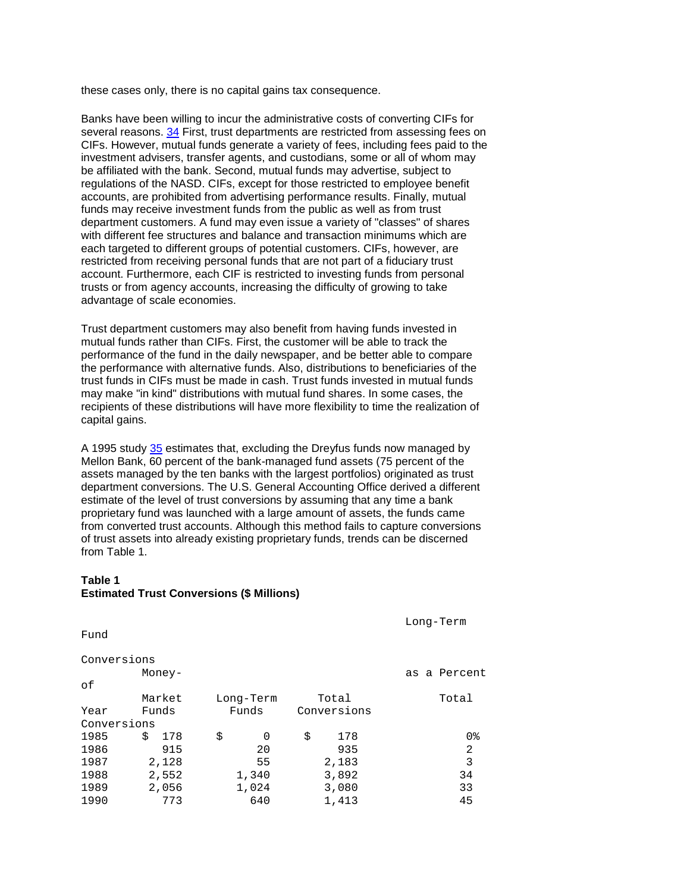these cases only, there is no capital gains tax consequence.

 investment advisers, transfer agents, and custodians, some or all of whom may Banks have been willing to incur the administrative costs of converting CIFs for several reasons. [34 F](https://fdicnet-qa.fdic.gov/bank/analytical/banking/1995summ/art2foot.html#34)irst, trust departments are restricted from assessing fees on CIFs. However, mutual funds generate a variety of fees, including fees paid to the be affiliated with the bank. Second, mutual funds may advertise, subject to regulations of the NASD. CIFs, except for those restricted to employee benefit accounts, are prohibited from advertising performance results. Finally, mutual funds may receive investment funds from the public as well as from trust department customers. A fund may even issue a variety of "classes" of shares with different fee structures and balance and transaction minimums which are each targeted to different groups of potential customers. CIFs, however, are restricted from receiving personal funds that are not part of a fiduciary trust account. Furthermore, each CIF is restricted to investing funds from personal trusts or from agency accounts, increasing the difficulty of growing to take advantage of scale economies.

 Trust department customers may also benefit from having funds invested in recipients of these distributions will have more flexibility to time the realization of mutual funds rather than CIFs. First, the customer will be able to track the performance of the fund in the daily newspaper, and be better able to compare the performance with alternative funds. Also, distributions to beneficiaries of the trust funds in CIFs must be made in cash. Trust funds invested in mutual funds may make "in kind" distributions with mutual fund shares. In some cases, the capital gains.

A 1995 study [35 e](https://fdicnet-qa.fdic.gov/bank/analytical/banking/1995summ/art2foot.html#35)stimates that, excluding the Dreyfus funds now managed by Mellon Bank, 60 percent of the bank-managed fund assets (75 percent of the assets managed by the ten banks with the largest portfolios) originated as trust department conversions. The U.S. General Accounting Office derived a different estimate of the level of trust conversions by assuming that any time a bank proprietary fund was launched with a large amount of assets, the funds came from converted trust accounts. Although this method fails to capture conversions of trust assets into already existing proprietary funds, trends can be discerned from Table 1.

#### **Table 1 Estimated Trust Conversions (\$ Millions)**

Long-Term

Fund

| Conversions |           |           |             |              |
|-------------|-----------|-----------|-------------|--------------|
|             | Money-    |           |             | as a Percent |
| оf          |           |           |             |              |
|             | Market    | Long-Term | Total       | Total        |
| Year        | Funds     | Funds     | Conversions |              |
| Conversions |           |           |             |              |
| 1985        | 178<br>Š. | \$<br>0   | \$<br>178   | 0%           |
| 1986        | 915       | 20        | 935         | 2            |
| 1987        | 2,128     | 55        | 2,183       | 3            |
| 1988        | 2,552     | 1,340     | 3,892       | 34           |
| 1989        | 2,056     | 1,024     | 3,080       | 33           |
| 1990        | 773       | 640       | 1,413       | 45           |
|             |           |           |             |              |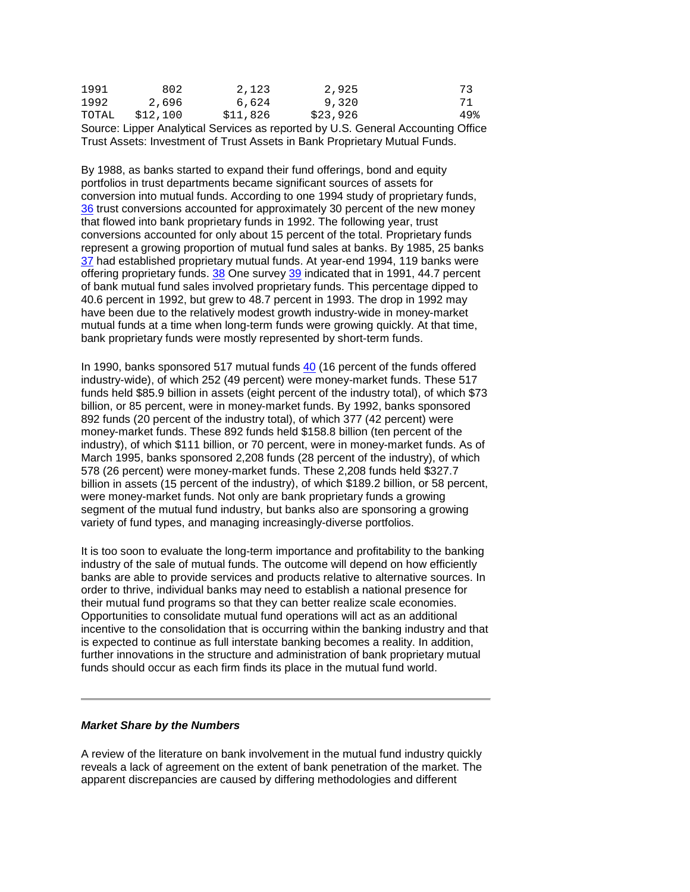| Course Linner Apolitical Canisso as reported bull C. Canaral Assounting Office |          |          |          |     |  |  |
|--------------------------------------------------------------------------------|----------|----------|----------|-----|--|--|
| TOTAL                                                                          | \$12,100 | \$11,826 | \$23,926 | 49% |  |  |
| 1992                                                                           | 2,696    | 6,624    | 9,320    | 71  |  |  |
| 1991                                                                           | 802      | 2,123    | 2,925    | 73  |  |  |

 Source: Lipper Analytical Services as reported by U.S. General Accounting Office Trust Assets: Investment of Trust Assets in Bank Proprietary Mutual Funds.

 By 1988, as banks started to expand their fund offerings, bond and equity [37](https://fdicnet-qa.fdic.gov/bank/analytical/banking/1995summ/art2foot.html#37) had established proprietary mutual funds. At year-end 1994, 119 banks were 40.6 percent in 1992, but grew to 48.7 percent in 1993. The drop in 1992 may mutual funds at a time when long-term funds were growing quickly. At that time, portfolios in trust departments became significant sources of assets for conversion into mutual funds. According to one 1994 study of proprietary funds, [36](https://fdicnet-qa.fdic.gov/bank/analytical/banking/1995summ/art2foot.html#36) trust conversions accounted for approximately 30 percent of the new money that flowed into bank proprietary funds in 1992. The following year, trust conversions accounted for only about 15 percent of the total. Proprietary funds represent a growing proportion of mutual fund sales at banks. By 1985, 25 banks offering proprietary funds. [38](https://fdicnet-qa.fdic.gov/bank/analytical/banking/1995summ/art2foot.html#38) One survey [39](https://fdicnet-qa.fdic.gov/bank/analytical/banking/1995summ/art2foot.html#39) indicated that in 1991, 44.7 percent of bank mutual fund sales involved proprietary funds. This percentage dipped to have been due to the relatively modest growth industry-wide in money-market bank proprietary funds were mostly represented by short-term funds.

 funds held \$85.9 billion in assets (eight percent of the industry total), of which \$73 billion, or 85 percent, were in money-market funds. By 1992, banks sponsored 892 funds (20 percent of the industry total), of which 377 (42 percent) were segment of the mutual fund industry, but banks also are sponsoring a growing In 1990, banks sponsored 517 mutual funds [40](https://fdicnet-qa.fdic.gov/bank/analytical/banking/1995summ/art2foot.html#40) (16 percent of the funds offered industry-wide), of which 252 (49 percent) were money-market funds. These 517 money-market funds. These 892 funds held \$158.8 billion (ten percent of the industry), of which \$111 billion, or 70 percent, were in money-market funds. As of March 1995, banks sponsored 2,208 funds (28 percent of the industry), of which 578 (26 percent) were money-market funds. These 2,208 funds held \$327.7 billion in assets (15 percent of the industry), of which \$189.2 billion, or 58 percent, were money-market funds. Not only are bank proprietary funds a growing variety of fund types, and managing increasingly-diverse portfolios.

 Opportunities to consolidate mutual fund operations will act as an additional It is too soon to evaluate the long-term importance and profitability to the banking industry of the sale of mutual funds. The outcome will depend on how efficiently banks are able to provide services and products relative to alternative sources. In order to thrive, individual banks may need to establish a national presence for their mutual fund programs so that they can better realize scale economies. incentive to the consolidation that is occurring within the banking industry and that is expected to continue as full interstate banking becomes a reality. In addition, further innovations in the structure and administration of bank proprietary mutual funds should occur as each firm finds its place in the mutual fund world.

#### *Market Share by the Numbers*

 A review of the literature on bank involvement in the mutual fund industry quickly reveals a lack of agreement on the extent of bank penetration of the market. The apparent discrepancies are caused by differing methodologies and different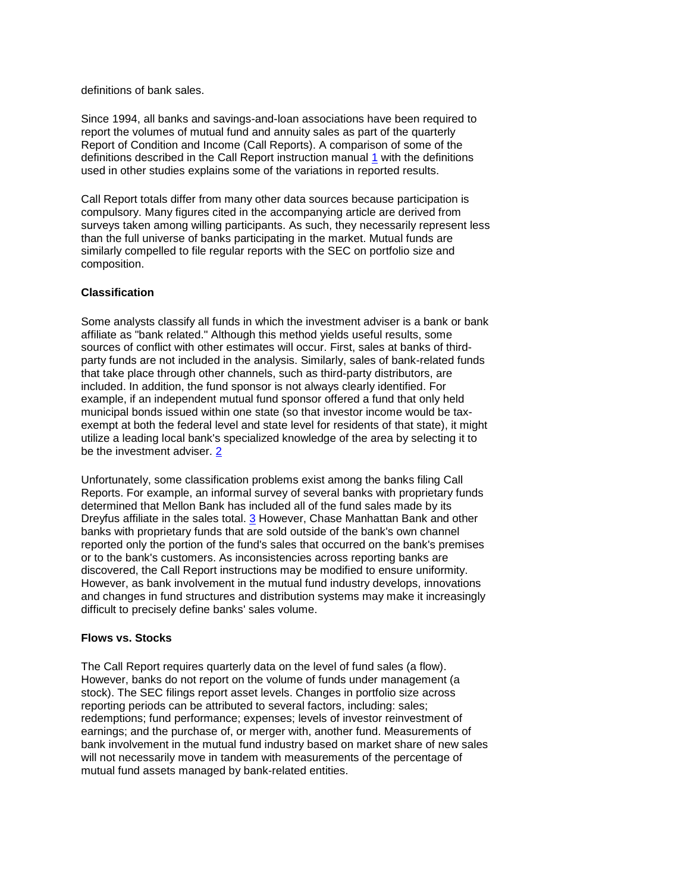definitions of bank sales.

Since 1994, all banks and savings-and-loan associations have been required to report the volumes of mutual fund and annuity sales as part of the quarterly Report of Condition and Income (Call Reports). A comparison of some of the definitions described in the Call Report instruction manual [1](https://fdicnet-qa.fdic.gov/bank/analytical/banking/1995summ/markfoot.html#1) with the definitions used in other studies explains some of the variations in reported results.

 surveys taken among willing participants. As such, they necessarily represent less Call Report totals differ from many other data sources because participation is compulsory. Many figures cited in the accompanying article are derived from than the full universe of banks participating in the market. Mutual funds are similarly compelled to file regular reports with the SEC on portfolio size and composition.

### **Classification**

 party funds are not included in the analysis. Similarly, sales of bank-related funds be the investment adviser. 2 Some analysts classify all funds in which the investment adviser is a bank or bank affiliate as "bank related." Although this method yields useful results, some sources of conflict with other estimates will occur. First, sales at banks of thirdthat take place through other channels, such as third-party distributors, are included. In addition, the fund sponsor is not always clearly identified. For example, if an independent mutual fund sponsor offered a fund that only held municipal bonds issued within one state (so that investor income would be taxexempt at both the federal level and state level for residents of that state), it might utilize a leading local bank's specialized knowledge of the area by selecting it to

be the investment adviser. <u>2</u><br>Unfortunately, some classification problems exist among the banks filing Call determined that Mellon Bank has included all of the fund sales made by its However, as bank involvement in the mutual fund industry develops, innovations Reports. For example, an informal survey of several banks with proprietary funds Dreyfus affiliate in the sales total. [3](https://fdicnet-qa.fdic.gov/bank/analytical/banking/1995summ/markfoot.html#3) However, Chase Manhattan Bank and other banks with proprietary funds that are sold outside of the bank's own channel reported only the portion of the fund's sales that occurred on the bank's premises or to the bank's customers. As inconsistencies across reporting banks are discovered, the Call Report instructions may be modified to ensure uniformity. and changes in fund structures and distribution systems may make it increasingly difficult to precisely define banks' sales volume.

### **Flows vs. Stocks**

 redemptions; fund performance; expenses; levels of investor reinvestment of The Call Report requires quarterly data on the level of fund sales (a flow). However, banks do not report on the volume of funds under management (a stock). The SEC filings report asset levels. Changes in portfolio size across reporting periods can be attributed to several factors, including: sales; earnings; and the purchase of, or merger with, another fund. Measurements of bank involvement in the mutual fund industry based on market share of new sales will not necessarily move in tandem with measurements of the percentage of mutual fund assets managed by bank-related entities.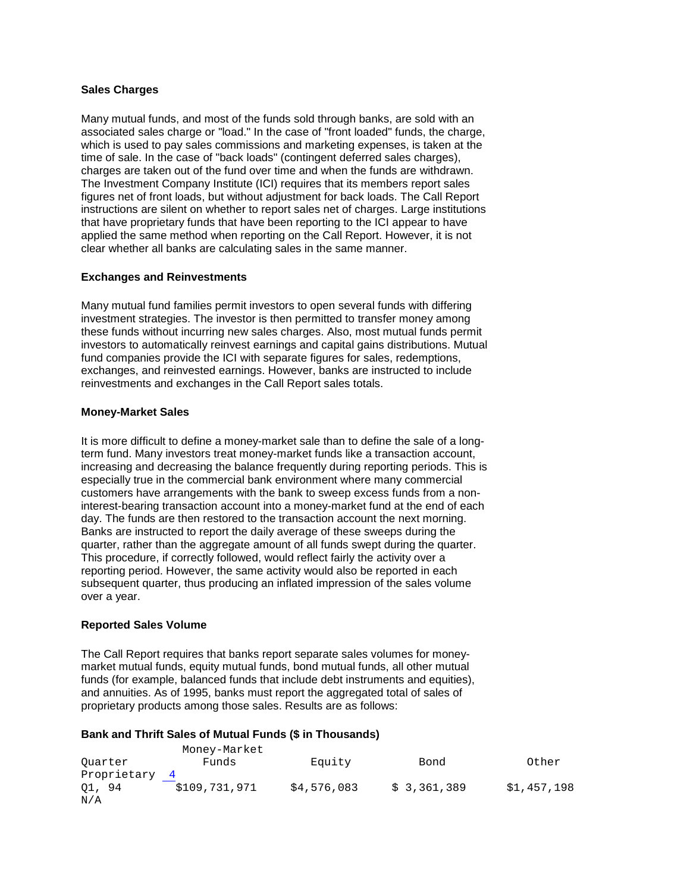### **Sales Charges**

 associated sales charge or "load." In the case of "front loaded" funds, the charge, charges are taken out of the fund over time and when the funds are withdrawn. The Investment Company Institute (ICI) requires that its members report sales figures net of front loads, but without adjustment for back loads. The Call Report that have proprietary funds that have been reporting to the ICI appear to have applied the same method when reporting on the Call Report. However, it is not Many mutual funds, and most of the funds sold through banks, are sold with an which is used to pay sales commissions and marketing expenses, is taken at the time of sale. In the case of "back loads" (contingent deferred sales charges), instructions are silent on whether to report sales net of charges. Large institutions clear whether all banks are calculating sales in the same manner.

#### **Exchanges and Reinvestments**

 these funds without incurring new sales charges. Also, most mutual funds permit Many mutual fund families permit investors to open several funds with differing investment strategies. The investor is then permitted to transfer money among investors to automatically reinvest earnings and capital gains distributions. Mutual fund companies provide the ICI with separate figures for sales, redemptions, exchanges, and reinvested earnings. However, banks are instructed to include reinvestments and exchanges in the Call Report sales totals.

#### **Money-Market Sales**

 This procedure, if correctly followed, would reflect fairly the activity over a It is more difficult to define a money-market sale than to define the sale of a longterm fund. Many investors treat money-market funds like a transaction account, increasing and decreasing the balance frequently during reporting periods. This is especially true in the commercial bank environment where many commercial customers have arrangements with the bank to sweep excess funds from a noninterest-bearing transaction account into a money-market fund at the end of each day. The funds are then restored to the transaction account the next morning. Banks are instructed to report the daily average of these sweeps during the quarter, rather than the aggregate amount of all funds swept during the quarter. reporting period. However, the same activity would also be reported in each subsequent quarter, thus producing an inflated impression of the sales volume over a year.

### **Reported Sales Volume**

 The Call Report requires that banks report separate sales volumes for money- and annuities. As of 1995, banks must report the aggregated total of sales of market mutual funds, equity mutual funds, bond mutual funds, all other mutual funds (for example, balanced funds that include debt instruments and equities), proprietary products among those sales. Results are as follows:

#### **Bank and Thrift Sales of Mutual Funds (\$ in Thousands)**

|               | Money-Market  |             |             |             |
|---------------|---------------|-------------|-------------|-------------|
| Ouarter       | Funds         | Equity      | Bond        | Other       |
| Proprietary 4 |               |             |             |             |
| 01, 94<br>N/A | \$109,731,971 | \$4,576,083 | \$3,361,389 | \$1,457,198 |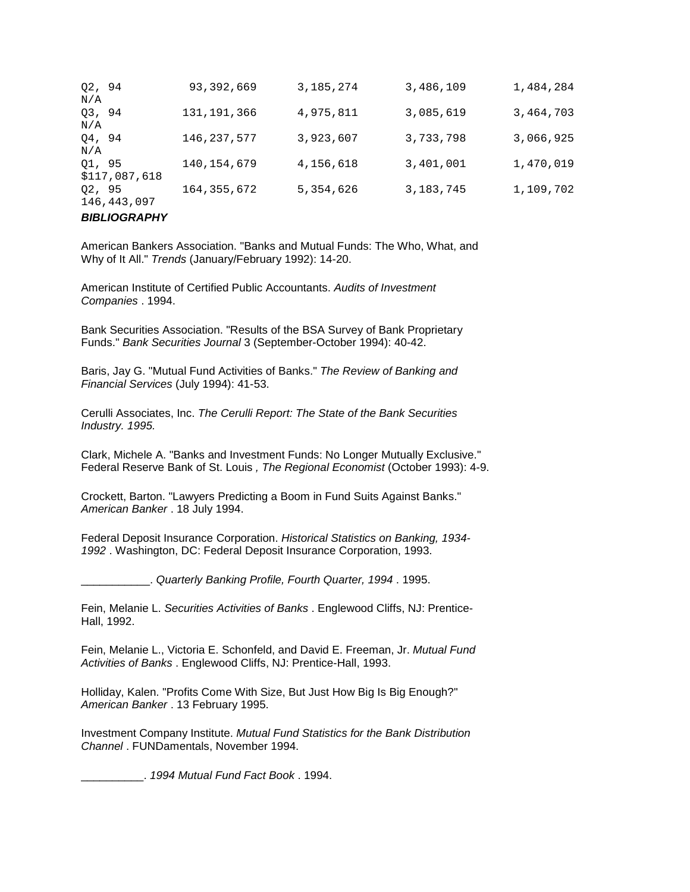| 02, 94<br>N/A |               | 93,392,669    | 3, 185, 274 | 3,486,109   | 1,484,284 |
|---------------|---------------|---------------|-------------|-------------|-----------|
| 03, 94<br>N/A |               | 131,191,366   | 4,975,811   | 3,085,619   | 3,464,703 |
| 04, 94<br>N/A |               | 146, 237, 577 | 3,923,607   | 3,733,798   | 3,066,925 |
| 01, 95        | \$117,087,618 | 140, 154, 679 | 4,156,618   | 3,401,001   | 1,470,019 |
| Q2, 95        | 146,443,097   | 164, 355, 672 | 5,354,626   | 3, 183, 745 | 1,109,702 |

```
BIBLIOGRAPHY
```
American Bankers Association. "Banks and Mutual Funds: The Who, What, and Why of It All." *Trends* (January/February 1992): 14-20.

American Institute of Certified Public Accountants. *Audits of Investment Companies* . 1994.

Bank Securities Association. "Results of the BSA Survey of Bank Proprietary Funds." *Bank Securities Journal* 3 (September-October 1994): 40-42.

Baris, Jay G. "Mutual Fund Activities of Banks." *The Review of Banking and Financial Services* (July 1994): 41-53.

Cerulli Associates, Inc. *The Cerulli Report: The State of the Bank Securities Industry. 1995.* 

 Federal Reserve Bank of St. Louis *, The Regional Economist* (October 1993): 4-9. Clark, Michele A. "Banks and Investment Funds: No Longer Mutually Exclusive."

 Crockett, Barton. "Lawyers Predicting a Boom in Fund Suits Against Banks." *American Banker* . 18 July 1994.

Federal Deposit Insurance Corporation. *Historical Statistics on Banking, 1934 1992* . Washington, DC: Federal Deposit Insurance Corporation, 1993.

\_\_\_\_\_\_\_\_\_\_\_. *Quarterly Banking Profile, Fourth Quarter, 1994* . 1995.

Fein, Melanie L. *Securities Activities of Banks* . Englewood Cliffs, NJ: Prentice-Hall, 1992.

 Fein, Melanie L., Victoria E. Schonfeld, and David E. Freeman, Jr. *Mutual Fund Activities of Banks* . Englewood Cliffs, NJ: Prentice-Hall, 1993.

 Holliday, Kalen. "Profits Come With Size, But Just How Big Is Big Enough?" *American Banker* . 13 February 1995.

Investment Company Institute. *Mutual Fund Statistics for the Bank Distribution Channel* . FUNDamentals, November 1994.

\_\_\_\_\_\_\_\_\_\_. *1994 Mutual Fund Fact Book* . 1994.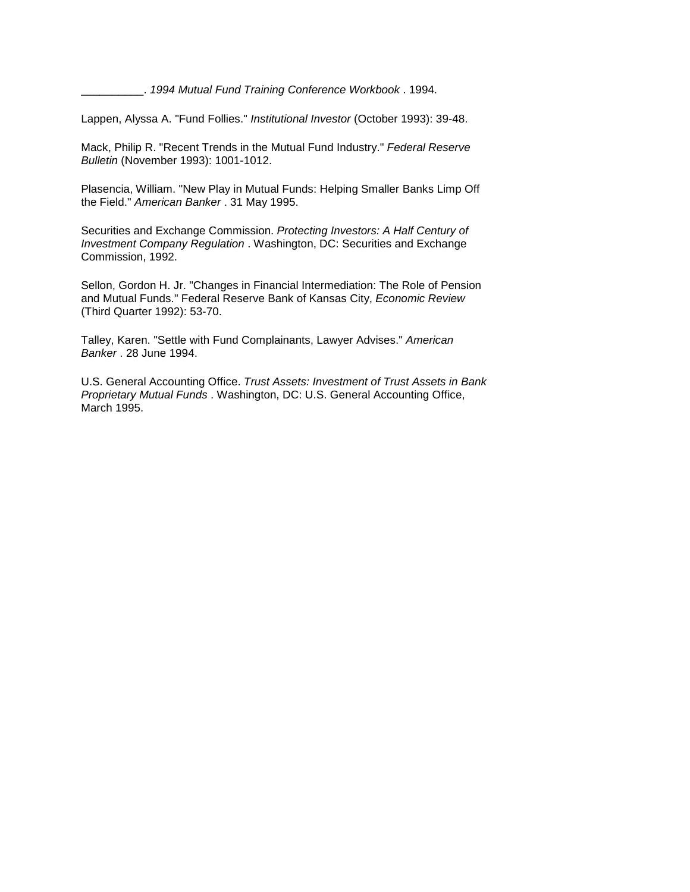\_\_\_\_\_\_\_\_\_\_. *1994 Mutual Fund Training Conference Workbook* . 1994.

Lappen, Alyssa A. "Fund Follies." *Institutional Investor* (October 1993): 39-48.

Mack, Philip R. "Recent Trends in the Mutual Fund Industry." *Federal Reserve Bulletin* (November 1993): 1001-1012.

 Plasencia, William. "New Play in Mutual Funds: Helping Smaller Banks Limp Off the Field." *American Banker* . 31 May 1995.

Securities and Exchange Commission. *Protecting Investors: A Half Century of Investment Company Regulation* . Washington, DC: Securities and Exchange Commission, 1992.

 and Mutual Funds." Federal Reserve Bank of Kansas City, *Economic Review*  Sellon, Gordon H. Jr. "Changes in Financial Intermediation: The Role of Pension (Third Quarter 1992): 53-70.

 Talley, Karen. "Settle with Fund Complainants, Lawyer Advises." *American Banker* . 28 June 1994.

U.S. General Accounting Office. *Trust Assets: Investment of Trust Assets in Bank Proprietary Mutual Funds* . Washington, DC: U.S. General Accounting Office, March 1995.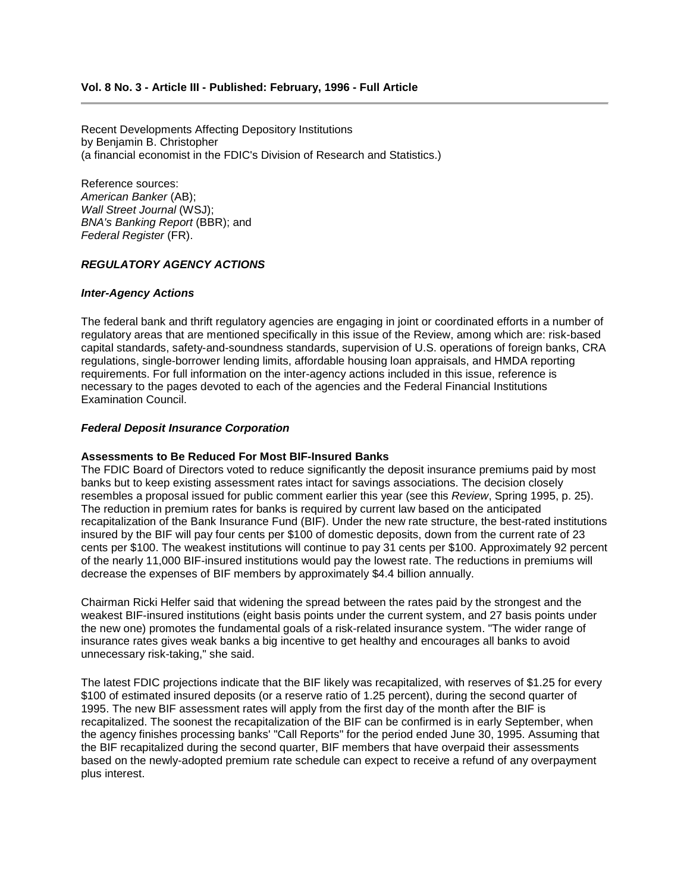# **Vol. 8 No. 3 - Article III - Published: February, 1996 - Full Article**

Recent Developments Affecting Depository Institutions by Benjamin B. Christopher (a financial economist in the FDIC's Division of Research and Statistics.)

Reference sources: *American Banker* (AB); *Wall Street Journal* (WSJ); *BNA's Banking Report* (BBR); and *Federal Register* (FR).

#### *REGULATORY AGENCY ACTIONS*

#### *Inter-Agency Actions*

 regulatory areas that are mentioned specifically in this issue of the Review, among which are: risk-based requirements. For full information on the inter-agency actions included in this issue, reference is The federal bank and thrift regulatory agencies are engaging in joint or coordinated efforts in a number of capital standards, safety-and-soundness standards, supervision of U.S. operations of foreign banks, CRA regulations, single-borrower lending limits, affordable housing loan appraisals, and HMDA reporting necessary to the pages devoted to each of the agencies and the Federal Financial Institutions Examination Council.

#### *Federal Deposit Insurance Corporation*

#### **Assessments to Be Reduced For Most BIF-Insured Banks**

 The FDIC Board of Directors voted to reduce significantly the deposit insurance premiums paid by most insured by the BIF will pay four cents per \$100 of domestic deposits, down from the current rate of 23 cents per \$100. The weakest institutions will continue to pay 31 cents per \$100. Approximately 92 percent of the nearly 11,000 BIF-insured institutions would pay the lowest rate. The reductions in premiums will banks but to keep existing assessment rates intact for savings associations. The decision closely resembles a proposal issued for public comment earlier this year (see this *Review*, Spring 1995, p. 25). The reduction in premium rates for banks is required by current law based on the anticipated recapitalization of the Bank Insurance Fund (BIF). Under the new rate structure, the best-rated institutions decrease the expenses of BIF members by approximately \$4.4 billion annually.

 Chairman Ricki Helfer said that widening the spread between the rates paid by the strongest and the weakest BIF-insured institutions (eight basis points under the current system, and 27 basis points under the new one) promotes the fundamental goals of a risk-related insurance system. "The wider range of insurance rates gives weak banks a big incentive to get healthy and encourages all banks to avoid unnecessary risk-taking," she said.

 \$100 of estimated insured deposits (or a reserve ratio of 1.25 percent), during the second quarter of 1995. The new BIF assessment rates will apply from the first day of the month after the BIF is The latest FDIC projections indicate that the BIF likely was recapitalized, with reserves of \$1.25 for every recapitalized. The soonest the recapitalization of the BIF can be confirmed is in early September, when the agency finishes processing banks' "Call Reports" for the period ended June 30, 1995. Assuming that the BIF recapitalized during the second quarter, BIF members that have overpaid their assessments based on the newly-adopted premium rate schedule can expect to receive a refund of any overpayment plus interest.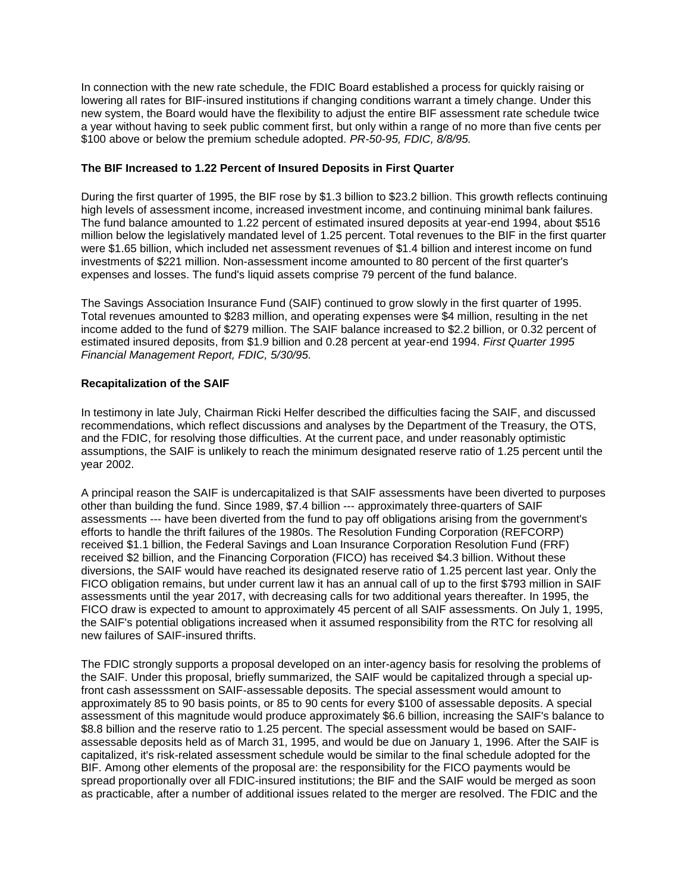a year without having to seek public comment first, but only within a range of no more than five cents per In connection with the new rate schedule, the FDIC Board established a process for quickly raising or lowering all rates for BIF-insured institutions if changing conditions warrant a timely change. Under this new system, the Board would have the flexibility to adjust the entire BIF assessment rate schedule twice \$100 above or below the premium schedule adopted. *PR-50-95, FDIC, 8/8/95.* 

### **The BIF Increased to 1.22 Percent of Insured Deposits in First Quarter**

 During the first quarter of 1995, the BIF rose by \$1.3 billion to \$23.2 billion. This growth reflects continuing expenses and losses. The fund's liquid assets comprise 79 percent of the fund balance. high levels of assessment income, increased investment income, and continuing minimal bank failures. The fund balance amounted to 1.22 percent of estimated insured deposits at year-end 1994, about \$516 million below the legislatively mandated level of 1.25 percent. Total revenues to the BIF in the first quarter were \$1.65 billion, which included net assessment revenues of \$1.4 billion and interest income on fund investments of \$221 million. Non-assessment income amounted to 80 percent of the first quarter's

 The Savings Association Insurance Fund (SAIF) continued to grow slowly in the first quarter of 1995.  *Financial Management Report, FDIC, 5/30/95.*  Total revenues amounted to \$283 million, and operating expenses were \$4 million, resulting in the net income added to the fund of \$279 million. The SAIF balance increased to \$2.2 billion, or 0.32 percent of estimated insured deposits, from \$1.9 billion and 0.28 percent at year-end 1994. *First Quarter 1995* 

## **Recapitalization of the SAIF**

 and the FDIC, for resolving those difficulties. At the current pace, and under reasonably optimistic In testimony in late July, Chairman Ricki Helfer described the difficulties facing the SAIF, and discussed recommendations, which reflect discussions and analyses by the Department of the Treasury, the OTS, assumptions, the SAIF is unlikely to reach the minimum designated reserve ratio of 1.25 percent until the year 2002.

 A principal reason the SAIF is undercapitalized is that SAIF assessments have been diverted to purposes received \$2 billion, and the Financing Corporation (FICO) has received \$4.3 billion. Without these diversions, the SAIF would have reached its designated reserve ratio of 1.25 percent last year. Only the FICO obligation remains, but under current law it has an annual call of up to the first \$793 million in SAIF assessments until the year 2017, with decreasing calls for two additional years thereafter. In 1995, the other than building the fund. Since 1989, \$7.4 billion --- approximately three-quarters of SAIF assessments --- have been diverted from the fund to pay off obligations arising from the government's efforts to handle the thrift failures of the 1980s. The Resolution Funding Corporation (REFCORP) received \$1.1 billion, the Federal Savings and Loan Insurance Corporation Resolution Fund (FRF) FICO draw is expected to amount to approximately 45 percent of all SAIF assessments. On July 1, 1995, the SAIF's potential obligations increased when it assumed responsibility from the RTC for resolving all new failures of SAIF-insured thrifts.

 the SAIF. Under this proposal, briefly summarized, the SAIF would be capitalized through a special up- approximately 85 to 90 basis points, or 85 to 90 cents for every \$100 of assessable deposits. A special assessable deposits held as of March 31, 1995, and would be due on January 1, 1996. After the SAIF is spread proportionally over all FDIC-insured institutions; the BIF and the SAIF would be merged as soon The FDIC strongly supports a proposal developed on an inter-agency basis for resolving the problems of front cash assesssment on SAIF-assessable deposits. The special assessment would amount to assessment of this magnitude would produce approximately \$6.6 billion, increasing the SAIF's balance to \$8.8 billion and the reserve ratio to 1.25 percent. The special assessment would be based on SAIFcapitalized, it's risk-related assessment schedule would be similar to the final schedule adopted for the BIF. Among other elements of the proposal are: the responsibility for the FICO payments would be as practicable, after a number of additional issues related to the merger are resolved. The FDIC and the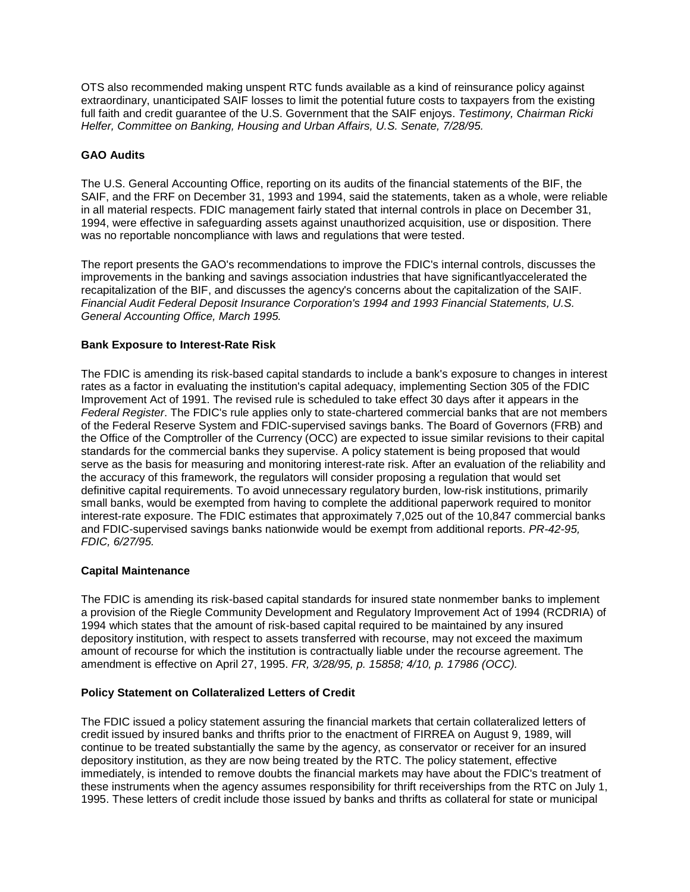OTS also recommended making unspent RTC funds available as a kind of reinsurance policy against extraordinary, unanticipated SAIF losses to limit the potential future costs to taxpayers from the existing full faith and credit guarantee of the U.S. Government that the SAIF enjoys. *Testimony, Chairman Ricki Helfer, Committee on Banking, Housing and Urban Affairs, U.S. Senate, 7/28/95.* 

## **GAO Audits**

 The U.S. General Accounting Office, reporting on its audits of the financial statements of the BIF, the 1994, were effective in safeguarding assets against unauthorized acquisition, use or disposition. There SAIF, and the FRF on December 31, 1993 and 1994, said the statements, taken as a whole, were reliable in all material respects. FDIC management fairly stated that internal controls in place on December 31, was no reportable noncompliance with laws and regulations that were tested.

The report presents the GAO's recommendations to improve the FDIC's internal controls, discusses the improvements in the banking and savings association industries that have significantlyaccelerated the recapitalization of the BIF, and discusses the agency's concerns about the capitalization of the SAIF. *Financial Audit Federal Deposit Insurance Corporation's 1994 and 1993 Financial Statements, U.S. General Accounting Office, March 1995.* 

### **Bank Exposure to Interest-Rate Risk**

 Improvement Act of 1991. The revised rule is scheduled to take effect 30 days after it appears in the standards for the commercial banks they supervise. A policy statement is being proposed that would serve as the basis for measuring and monitoring interest-rate risk. After an evaluation of the reliability and the accuracy of this framework, the regulators will consider proposing a regulation that would set definitive capital requirements. To avoid unnecessary regulatory burden, low-risk institutions, primarily The FDIC is amending its risk-based capital standards to include a bank's exposure to changes in interest rates as a factor in evaluating the institution's capital adequacy, implementing Section 305 of the FDIC *Federal Register*. The FDIC's rule applies only to state-chartered commercial banks that are not members of the Federal Reserve System and FDIC-supervised savings banks. The Board of Governors (FRB) and the Office of the Comptroller of the Currency (OCC) are expected to issue similar revisions to their capital small banks, would be exempted from having to complete the additional paperwork required to monitor interest-rate exposure. The FDIC estimates that approximately 7,025 out of the 10,847 commercial banks and FDIC-supervised savings banks nationwide would be exempt from additional reports. *PR-42-95, FDIC, 6/27/95.* 

### **Capital Maintenance**

The FDIC is amending its risk-based capital standards for insured state nonmember banks to implement a provision of the Riegle Community Development and Regulatory Improvement Act of 1994 (RCDRIA) of 1994 which states that the amount of risk-based capital required to be maintained by any insured depository institution, with respect to assets transferred with recourse, may not exceed the maximum amount of recourse for which the institution is contractually liable under the recourse agreement. The amendment is effective on April 27, 1995. *FR, 3/28/95, p. 15858; 4/10, p. 17986 (OCC).* 

### **Policy Statement on Collateralized Letters of Credit**

 credit issued by insured banks and thrifts prior to the enactment of FIRREA on August 9, 1989, will immediately, is intended to remove doubts the financial markets may have about the FDIC's treatment of these instruments when the agency assumes responsibility for thrift receiverships from the RTC on July 1, The FDIC issued a policy statement assuring the financial markets that certain collateralized letters of continue to be treated substantially the same by the agency, as conservator or receiver for an insured depository institution, as they are now being treated by the RTC. The policy statement, effective 1995. These letters of credit include those issued by banks and thrifts as collateral for state or municipal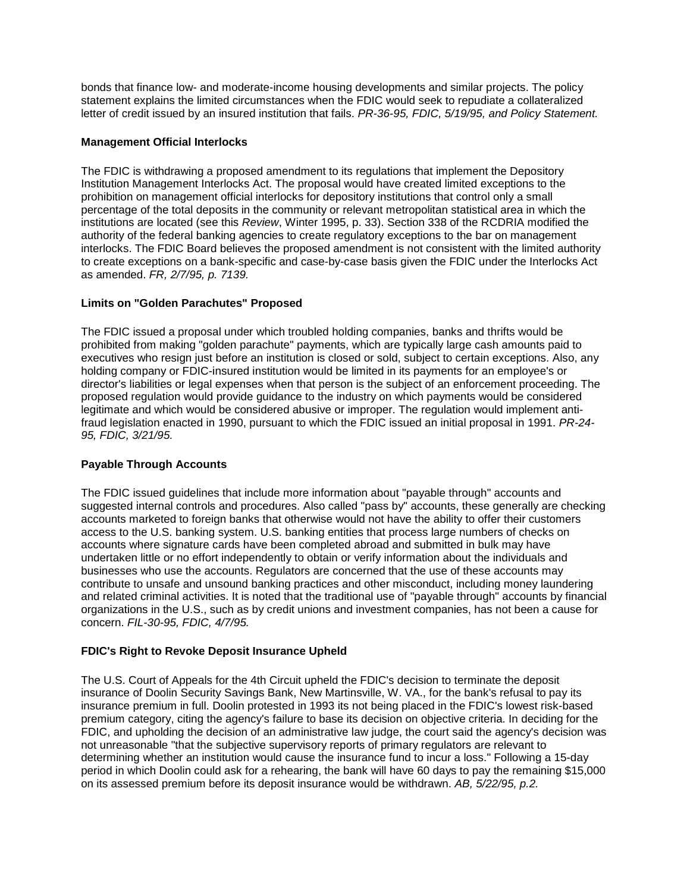letter of credit issued by an insured institution that fails. *PR-36-95, FDIC, 5/19/95, and Policy Statement.*  bonds that finance low- and moderate-income housing developments and similar projects. The policy statement explains the limited circumstances when the FDIC would seek to repudiate a collateralized

## **Management Official Interlocks**

 prohibition on management official interlocks for depository institutions that control only a small institutions are located (see this *Review*, Winter 1995, p. 33). Section 338 of the RCDRIA modified the  as amended. *FR, 2/7/95, p. 7139.*  The FDIC is withdrawing a proposed amendment to its regulations that implement the Depository Institution Management Interlocks Act. The proposal would have created limited exceptions to the percentage of the total deposits in the community or relevant metropolitan statistical area in which the authority of the federal banking agencies to create regulatory exceptions to the bar on management interlocks. The FDIC Board believes the proposed amendment is not consistent with the limited authority to create exceptions on a bank-specific and case-by-case basis given the FDIC under the Interlocks Act

## **Limits on "Golden Parachutes" Proposed**

 executives who resign just before an institution is closed or sold, subject to certain exceptions. Also, any director's liabilities or legal expenses when that person is the subject of an enforcement proceeding. The fraud legislation enacted in 1990, pursuant to which the FDIC issued an initial proposal in 1991. *PR-24* The FDIC issued a proposal under which troubled holding companies, banks and thrifts would be prohibited from making "golden parachute" payments, which are typically large cash amounts paid to holding company or FDIC-insured institution would be limited in its payments for an employee's or proposed regulation would provide guidance to the industry on which payments would be considered legitimate and which would be considered abusive or improper. The regulation would implement anti-*95, FDIC, 3/21/95.* 

# **Payable Through Accounts**

 access to the U.S. banking system. U.S. banking entities that process large numbers of checks on and related criminal activities. It is noted that the traditional use of "payable through" accounts by financial The FDIC issued guidelines that include more information about "payable through" accounts and suggested internal controls and procedures. Also called "pass by" accounts, these generally are checking accounts marketed to foreign banks that otherwise would not have the ability to offer their customers accounts where signature cards have been completed abroad and submitted in bulk may have undertaken little or no effort independently to obtain or verify information about the individuals and businesses who use the accounts. Regulators are concerned that the use of these accounts may contribute to unsafe and unsound banking practices and other misconduct, including money laundering organizations in the U.S., such as by credit unions and investment companies, has not been a cause for concern. *FIL-30-95, FDIC, 4/7/95.* 

## **FDIC's Right to Revoke Deposit Insurance Upheld**

 FDIC, and upholding the decision of an administrative law judge, the court said the agency's decision was determining whether an institution would cause the insurance fund to incur a loss." Following a 15-day The U.S. Court of Appeals for the 4th Circuit upheld the FDIC's decision to terminate the deposit insurance of Doolin Security Savings Bank, New Martinsville, W. VA., for the bank's refusal to pay its insurance premium in full. Doolin protested in 1993 its not being placed in the FDIC's lowest risk-based premium category, citing the agency's failure to base its decision on objective criteria. In deciding for the not unreasonable "that the subjective supervisory reports of primary regulators are relevant to period in which Doolin could ask for a rehearing, the bank will have 60 days to pay the remaining \$15,000 on its assessed premium before its deposit insurance would be withdrawn. *AB, 5/22/95, p.2.*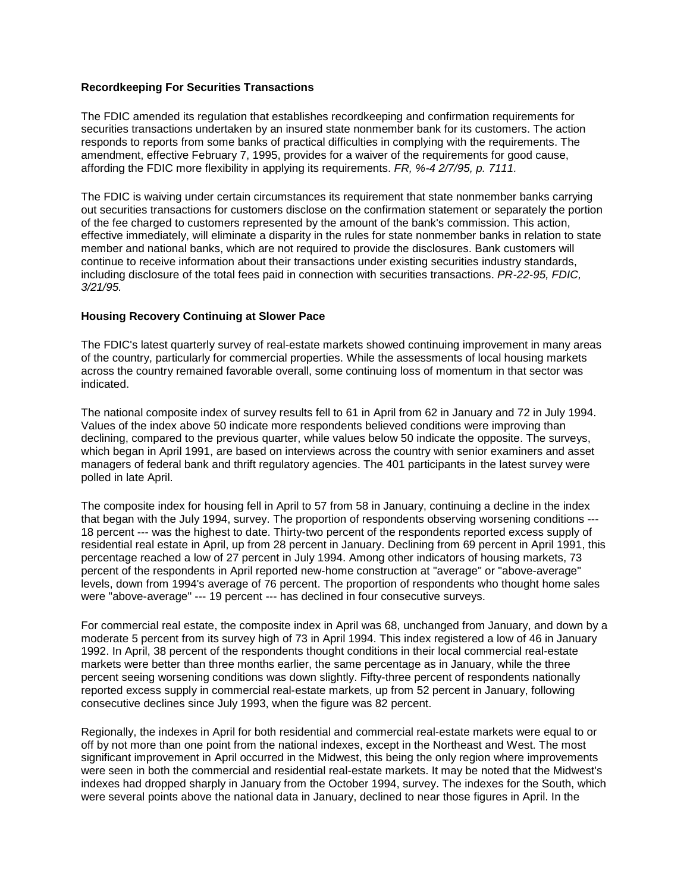## **Recordkeeping For Securities Transactions**

The FDIC amended its regulation that establishes recordkeeping and confirmation requirements for securities transactions undertaken by an insured state nonmember bank for its customers. The action responds to reports from some banks of practical difficulties in complying with the requirements. The amendment, effective February 7, 1995, provides for a waiver of the requirements for good cause, affording the FDIC more flexibility in applying its requirements. *FR, %-4 2/7/95, p. 7111.* 

 effective immediately, will eliminate a disparity in the rules for state nonmember banks in relation to state The FDIC is waiving under certain circumstances its requirement that state nonmember banks carrying out securities transactions for customers disclose on the confirmation statement or separately the portion of the fee charged to customers represented by the amount of the bank's commission. This action, member and national banks, which are not required to provide the disclosures. Bank customers will continue to receive information about their transactions under existing securities industry standards, including disclosure of the total fees paid in connection with securities transactions. *PR-22-95, FDIC, 3/21/95.* 

## **Housing Recovery Continuing at Slower Pace**

 The FDIC's latest quarterly survey of real-estate markets showed continuing improvement in many areas across the country remained favorable overall, some continuing loss of momentum in that sector was of the country, particularly for commercial properties. While the assessments of local housing markets indicated.

 The national composite index of survey results fell to 61 in April from 62 in January and 72 in July 1994. declining, compared to the previous quarter, while values below 50 indicate the opposite. The surveys, which began in April 1991, are based on interviews across the country with senior examiners and asset managers of federal bank and thrift regulatory agencies. The 401 participants in the latest survey were Values of the index above 50 indicate more respondents believed conditions were improving than polled in late April.

 18 percent --- was the highest to date. Thirty-two percent of the respondents reported excess supply of residential real estate in April, up from 28 percent in January. Declining from 69 percent in April 1991, this The composite index for housing fell in April to 57 from 58 in January, continuing a decline in the index that began with the July 1994, survey. The proportion of respondents observing worsening conditions - percentage reached a low of 27 percent in July 1994. Among other indicators of housing markets, 73 percent of the respondents in April reported new-home construction at "average" or "above-average" levels, down from 1994's average of 76 percent. The proportion of respondents who thought home sales were "above-average" --- 19 percent --- has declined in four consecutive surveys.

 1992. In April, 38 percent of the respondents thought conditions in their local commercial real-estate consecutive declines since July 1993, when the figure was 82 percent. For commercial real estate, the composite index in April was 68, unchanged from January, and down by a moderate 5 percent from its survey high of 73 in April 1994. This index registered a low of 46 in January markets were better than three months earlier, the same percentage as in January, while the three percent seeing worsening conditions was down slightly. Fifty-three percent of respondents nationally reported excess supply in commercial real-estate markets, up from 52 percent in January, following

 off by not more than one point from the national indexes, except in the Northeast and West. The most indexes had dropped sharply in January from the October 1994, survey. The indexes for the South, which Regionally, the indexes in April for both residential and commercial real-estate markets were equal to or significant improvement in April occurred in the Midwest, this being the only region where improvements were seen in both the commercial and residential real-estate markets. It may be noted that the Midwest's were several points above the national data in January, declined to near those figures in April. In the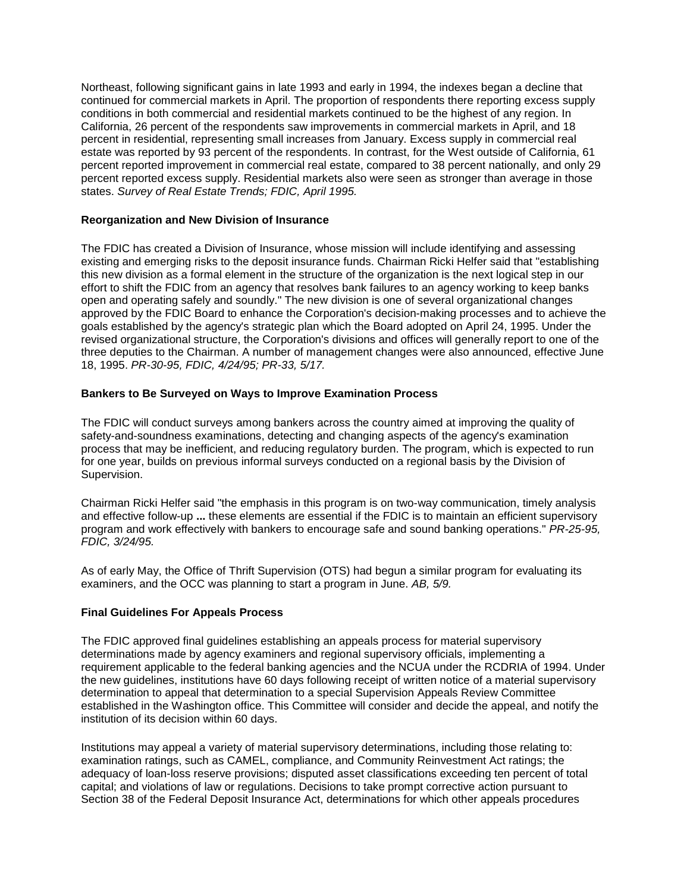California, 26 percent of the respondents saw improvements in commercial markets in April, and 18 percent in residential, representing small increases from January. Excess supply in commercial real percent reported improvement in commercial real estate, compared to 38 percent nationally, and only 29  states. *Survey of Real Estate Trends; FDIC, April 1995.*  Northeast, following significant gains in late 1993 and early in 1994, the indexes began a decline that continued for commercial markets in April. The proportion of respondents there reporting excess supply conditions in both commercial and residential markets continued to be the highest of any region. In estate was reported by 93 percent of the respondents. In contrast, for the West outside of California, 61 percent reported excess supply. Residential markets also were seen as stronger than average in those

## **Reorganization and New Division of Insurance**

The FDIC has created a Division of Insurance, whose mission will include identifying and assessing existing and emerging risks to the deposit insurance funds. Chairman Ricki Helfer said that "establishing this new division as a formal element in the structure of the organization is the next logical step in our effort to shift the FDIC from an agency that resolves bank failures to an agency working to keep banks open and operating safely and soundly." The new division is one of several organizational changes approved by the FDIC Board to enhance the Corporation's decision-making processes and to achieve the goals established by the agency's strategic plan which the Board adopted on April 24, 1995. Under the revised organizational structure, the Corporation's divisions and offices will generally report to one of the three deputies to the Chairman. A number of management changes were also announced, effective June 18, 1995. *PR-30-95, FDIC, 4/24/95; PR-33, 5/17.* 

## **Bankers to Be Surveyed on Ways to Improve Examination Process**

 The FDIC will conduct surveys among bankers across the country aimed at improving the quality of safety-and-soundness examinations, detecting and changing aspects of the agency's examination process that may be inefficient, and reducing regulatory burden. The program, which is expected to run for one year, builds on previous informal surveys conducted on a regional basis by the Division of Supervision.

 Chairman Ricki Helfer said "the emphasis in this program is on two-way communication, timely analysis and effective follow-up **...** these elements are essential if the FDIC is to maintain an efficient supervisory program and work effectively with bankers to encourage safe and sound banking operations." *PR-25-95, FDIC, 3/24/95.* 

As of early May, the Office of Thrift Supervision (OTS) had begun a similar program for evaluating its examiners, and the OCC was planning to start a program in June. *AB, 5/9.* 

### **Final Guidelines For Appeals Process**

 determinations made by agency examiners and regional supervisory officials, implementing a requirement applicable to the federal banking agencies and the NCUA under the RCDRIA of 1994. Under institution of its decision within 60 days. The FDIC approved final guidelines establishing an appeals process for material supervisory the new guidelines, institutions have 60 days following receipt of written notice of a material supervisory determination to appeal that determination to a special Supervision Appeals Review Committee established in the Washington office. This Committee will consider and decide the appeal, and notify the

Institutions may appeal a variety of material supervisory determinations, including those relating to: examination ratings, such as CAMEL, compliance, and Community Reinvestment Act ratings; the adequacy of loan-loss reserve provisions; disputed asset classifications exceeding ten percent of total capital; and violations of law or regulations. Decisions to take prompt corrective action pursuant to Section 38 of the Federal Deposit Insurance Act, determinations for which other appeals procedures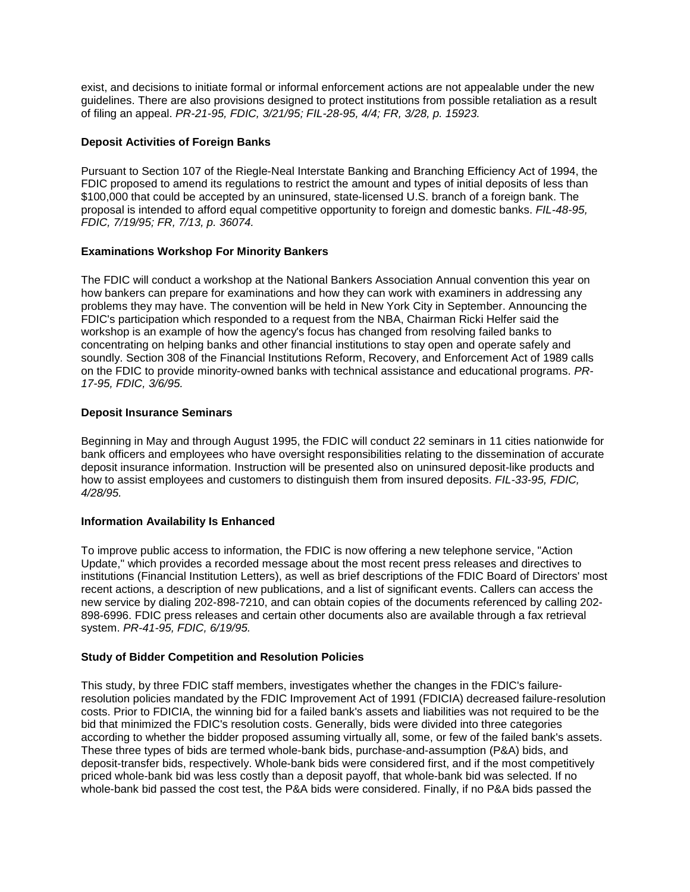guidelines. There are also provisions designed to protect institutions from possible retaliation as a result  of filing an appeal. *PR-21-95, FDIC, 3/21/95; FIL-28-95, 4/4; FR, 3/28, p. 15923.*  exist, and decisions to initiate formal or informal enforcement actions are not appealable under the new

## **Deposit Activities of Foreign Banks**

Pursuant to Section 107 of the Riegle-Neal Interstate Banking and Branching Efficiency Act of 1994, the FDIC proposed to amend its regulations to restrict the amount and types of initial deposits of less than \$100,000 that could be accepted by an uninsured, state-licensed U.S. branch of a foreign bank. The proposal is intended to afford equal competitive opportunity to foreign and domestic banks. *FIL-48-95, FDIC, 7/19/95; FR, 7/13, p. 36074.* 

## **Examinations Workshop For Minority Bankers**

 The FDIC will conduct a workshop at the National Bankers Association Annual convention this year on problems they may have. The convention will be held in New York City in September. Announcing the concentrating on helping banks and other financial institutions to stay open and operate safely and  *17-95, FDIC, 3/6/95.*  how bankers can prepare for examinations and how they can work with examiners in addressing any FDIC's participation which responded to a request from the NBA, Chairman Ricki Helfer said the workshop is an example of how the agency's focus has changed from resolving failed banks to soundly. Section 308 of the Financial Institutions Reform, Recovery, and Enforcement Act of 1989 calls on the FDIC to provide minority-owned banks with technical assistance and educational programs. *PR-*

### **Deposit Insurance Seminars**

Beginning in May and through August 1995, the FDIC will conduct 22 seminars in 11 cities nationwide for bank officers and employees who have oversight responsibilities relating to the dissemination of accurate deposit insurance information. Instruction will be presented also on uninsured deposit-like products and how to assist employees and customers to distinguish them from insured deposits. *FIL-33-95, FDIC, 4/28/95.* 

### **Information Availability Is Enhanced**

To improve public access to information, the FDIC is now offering a new telephone service, "Action Update," which provides a recorded message about the most recent press releases and directives to institutions (Financial Institution Letters), as well as brief descriptions of the FDIC Board of Directors' most recent actions, a description of new publications, and a list of significant events. Callers can access the new service by dialing 202-898-7210, and can obtain copies of the documents referenced by calling 202 898-6996. FDIC press releases and certain other documents also are available through a fax retrieval system. *PR-41-95, FDIC, 6/19/95.* 

# **Study of Bidder Competition and Resolution Policies**

 bid that minimized the FDIC's resolution costs. Generally, bids were divided into three categories This study, by three FDIC staff members, investigates whether the changes in the FDIC's failureresolution policies mandated by the FDIC Improvement Act of 1991 (FDICIA) decreased failure-resolution costs. Prior to FDICIA, the winning bid for a failed bank's assets and liabilities was not required to be the according to whether the bidder proposed assuming virtually all, some, or few of the failed bank's assets. These three types of bids are termed whole-bank bids, purchase-and-assumption (P&A) bids, and deposit-transfer bids, respectively. Whole-bank bids were considered first, and if the most competitively priced whole-bank bid was less costly than a deposit payoff, that whole-bank bid was selected. If no whole-bank bid passed the cost test, the P&A bids were considered. Finally, if no P&A bids passed the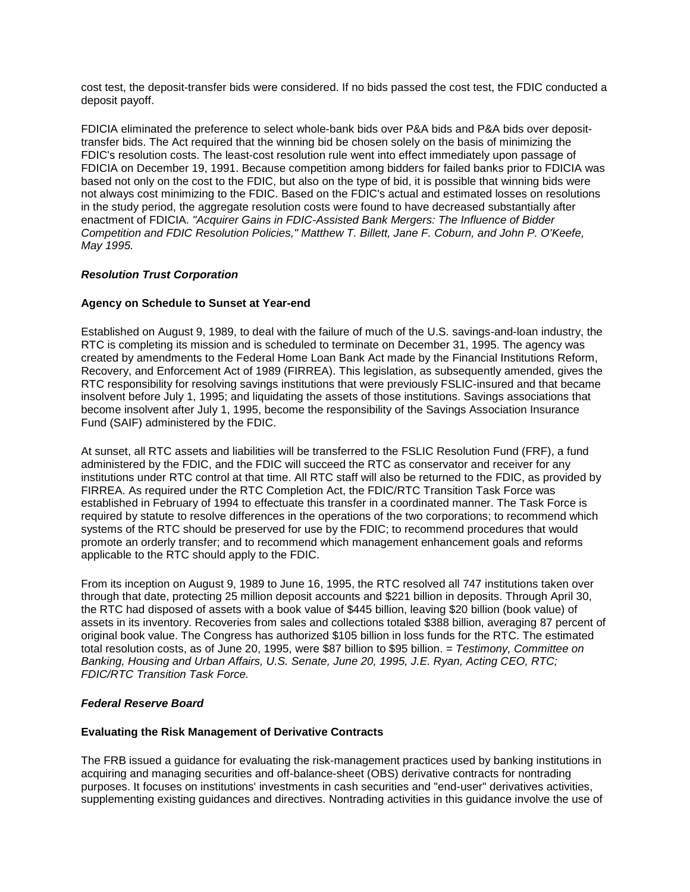cost test, the deposit-transfer bids were considered. If no bids passed the cost test, the FDIC conducted a deposit payoff.

 transfer bids. The Act required that the winning bid be chosen solely on the basis of minimizing the FDIC's resolution costs. The least-cost resolution rule went into effect immediately upon passage of FDICIA on December 19, 1991. Because competition among bidders for failed banks prior to FDICIA was based not only on the cost to the FDIC, but also on the type of bid, it is possible that winning bids were in the study period, the aggregate resolution costs were found to have decreased substantially after FDICIA eliminated the preference to select whole-bank bids over P&A bids and P&A bids over depositnot always cost minimizing to the FDIC. Based on the FDIC's actual and estimated losses on resolutions enactment of FDICIA. *"Acquirer Gains in FDIC-Assisted Bank Mergers: The Influence of Bidder Competition and FDIC Resolution Policies," Matthew T. Billett, Jane F. Coburn, and John P. O'Keefe, May 1995.* 

## *Resolution Trust Corporation*

## **Agency on Schedule to Sunset at Year-end**

 Established on August 9, 1989, to deal with the failure of much of the U.S. savings-and-loan industry, the RTC is completing its mission and is scheduled to terminate on December 31, 1995. The agency was created by amendments to the Federal Home Loan Bank Act made by the Financial Institutions Reform, Recovery, and Enforcement Act of 1989 (FIRREA). This legislation, as subsequently amended, gives the RTC responsibility for resolving savings institutions that were previously FSLIC-insured and that became insolvent before July 1, 1995; and liquidating the assets of those institutions. Savings associations that become insolvent after July 1, 1995, become the responsibility of the Savings Association Insurance Fund (SAIF) administered by the FDIC.

 administered by the FDIC, and the FDIC will succeed the RTC as conservator and receiver for any At sunset, all RTC assets and liabilities will be transferred to the FSLIC Resolution Fund (FRF), a fund institutions under RTC control at that time. All RTC staff will also be returned to the FDIC, as provided by FIRREA. As required under the RTC Completion Act, the FDIC/RTC Transition Task Force was established in February of 1994 to effectuate this transfer in a coordinated manner. The Task Force is required by statute to resolve differences in the operations of the two corporations; to recommend which systems of the RTC should be preserved for use by the FDIC; to recommend procedures that would promote an orderly transfer; and to recommend which management enhancement goals and reforms applicable to the RTC should apply to the FDIC.

 assets in its inventory. Recoveries from sales and collections totaled \$388 billion, averaging 87 percent of  *FDIC/RTC Transition Task Force.*  From its inception on August 9, 1989 to June 16, 1995, the RTC resolved all 747 institutions taken over through that date, protecting 25 million deposit accounts and \$221 billion in deposits. Through April 30, the RTC had disposed of assets with a book value of \$445 billion, leaving \$20 billion (book value) of original book value. The Congress has authorized \$105 billion in loss funds for the RTC. The estimated total resolution costs, as of June 20, 1995, were \$87 billion to \$95 billion. *= Testimony, Committee on Banking, Housing and Urban Affairs, U.S. Senate, June 20, 1995, J.E. Ryan, Acting CEO, RTC;* 

### *Federal Reserve Board*

### **Evaluating the Risk Management of Derivative Contracts**

The FRB issued a guidance for evaluating the risk-management practices used by banking institutions in acquiring and managing securities and off-balance-sheet (OBS) derivative contracts for nontrading purposes. It focuses on institutions' investments in cash securities and "end-user" derivatives activities, supplementing existing guidances and directives. Nontrading activities in this guidance involve the use of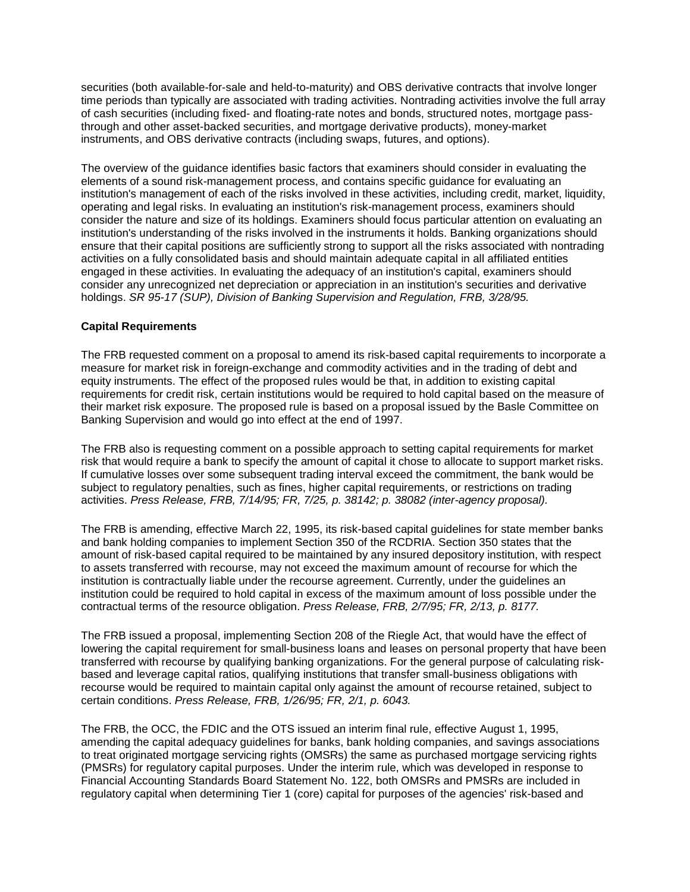securities (both available-for-sale and held-to-maturity) and OBS derivative contracts that involve longer time periods than typically are associated with trading activities. Nontrading activities involve the full array of cash securities (including fixed- and floating-rate notes and bonds, structured notes, mortgage passthrough and other asset-backed securities, and mortgage derivative products), money-market instruments, and OBS derivative contracts (including swaps, futures, and options).

 institution's management of each of the risks involved in these activities, including credit, market, liquidity, activities on a fully consolidated basis and should maintain adequate capital in all affiliated entities  holdings. *SR 95-17 (SUP), Division of Banking Supervision and Regulation, FRB, 3/28/95.*  The overview of the guidance identifies basic factors that examiners should consider in evaluating the elements of a sound risk-management process, and contains specific guidance for evaluating an operating and legal risks. In evaluating an institution's risk-management process, examiners should consider the nature and size of its holdings. Examiners should focus particular attention on evaluating an institution's understanding of the risks involved in the instruments it holds. Banking organizations should ensure that their capital positions are sufficiently strong to support all the risks associated with nontrading engaged in these activities. In evaluating the adequacy of an institution's capital, examiners should consider any unrecognized net depreciation or appreciation in an institution's securities and derivative

### **Capital Requirements**

 their market risk exposure. The proposed rule is based on a proposal issued by the Basle Committee on The FRB requested comment on a proposal to amend its risk-based capital requirements to incorporate a measure for market risk in foreign-exchange and commodity activities and in the trading of debt and equity instruments. The effect of the proposed rules would be that, in addition to existing capital requirements for credit risk, certain institutions would be required to hold capital based on the measure of Banking Supervision and would go into effect at the end of 1997.

 The FRB also is requesting comment on a possible approach to setting capital requirements for market risk that would require a bank to specify the amount of capital it chose to allocate to support market risks. If cumulative losses over some subsequent trading interval exceed the commitment, the bank would be subject to regulatory penalties, such as fines, higher capital requirements, or restrictions on trading activities. *Press Release, FRB, 7/14/95; FR, 7/25, p. 38142; p. 38082 (inter-agency proposal).* 

 to assets transferred with recourse, may not exceed the maximum amount of recourse for which the  contractual terms of the resource obligation. *Press Release, FRB, 2/7/95; FR, 2/13, p. 8177.*  The FRB is amending, effective March 22, 1995, its risk-based capital guidelines for state member banks and bank holding companies to implement Section 350 of the RCDRIA. Section 350 states that the amount of risk-based capital required to be maintained by any insured depository institution, with respect institution is contractually liable under the recourse agreement. Currently, under the guidelines an institution could be required to hold capital in excess of the maximum amount of loss possible under the

 certain conditions. *Press Release, FRB, 1/26/95; FR, 2/1, p. 6043.*  The FRB issued a proposal, implementing Section 208 of the Riegle Act, that would have the effect of lowering the capital requirement for small-business loans and leases on personal property that have been transferred with recourse by qualifying banking organizations. For the general purpose of calculating riskbased and leverage capital ratios, qualifying institutions that transfer small-business obligations with recourse would be required to maintain capital only against the amount of recourse retained, subject to

 amending the capital adequacy guidelines for banks, bank holding companies, and savings associations Financial Accounting Standards Board Statement No. 122, both OMSRs and PMSRs are included in The FRB, the OCC, the FDIC and the OTS issued an interim final rule, effective August 1, 1995, to treat originated mortgage servicing rights (OMSRs) the same as purchased mortgage servicing rights (PMSRs) for regulatory capital purposes. Under the interim rule, which was developed in response to regulatory capital when determining Tier 1 (core) capital for purposes of the agencies' risk-based and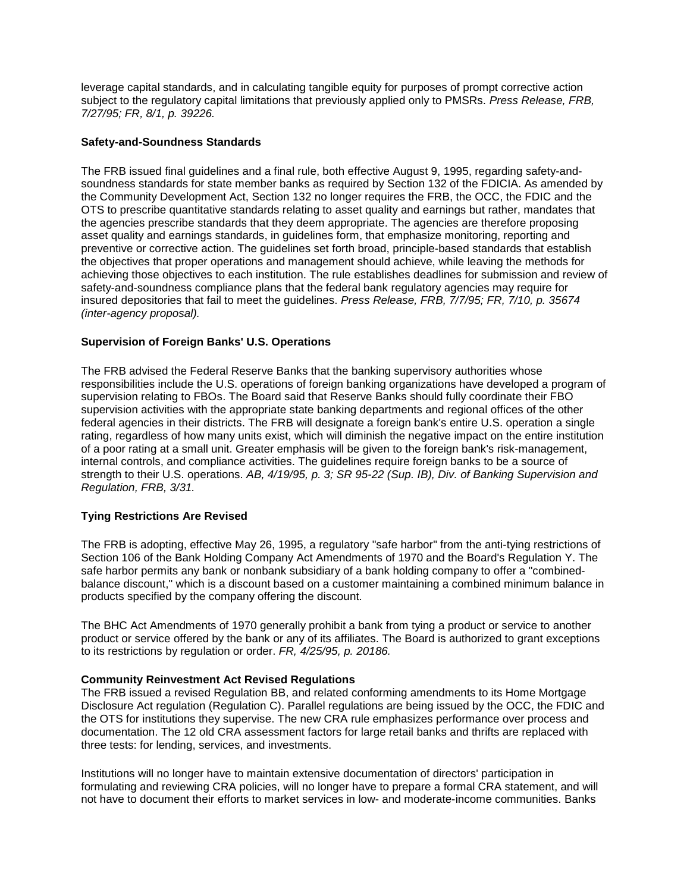leverage capital standards, and in calculating tangible equity for purposes of prompt corrective action subject to the regulatory capital limitations that previously applied only to PMSRs. *Press Release, FRB, 7/27/95; FR, 8/1, p. 39226.* 

### **Safety-and-Soundness Standards**

The FRB issued final guidelines and a final rule, both effective August 9, 1995, regarding safety-andsoundness standards for state member banks as required by Section 132 of the FDICIA. As amended by the Community Development Act, Section 132 no longer requires the FRB, the OCC, the FDIC and the OTS to prescribe quantitative standards relating to asset quality and earnings but rather, mandates that the agencies prescribe standards that they deem appropriate. The agencies are therefore proposing asset quality and earnings standards, in guidelines form, that emphasize monitoring, reporting and preventive or corrective action. The guidelines set forth broad, principle-based standards that establish the objectives that proper operations and management should achieve, while leaving the methods for achieving those objectives to each institution. The rule establishes deadlines for submission and review of safety-and-soundness compliance plans that the federal bank regulatory agencies may require for insured depositories that fail to meet the guidelines. *Press Release, FRB, 7/7/95; FR, 7/10, p. 35674 (inter-agency proposal).* 

## **Supervision of Foreign Banks' U.S. Operations**

 The FRB advised the Federal Reserve Banks that the banking supervisory authorities whose rating, regardless of how many units exist, which will diminish the negative impact on the entire institution strength to their U.S. operations. *AB, 4/19/95, p. 3; SR 95-22 (Sup. IB), Div. of Banking Supervision and*  responsibilities include the U.S. operations of foreign banking organizations have developed a program of supervision relating to FBOs. The Board said that Reserve Banks should fully coordinate their FBO supervision activities with the appropriate state banking departments and regional offices of the other federal agencies in their districts. The FRB will designate a foreign bank's entire U.S. operation a single of a poor rating at a small unit. Greater emphasis will be given to the foreign bank's risk-management, internal controls, and compliance activities. The guidelines require foreign banks to be a source of *Regulation, FRB, 3/31.* 

### **Tying Restrictions Are Revised**

 The FRB is adopting, effective May 26, 1995, a regulatory "safe harbor" from the anti-tying restrictions of Section 106 of the Bank Holding Company Act Amendments of 1970 and the Board's Regulation Y. The safe harbor permits any bank or nonbank subsidiary of a bank holding company to offer a "combinedbalance discount," which is a discount based on a customer maintaining a combined minimum balance in products specified by the company offering the discount.

The BHC Act Amendments of 1970 generally prohibit a bank from tying a product or service to another product or service offered by the bank or any of its affiliates. The Board is authorized to grant exceptions to its restrictions by regulation or order. *FR, 4/25/95, p. 20186.* 

### **Community Reinvestment Act Revised Regulations**

The FRB issued a revised Regulation BB, and related conforming amendments to its Home Mortgage Disclosure Act regulation (Regulation C). Parallel regulations are being issued by the OCC, the FDIC and the OTS for institutions they supervise. The new CRA rule emphasizes performance over process and documentation. The 12 old CRA assessment factors for large retail banks and thrifts are replaced with three tests: for lending, services, and investments.

 Institutions will no longer have to maintain extensive documentation of directors' participation in formulating and reviewing CRA policies, will no longer have to prepare a formal CRA statement, and will not have to document their efforts to market services in low- and moderate-income communities. Banks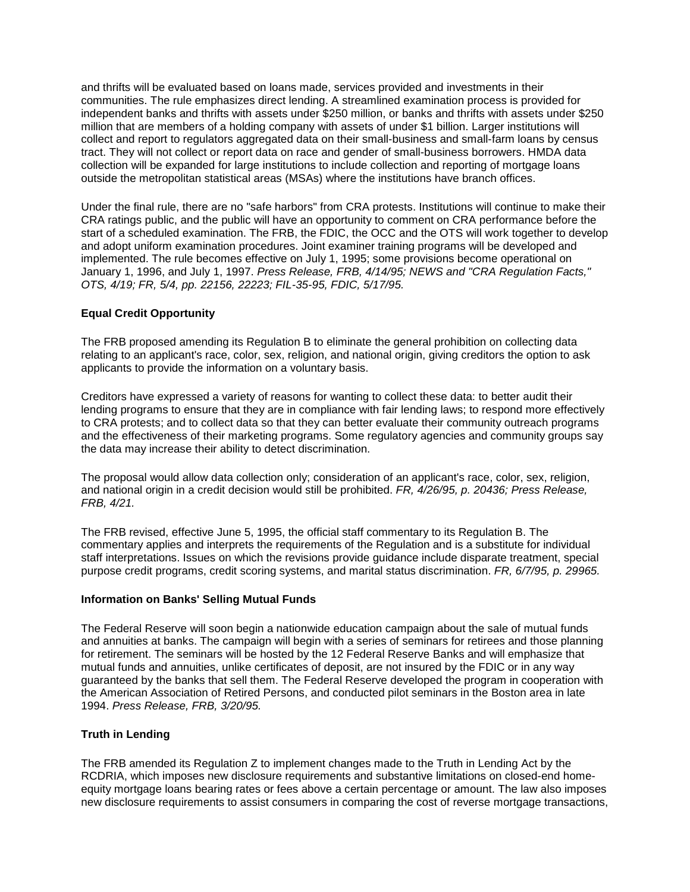million that are members of a holding company with assets of under \$1 billion. Larger institutions will collect and report to regulators aggregated data on their small-business and small-farm loans by census and thrifts will be evaluated based on loans made, services provided and investments in their communities. The rule emphasizes direct lending. A streamlined examination process is provided for independent banks and thrifts with assets under \$250 million, or banks and thrifts with assets under \$250 tract. They will not collect or report data on race and gender of small-business borrowers. HMDA data collection will be expanded for large institutions to include collection and reporting of mortgage loans outside the metropolitan statistical areas (MSAs) where the institutions have branch offices.

 start of a scheduled examination. The FRB, the FDIC, the OCC and the OTS will work together to develop January 1, 1996, and July 1, 1997. *Press Release, FRB, 4/14/95; NEWS and "CRA Regulation Facts,"*  Under the final rule, there are no "safe harbors" from CRA protests. Institutions will continue to make their CRA ratings public, and the public will have an opportunity to comment on CRA performance before the and adopt uniform examination procedures. Joint examiner training programs will be developed and implemented. The rule becomes effective on July 1, 1995; some provisions become operational on *OTS, 4/19; FR, 5/4, pp. 22156, 22223; FIL-35-95, FDIC, 5/17/95.* 

# **Equal Credit Opportunity**

The FRB proposed amending its Regulation B to eliminate the general prohibition on collecting data relating to an applicant's race, color, sex, religion, and national origin, giving creditors the option to ask applicants to provide the information on a voluntary basis.

 Creditors have expressed a variety of reasons for wanting to collect these data: to better audit their the data may increase their ability to detect discrimination. lending programs to ensure that they are in compliance with fair lending laws; to respond more effectively to CRA protests; and to collect data so that they can better evaluate their community outreach programs and the effectiveness of their marketing programs. Some regulatory agencies and community groups say

The proposal would allow data collection only; consideration of an applicant's race, color, sex, religion, and national origin in a credit decision would still be prohibited. *FR, 4/26/95, p. 20436; Press Release, FRB, 4/21.* 

The FRB revised, effective June 5, 1995, the official staff commentary to its Regulation B. The commentary applies and interprets the requirements of the Regulation and is a substitute for individual staff interpretations. Issues on which the revisions provide guidance include disparate treatment, special purpose credit programs, credit scoring systems, and marital status discrimination. *FR, 6/7/95, p. 29965.* 

### **Information on Banks' Selling Mutual Funds**

 mutual funds and annuities, unlike certificates of deposit, are not insured by the FDIC or in any way The Federal Reserve will soon begin a nationwide education campaign about the sale of mutual funds and annuities at banks. The campaign will begin with a series of seminars for retirees and those planning for retirement. The seminars will be hosted by the 12 Federal Reserve Banks and will emphasize that guaranteed by the banks that sell them. The Federal Reserve developed the program in cooperation with the American Association of Retired Persons, and conducted pilot seminars in the Boston area in late 1994. *Press Release, FRB, 3/20/95.* 

### **Truth in Lending**

The FRB amended its Regulation Z to implement changes made to the Truth in Lending Act by the RCDRIA, which imposes new disclosure requirements and substantive limitations on closed-end homeequity mortgage loans bearing rates or fees above a certain percentage or amount. The law also imposes new disclosure requirements to assist consumers in comparing the cost of reverse mortgage transactions,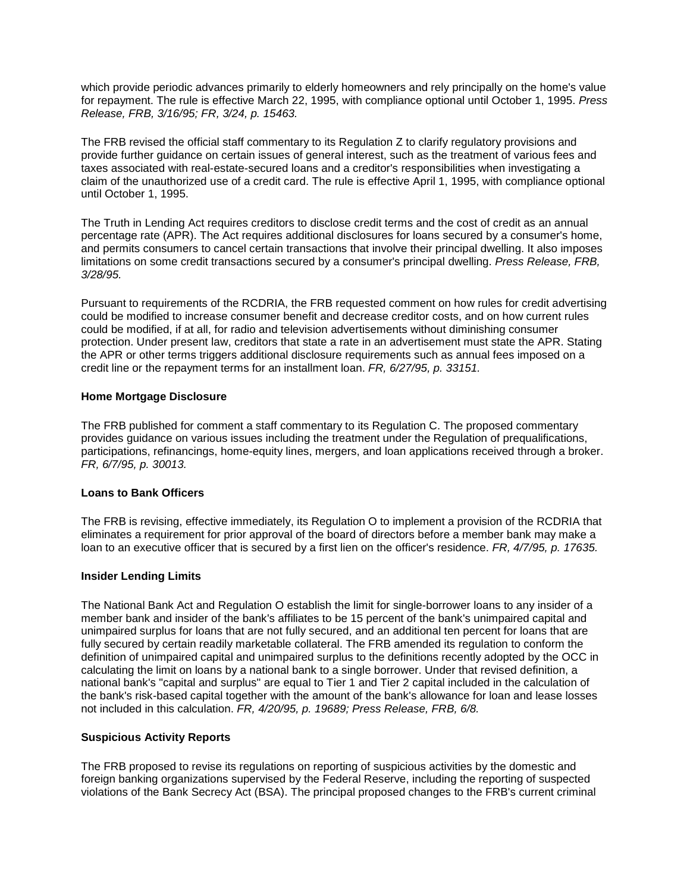which provide periodic advances primarily to elderly homeowners and rely principally on the home's value for repayment. The rule is effective March 22, 1995, with compliance optional until October 1, 1995. *Press Release, FRB, 3/16/95; FR, 3/24, p. 15463.* 

 until October 1, 1995. The FRB revised the official staff commentary to its Regulation Z to clarify regulatory provisions and provide further guidance on certain issues of general interest, such as the treatment of various fees and taxes associated with real-estate-secured loans and a creditor's responsibilities when investigating a claim of the unauthorized use of a credit card. The rule is effective April 1, 1995, with compliance optional

 The Truth in Lending Act requires creditors to disclose credit terms and the cost of credit as an annual percentage rate (APR). The Act requires additional disclosures for loans secured by a consumer's home, and permits consumers to cancel certain transactions that involve their principal dwelling. It also imposes limitations on some credit transactions secured by a consumer's principal dwelling. *Press Release, FRB, 3/28/95.* 

 credit line or the repayment terms for an installment loan. *FR, 6/27/95, p. 33151.*  Pursuant to requirements of the RCDRIA, the FRB requested comment on how rules for credit advertising could be modified to increase consumer benefit and decrease creditor costs, and on how current rules could be modified, if at all, for radio and television advertisements without diminishing consumer protection. Under present law, creditors that state a rate in an advertisement must state the APR. Stating the APR or other terms triggers additional disclosure requirements such as annual fees imposed on a

### **Home Mortgage Disclosure**

 *FR, 6/7/95, p. 30013.*  The FRB published for comment a staff commentary to its Regulation C. The proposed commentary provides guidance on various issues including the treatment under the Regulation of prequalifications, participations, refinancings, home-equity lines, mergers, and loan applications received through a broker.

### **Loans to Bank Officers**

 loan to an executive officer that is secured by a first lien on the officer's residence. *FR, 4/7/95, p. 17635.*  The FRB is revising, effective immediately, its Regulation O to implement a provision of the RCDRIA that eliminates a requirement for prior approval of the board of directors before a member bank may make a

### **Insider Lending Limits**

 member bank and insider of the bank's affiliates to be 15 percent of the bank's unimpaired capital and  not included in this calculation. *FR, 4/20/95, p. 19689; Press Release, FRB, 6/8.*  The National Bank Act and Regulation O establish the limit for single-borrower loans to any insider of a unimpaired surplus for loans that are not fully secured, and an additional ten percent for loans that are fully secured by certain readily marketable collateral. The FRB amended its regulation to conform the definition of unimpaired capital and unimpaired surplus to the definitions recently adopted by the OCC in calculating the limit on loans by a national bank to a single borrower. Under that revised definition, a national bank's "capital and surplus" are equal to Tier 1 and Tier 2 capital included in the calculation of the bank's risk-based capital together with the amount of the bank's allowance for loan and lease losses

### **Suspicious Activity Reports**

The FRB proposed to revise its regulations on reporting of suspicious activities by the domestic and foreign banking organizations supervised by the Federal Reserve, including the reporting of suspected violations of the Bank Secrecy Act (BSA). The principal proposed changes to the FRB's current criminal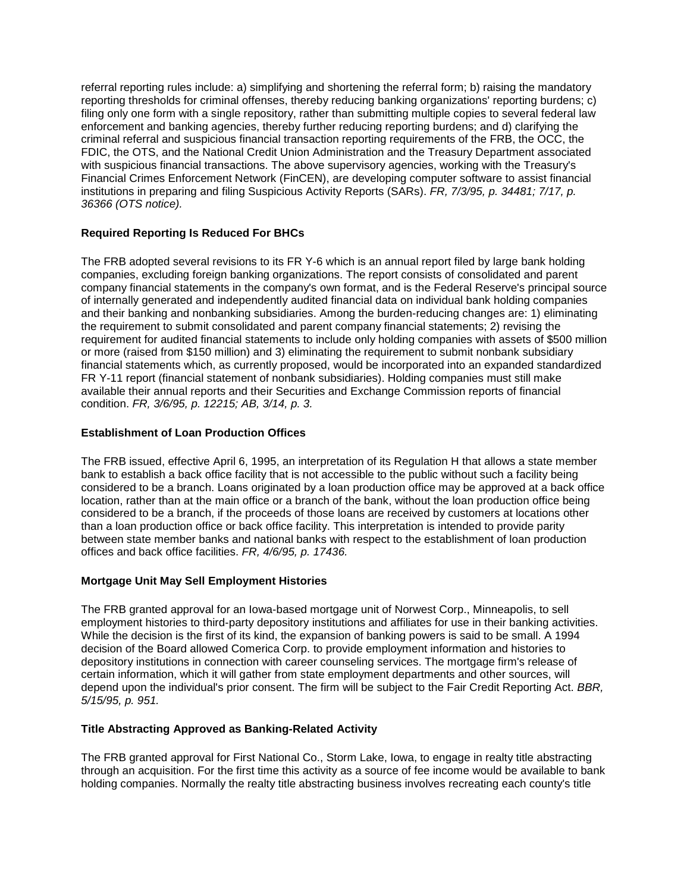filing only one form with a single repository, rather than submitting multiple copies to several federal law with suspicious financial transactions. The above supervisory agencies, working with the Treasury's  institutions in preparing and filing Suspicious Activity Reports (SARs). *FR, 7/3/95, p. 34481; 7/17, p.*  referral reporting rules include: a) simplifying and shortening the referral form; b) raising the mandatory reporting thresholds for criminal offenses, thereby reducing banking organizations' reporting burdens; c) enforcement and banking agencies, thereby further reducing reporting burdens; and d) clarifying the criminal referral and suspicious financial transaction reporting requirements of the FRB, the OCC, the FDIC, the OTS, and the National Credit Union Administration and the Treasury Department associated Financial Crimes Enforcement Network (FinCEN), are developing computer software to assist financial *36366 (OTS notice).* 

# **Required Reporting Is Reduced For BHCs**

 condition. *FR, 3/6/95, p. 12215; AB, 3/14, p. 3.*  The FRB adopted several revisions to its FR Y-6 which is an annual report filed by large bank holding companies, excluding foreign banking organizations. The report consists of consolidated and parent company financial statements in the company's own format, and is the Federal Reserve's principal source of internally generated and independently audited financial data on individual bank holding companies and their banking and nonbanking subsidiaries. Among the burden-reducing changes are: 1) eliminating the requirement to submit consolidated and parent company financial statements; 2) revising the requirement for audited financial statements to include only holding companies with assets of \$500 million or more (raised from \$150 million) and 3) eliminating the requirement to submit nonbank subsidiary financial statements which, as currently proposed, would be incorporated into an expanded standardized FR Y-11 report (financial statement of nonbank subsidiaries). Holding companies must still make available their annual reports and their Securities and Exchange Commission reports of financial

# **Establishment of Loan Production Offices**

 The FRB issued, effective April 6, 1995, an interpretation of its Regulation H that allows a state member considered to be a branch. Loans originated by a loan production office may be approved at a back office considered to be a branch, if the proceeds of those loans are received by customers at locations other  offices and back office facilities. *FR, 4/6/95, p. 17436.*  bank to establish a back office facility that is not accessible to the public without such a facility being location, rather than at the main office or a branch of the bank, without the loan production office being than a loan production office or back office facility. This interpretation is intended to provide parity between state member banks and national banks with respect to the establishment of loan production

### **Mortgage Unit May Sell Employment Histories**

 certain information, which it will gather from state employment departments and other sources, will  *5/15/95, p. 951.*  The FRB granted approval for an Iowa-based mortgage unit of Norwest Corp., Minneapolis, to sell employment histories to third-party depository institutions and affiliates for use in their banking activities. While the decision is the first of its kind, the expansion of banking powers is said to be small. A 1994 decision of the Board allowed Comerica Corp. to provide employment information and histories to depository institutions in connection with career counseling services. The mortgage firm's release of depend upon the individual's prior consent. The firm will be subject to the Fair Credit Reporting Act. *BBR,* 

### **Title Abstracting Approved as Banking-Related Activity**

 The FRB granted approval for First National Co., Storm Lake, Iowa, to engage in realty title abstracting through an acquisition. For the first time this activity as a source of fee income would be available to bank holding companies. Normally the realty title abstracting business involves recreating each county's title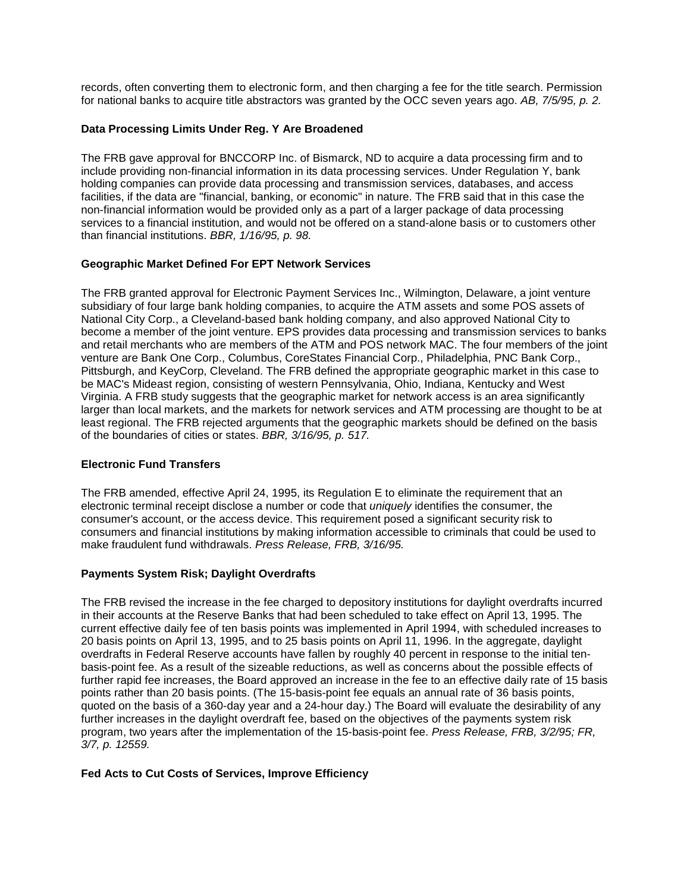for national banks to acquire title abstractors was granted by the OCC seven years ago. *AB, 7/5/95, p. 2.*  records, often converting them to electronic form, and then charging a fee for the title search. Permission

### **Data Processing Limits Under Reg. Y Are Broadened**

 include providing non-financial information in its data processing services. Under Regulation Y, bank  than financial institutions. *BBR, 1/16/95, p. 98.*  The FRB gave approval for BNCCORP Inc. of Bismarck, ND to acquire a data processing firm and to holding companies can provide data processing and transmission services, databases, and access facilities, if the data are "financial, banking, or economic" in nature. The FRB said that in this case the non-financial information would be provided only as a part of a larger package of data processing services to a financial institution, and would not be offered on a stand-alone basis or to customers other

## **Geographic Market Defined For EPT Network Services**

 The FRB granted approval for Electronic Payment Services Inc., Wilmington, Delaware, a joint venture become a member of the joint venture. EPS provides data processing and transmission services to banks  of the boundaries of cities or states. *BBR, 3/16/95, p. 517.*  subsidiary of four large bank holding companies, to acquire the ATM assets and some POS assets of National City Corp., a Cleveland-based bank holding company, and also approved National City to and retail merchants who are members of the ATM and POS network MAC. The four members of the joint venture are Bank One Corp., Columbus, CoreStates Financial Corp., Philadelphia, PNC Bank Corp., Pittsburgh, and KeyCorp, Cleveland. The FRB defined the appropriate geographic market in this case to be MAC's Mideast region, consisting of western Pennsylvania, Ohio, Indiana, Kentucky and West Virginia. A FRB study suggests that the geographic market for network access is an area significantly larger than local markets, and the markets for network services and ATM processing are thought to be at least regional. The FRB rejected arguments that the geographic markets should be defined on the basis

### **Electronic Fund Transfers**

 The FRB amended, effective April 24, 1995, its Regulation E to eliminate the requirement that an electronic terminal receipt disclose a number or code that *uniquely* identifies the consumer, the consumer's account, or the access device. This requirement posed a significant security risk to consumers and financial institutions by making information accessible to criminals that could be used to make fraudulent fund withdrawals. *Press Release, FRB, 3/16/95.* 

### **Payments System Risk; Daylight Overdrafts**

 overdrafts in Federal Reserve accounts have fallen by roughly 40 percent in response to the initial ten- basis-point fee. As a result of the sizeable reductions, as well as concerns about the possible effects of quoted on the basis of a 360-day year and a 24-hour day.) The Board will evaluate the desirability of any  *3/7, p. 12559.*  The FRB revised the increase in the fee charged to depository institutions for daylight overdrafts incurred in their accounts at the Reserve Banks that had been scheduled to take effect on April 13, 1995. The current effective daily fee of ten basis points was implemented in April 1994, with scheduled increases to 20 basis points on April 13, 1995, and to 25 basis points on April 11, 1996. In the aggregate, daylight further rapid fee increases, the Board approved an increase in the fee to an effective daily rate of 15 basis points rather than 20 basis points. (The 15-basis-point fee equals an annual rate of 36 basis points, further increases in the daylight overdraft fee, based on the objectives of the payments system risk program, two years after the implementation of the 15-basis-point fee. *Press Release, FRB, 3/2/95; FR,* 

### **Fed Acts to Cut Costs of Services, Improve Efficiency**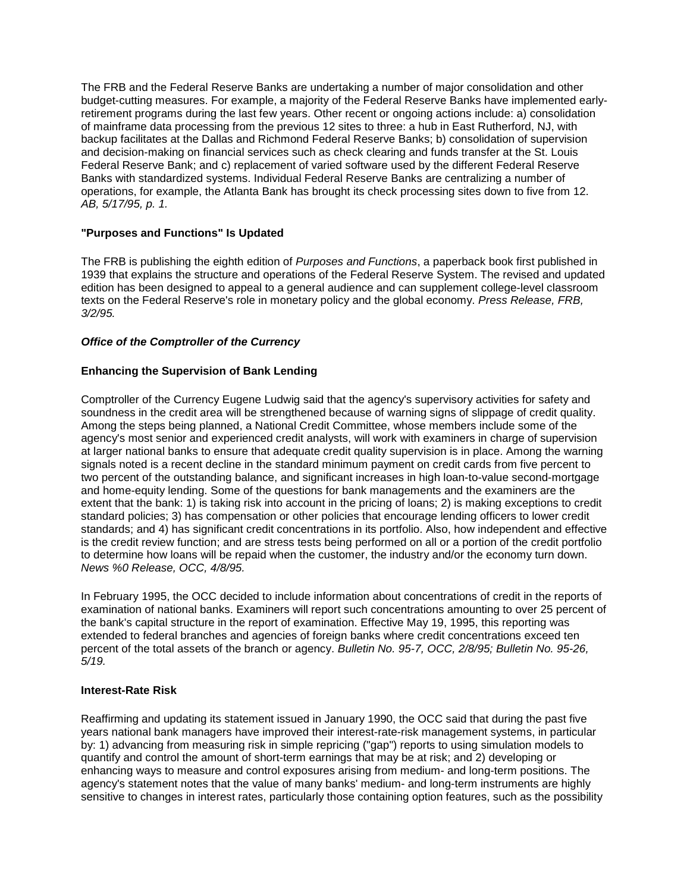The FRB and the Federal Reserve Banks are undertaking a number of major consolidation and other budget-cutting measures. For example, a majority of the Federal Reserve Banks have implemented earlyretirement programs during the last few years. Other recent or ongoing actions include: a) consolidation of mainframe data processing from the previous 12 sites to three: a hub in East Rutherford, NJ, with backup facilitates at the Dallas and Richmond Federal Reserve Banks; b) consolidation of supervision and decision-making on financial services such as check clearing and funds transfer at the St. Louis Federal Reserve Bank; and c) replacement of varied software used by the different Federal Reserve Banks with standardized systems. Individual Federal Reserve Banks are centralizing a number of operations, for example, the Atlanta Bank has brought its check processing sites down to five from 12. *AB, 5/17/95, p. 1.* 

# **"Purposes and Functions" Is Updated**

The FRB is publishing the eighth edition of *Purposes and Functions*, a paperback book first published in 1939 that explains the structure and operations of the Federal Reserve System. The revised and updated edition has been designed to appeal to a general audience and can supplement college-level classroom texts on the Federal Reserve's role in monetary policy and the global economy. *Press Release, FRB, 3/2/95.* 

## *Office of the Comptroller of the Currency*

## **Enhancing the Supervision of Bank Lending**

 soundness in the credit area will be strengthened because of warning signs of slippage of credit quality. agency's most senior and experienced credit analysts, will work with examiners in charge of supervision at larger national banks to ensure that adequate credit quality supervision is in place. Among the warning standard policies; 3) has compensation or other policies that encourage lending officers to lower credit to determine how loans will be repaid when the customer, the industry and/or the economy turn down. Comptroller of the Currency Eugene Ludwig said that the agency's supervisory activities for safety and Among the steps being planned, a National Credit Committee, whose members include some of the signals noted is a recent decline in the standard minimum payment on credit cards from five percent to two percent of the outstanding balance, and significant increases in high loan-to-value second-mortgage and home-equity lending. Some of the questions for bank managements and the examiners are the extent that the bank: 1) is taking risk into account in the pricing of loans; 2) is making exceptions to credit standards; and 4) has significant credit concentrations in its portfolio. Also, how independent and effective is the credit review function; and are stress tests being performed on all or a portion of the credit portfolio *News %0 Release, OCC, 4/8/95.* 

 In February 1995, the OCC decided to include information about concentrations of credit in the reports of examination of national banks. Examiners will report such concentrations amounting to over 25 percent of the bank's capital structure in the report of examination. Effective May 19, 1995, this reporting was extended to federal branches and agencies of foreign banks where credit concentrations exceed ten percent of the total assets of the branch or agency. *Bulletin No. 95-7, OCC, 2/8/95; Bulletin No. 95-26, 5/19.* 

### **Interest-Rate Risk**

 years national bank managers have improved their interest-rate-risk management systems, in particular Reaffirming and updating its statement issued in January 1990, the OCC said that during the past five by: 1) advancing from measuring risk in simple repricing ("gap") reports to using simulation models to quantify and control the amount of short-term earnings that may be at risk; and 2) developing or enhancing ways to measure and control exposures arising from medium- and long-term positions. The agency's statement notes that the value of many banks' medium- and long-term instruments are highly sensitive to changes in interest rates, particularly those containing option features, such as the possibility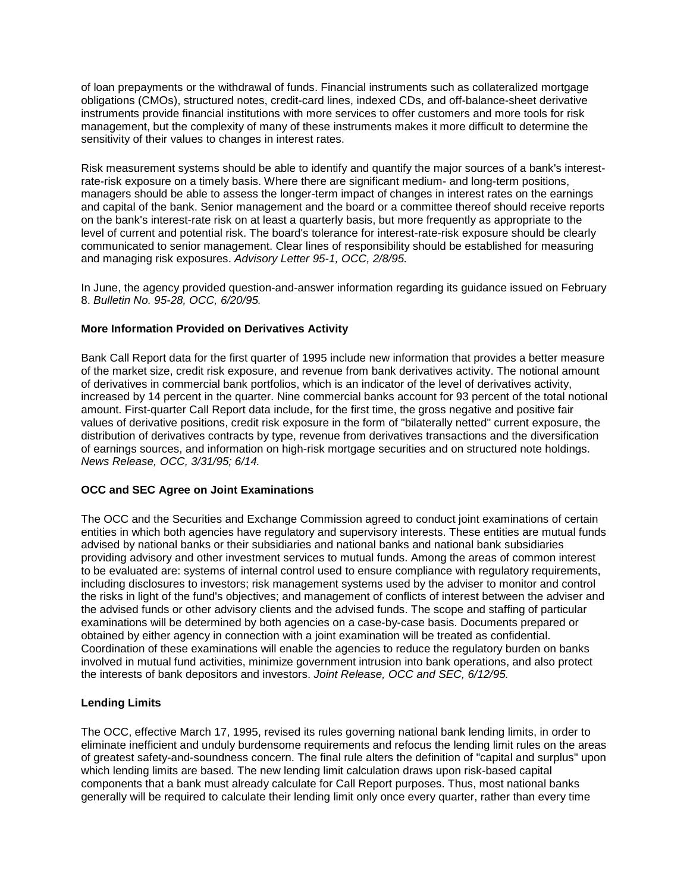of loan prepayments or the withdrawal of funds. Financial instruments such as collateralized mortgage instruments provide financial institutions with more services to offer customers and more tools for risk management, but the complexity of many of these instruments makes it more difficult to determine the sensitivity of their values to changes in interest rates. obligations (CMOs), structured notes, credit-card lines, indexed CDs, and off-balance-sheet derivative

 managers should be able to assess the longer-term impact of changes in interest rates on the earnings Risk measurement systems should be able to identify and quantify the major sources of a bank's interestrate-risk exposure on a timely basis. Where there are significant medium- and long-term positions, and capital of the bank. Senior management and the board or a committee thereof should receive reports on the bank's interest-rate risk on at least a quarterly basis, but more frequently as appropriate to the level of current and potential risk. The board's tolerance for interest-rate-risk exposure should be clearly communicated to senior management. Clear lines of responsibility should be established for measuring and managing risk exposures. *Advisory Letter 95-1, OCC, 2/8/95.* 

In June, the agency provided question-and-answer information regarding its guidance issued on February 8. *Bulletin No. 95-28, OCC, 6/20/95.* 

# **More Information Provided on Derivatives Activity**

 of the market size, credit risk exposure, and revenue from bank derivatives activity. The notional amount amount. First-quarter Call Report data include, for the first time, the gross negative and positive fair Bank Call Report data for the first quarter of 1995 include new information that provides a better measure of derivatives in commercial bank portfolios, which is an indicator of the level of derivatives activity, increased by 14 percent in the quarter. Nine commercial banks account for 93 percent of the total notional values of derivative positions, credit risk exposure in the form of "bilaterally netted" current exposure, the distribution of derivatives contracts by type, revenue from derivatives transactions and the diversification of earnings sources, and information on high-risk mortgage securities and on structured note holdings. *News Release, OCC, 3/31/95; 6/14.* 

### **OCC and SEC Agree on Joint Examinations**

 obtained by either agency in connection with a joint examination will be treated as confidential. Coordination of these examinations will enable the agencies to reduce the regulatory burden on banks The OCC and the Securities and Exchange Commission agreed to conduct joint examinations of certain entities in which both agencies have regulatory and supervisory interests. These entities are mutual funds advised by national banks or their subsidiaries and national banks and national bank subsidiaries providing advisory and other investment services to mutual funds. Among the areas of common interest to be evaluated are: systems of internal control used to ensure compliance with regulatory requirements, including disclosures to investors; risk management systems used by the adviser to monitor and control the risks in light of the fund's objectives; and management of conflicts of interest between the adviser and the advised funds or other advisory clients and the advised funds. The scope and staffing of particular examinations will be determined by both agencies on a case-by-case basis. Documents prepared or involved in mutual fund activities, minimize government intrusion into bank operations, and also protect the interests of bank depositors and investors. *Joint Release, OCC and SEC, 6/12/95.* 

### **Lending Limits**

 components that a bank must already calculate for Call Report purposes. Thus, most national banks generally will be required to calculate their lending limit only once every quarter, rather than every time The OCC, effective March 17, 1995, revised its rules governing national bank lending limits, in order to eliminate inefficient and unduly burdensome requirements and refocus the lending limit rules on the areas of greatest safety-and-soundness concern. The final rule alters the definition of "capital and surplus" upon which lending limits are based. The new lending limit calculation draws upon risk-based capital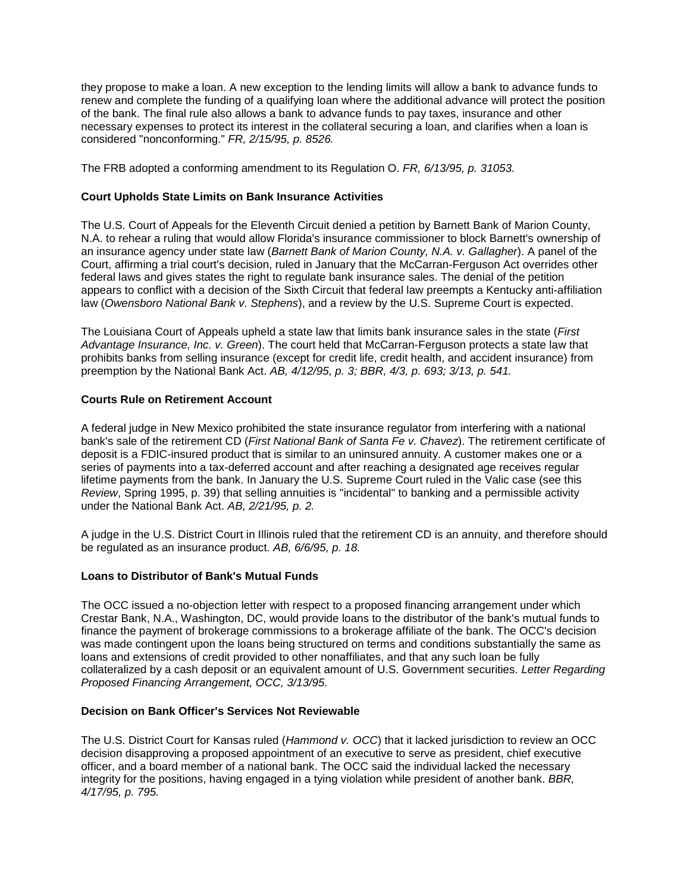they propose to make a loan. A new exception to the lending limits will allow a bank to advance funds to  considered "nonconforming." *FR, 2/15/95, p. 8526.*  renew and complete the funding of a qualifying loan where the additional advance will protect the position of the bank. The final rule also allows a bank to advance funds to pay taxes, insurance and other necessary expenses to protect its interest in the collateral securing a loan, and clarifies when a loan is

 The FRB adopted a conforming amendment to its Regulation O. *FR, 6/13/95, p. 31053.* 

# **Court Upholds State Limits on Bank Insurance Activities**

 The U.S. Court of Appeals for the Eleventh Circuit denied a petition by Barnett Bank of Marion County, law (*Owensboro National Bank v. Stephens*), and a review by the U.S. Supreme Court is expected. N.A. to rehear a ruling that would allow Florida's insurance commissioner to block Barnett's ownership of an insurance agency under state law (*Barnett Bank of Marion County, N.A. v. Gallagher*). A panel of the Court, affirming a trial court's decision, ruled in January that the McCarran-Ferguson Act overrides other federal laws and gives states the right to regulate bank insurance sales. The denial of the petition appears to conflict with a decision of the Sixth Circuit that federal law preempts a Kentucky anti-affiliation

 prohibits banks from selling insurance (except for credit life, credit health, and accident insurance) from preemption by the National Bank Act. *AB, 4/12/95, p. 3; BBR, 4/3, p. 693; 3/13, p. 541.*  The Louisiana Court of Appeals upheld a state law that limits bank insurance sales in the state (*First Advantage Insurance, Inc. v. Green*). The court held that McCarran-Ferguson protects a state law that

## **Courts Rule on Retirement Account**

 under the National Bank Act. *AB, 2/21/95, p. 2.*  A federal judge in New Mexico prohibited the state insurance regulator from interfering with a national bank's sale of the retirement CD (*First National Bank of Santa Fe v. Chavez*). The retirement certificate of deposit is a FDIC-insured product that is similar to an uninsured annuity. A customer makes one or a series of payments into a tax-deferred account and after reaching a designated age receives regular lifetime payments from the bank. In January the U.S. Supreme Court ruled in the Valic case (see this *Review*, Spring 1995, p. 39) that selling annuities is "incidental" to banking and a permissible activity

A judge in the U.S. District Court in Illinois ruled that the retirement CD is an annuity, and therefore should be regulated as an insurance product. *AB, 6/6/95, p. 18.* 

## **Loans to Distributor of Bank's Mutual Funds**

 loans and extensions of credit provided to other nonaffiliates, and that any such loan be fully  *Proposed Financing Arrangement, OCC, 3/13/95.*  The OCC issued a no-objection letter with respect to a proposed financing arrangement under which Crestar Bank, N.A., Washington, DC, would provide loans to the distributor of the bank's mutual funds to finance the payment of brokerage commissions to a brokerage affiliate of the bank. The OCC's decision was made contingent upon the loans being structured on terms and conditions substantially the same as collateralized by a cash deposit or an equivalent amount of U.S. Government securities. *Letter Regarding* 

### **Decision on Bank Officer's Services Not Reviewable**

 The U.S. District Court for Kansas ruled (*Hammond v. OCC*) that it lacked jurisdiction to review an OCC  *4/17/95, p. 795.* decision disapproving a proposed appointment of an executive to serve as president, chief executive officer, and a board member of a national bank. The OCC said the individual lacked the necessary integrity for the positions, having engaged in a tying violation while president of another bank. *BBR,*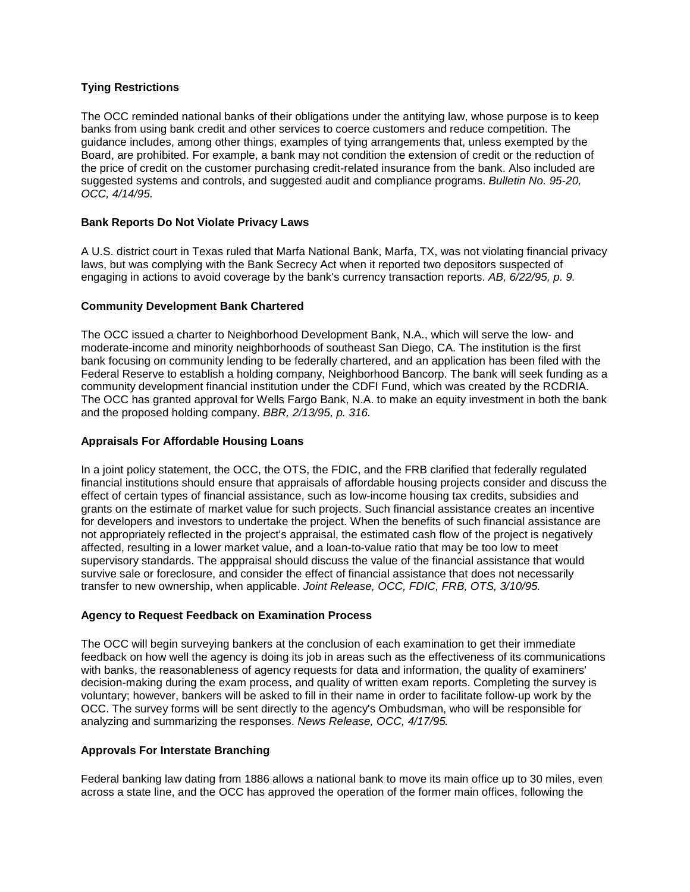# **Tying Restrictions**

The OCC reminded national banks of their obligations under the antitying law, whose purpose is to keep banks from using bank credit and other services to coerce customers and reduce competition. The guidance includes, among other things, examples of tying arrangements that, unless exempted by the Board, are prohibited. For example, a bank may not condition the extension of credit or the reduction of the price of credit on the customer purchasing credit-related insurance from the bank. Also included are suggested systems and controls, and suggested audit and compliance programs. *Bulletin No. 95-20, OCC, 4/14/95.* 

## **Bank Reports Do Not Violate Privacy Laws**

 laws, but was complying with the Bank Secrecy Act when it reported two depositors suspected of A U.S. district court in Texas ruled that Marfa National Bank, Marfa, TX, was not violating financial privacy engaging in actions to avoid coverage by the bank's currency transaction reports. *AB, 6/22/95, p. 9.* 

## **Community Development Bank Chartered**

 and the proposed holding company. *BBR, 2/13/95, p. 316.*  The OCC issued a charter to Neighborhood Development Bank, N.A., which will serve the low- and moderate-income and minority neighborhoods of southeast San Diego, CA. The institution is the first bank focusing on community lending to be federally chartered, and an application has been filed with the Federal Reserve to establish a holding company, Neighborhood Bancorp. The bank will seek funding as a community development financial institution under the CDFI Fund, which was created by the RCDRIA. The OCC has granted approval for Wells Fargo Bank, N.A. to make an equity investment in both the bank

## **Appraisals For Affordable Housing Loans**

 survive sale or foreclosure, and consider the effect of financial assistance that does not necessarily In a joint policy statement, the OCC, the OTS, the FDIC, and the FRB clarified that federally regulated financial institutions should ensure that appraisals of affordable housing projects consider and discuss the effect of certain types of financial assistance, such as low-income housing tax credits, subsidies and grants on the estimate of market value for such projects. Such financial assistance creates an incentive for developers and investors to undertake the project. When the benefits of such financial assistance are not appropriately reflected in the project's appraisal, the estimated cash flow of the project is negatively affected, resulting in a lower market value, and a loan-to-value ratio that may be too low to meet supervisory standards. The apppraisal should discuss the value of the financial assistance that would transfer to new ownership, when applicable. *Joint Release, OCC, FDIC, FRB, OTS, 3/10/95.* 

### **Agency to Request Feedback on Examination Process**

 analyzing and summarizing the responses. *News Release, OCC, 4/17/95.*  The OCC will begin surveying bankers at the conclusion of each examination to get their immediate feedback on how well the agency is doing its job in areas such as the effectiveness of its communications with banks, the reasonableness of agency requests for data and information, the quality of examiners' decision-making during the exam process, and quality of written exam reports. Completing the survey is voluntary; however, bankers will be asked to fill in their name in order to facilitate follow-up work by the OCC. The survey forms will be sent directly to the agency's Ombudsman, who will be responsible for

## **Approvals For Interstate Branching**

Federal banking law dating from 1886 allows a national bank to move its main office up to 30 miles, even across a state line, and the OCC has approved the operation of the former main offices, following the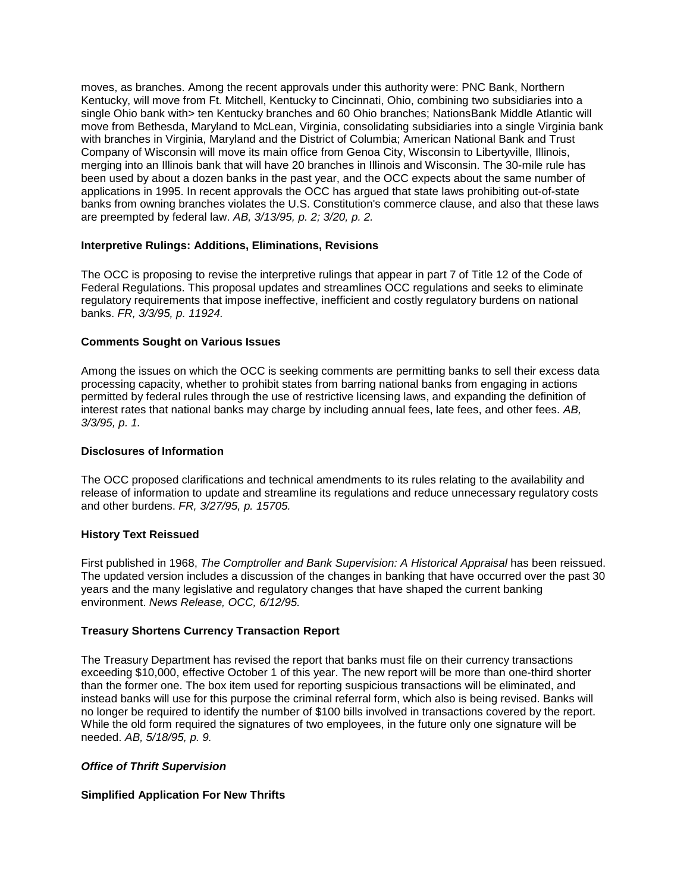moves, as branches. Among the recent approvals under this authority were: PNC Bank, Northern been used by about a dozen banks in the past year, and the OCC expects about the same number of  are preempted by federal law. *AB, 3/13/95, p. 2; 3/20, p. 2.*  Kentucky, will move from Ft. Mitchell, Kentucky to Cincinnati, Ohio, combining two subsidiaries into a single Ohio bank with> ten Kentucky branches and 60 Ohio branches; NationsBank Middle Atlantic will move from Bethesda, Maryland to McLean, Virginia, consolidating subsidiaries into a single Virginia bank with branches in Virginia, Maryland and the District of Columbia; American National Bank and Trust Company of Wisconsin will move its main office from Genoa City, Wisconsin to Libertyville, Illinois, merging into an Illinois bank that will have 20 branches in Illinois and Wisconsin. The 30-mile rule has applications in 1995. In recent approvals the OCC has argued that state laws prohibiting out-of-state banks from owning branches violates the U.S. Constitution's commerce clause, and also that these laws

### **Interpretive Rulings: Additions, Eliminations, Revisions**

 Federal Regulations. This proposal updates and streamlines OCC regulations and seeks to eliminate The OCC is proposing to revise the interpretive rulings that appear in part 7 of Title 12 of the Code of regulatory requirements that impose ineffective, inefficient and costly regulatory burdens on national banks. *FR, 3/3/95, p. 11924.* 

## **Comments Sought on Various Issues**

 interest rates that national banks may charge by including annual fees, late fees, and other fees. *AB,*  Among the issues on which the OCC is seeking comments are permitting banks to sell their excess data processing capacity, whether to prohibit states from barring national banks from engaging in actions permitted by federal rules through the use of restrictive licensing laws, and expanding the definition of *3/3/95, p. 1.* 

### **Disclosures of Information**

 and other burdens. *FR, 3/27/95, p. 15705.*  The OCC proposed clarifications and technical amendments to its rules relating to the availability and release of information to update and streamline its regulations and reduce unnecessary regulatory costs

### **History Text Reissued**

 environment. *News Release, OCC, 6/12/95.*  First published in 1968, *The Comptroller and Bank Supervision: A Historical Appraisal* has been reissued. The updated version includes a discussion of the changes in banking that have occurred over the past 30 years and the many legislative and regulatory changes that have shaped the current banking

### **Treasury Shortens Currency Transaction Report**

 The Treasury Department has revised the report that banks must file on their currency transactions exceeding \$10,000, effective October 1 of this year. The new report will be more than one-third shorter than the former one. The box item used for reporting suspicious transactions will be eliminated, and  needed. *AB, 5/18/95, p. 9.*  instead banks will use for this purpose the criminal referral form, which also is being revised. Banks will no longer be required to identify the number of \$100 bills involved in transactions covered by the report. While the old form required the signatures of two employees, in the future only one signature will be

### *Office of Thrift Supervision*

# **Simplified Application For New Thrifts**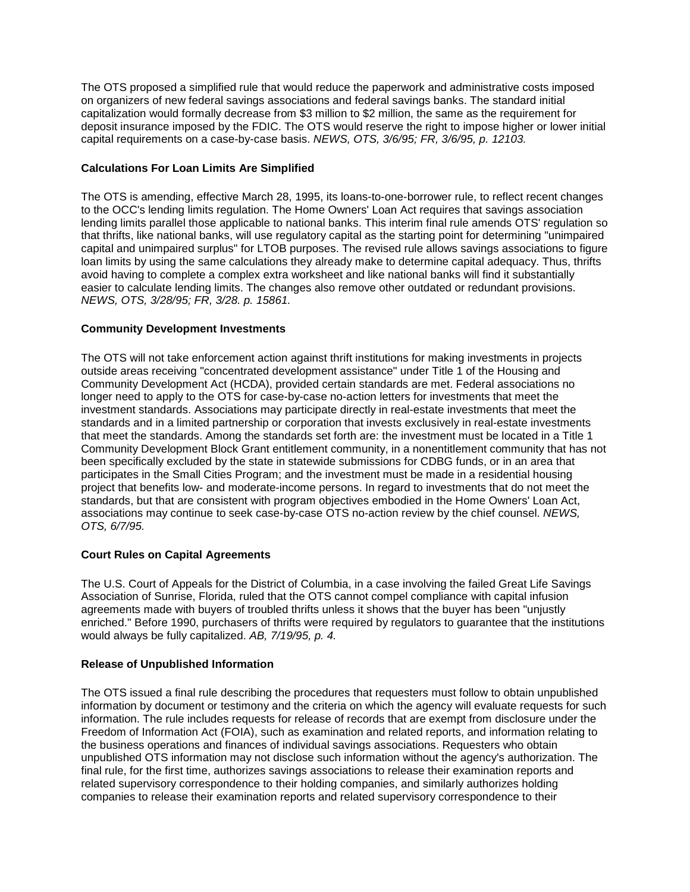deposit insurance imposed by the FDIC. The OTS would reserve the right to impose higher or lower initial The OTS proposed a simplified rule that would reduce the paperwork and administrative costs imposed on organizers of new federal savings associations and federal savings banks. The standard initial capitalization would formally decrease from \$3 million to \$2 million, the same as the requirement for capital requirements on a case-by-case basis. *NEWS, OTS, 3/6/95; FR, 3/6/95, p. 12103.* 

## **Calculations For Loan Limits Are Simplified**

 *NEWS, OTS, 3/28/95; FR, 3/28. p. 15861.*  The OTS is amending, effective March 28, 1995, its loans-to-one-borrower rule, to reflect recent changes to the OCC's lending limits regulation. The Home Owners' Loan Act requires that savings association lending limits parallel those applicable to national banks. This interim final rule amends OTS' regulation so that thrifts, like national banks, will use regulatory capital as the starting point for determining "unimpaired capital and unimpaired surplus" for LTOB purposes. The revised rule allows savings associations to figure loan limits by using the same calculations they already make to determine capital adequacy. Thus, thrifts avoid having to complete a complex extra worksheet and like national banks will find it substantially easier to calculate lending limits. The changes also remove other outdated or redundant provisions.

## **Community Development Investments**

 Community Development Block Grant entitlement community, in a nonentitlement community that has not standards, but that are consistent with program objectives embodied in the Home Owners' Loan Act, The OTS will not take enforcement action against thrift institutions for making investments in projects outside areas receiving "concentrated development assistance" under Title 1 of the Housing and Community Development Act (HCDA), provided certain standards are met. Federal associations no longer need to apply to the OTS for case-by-case no-action letters for investments that meet the investment standards. Associations may participate directly in real-estate investments that meet the standards and in a limited partnership or corporation that invests exclusively in real-estate investments that meet the standards. Among the standards set forth are: the investment must be located in a Title 1 been specifically excluded by the state in statewide submissions for CDBG funds, or in an area that participates in the Small Cities Program; and the investment must be made in a residential housing project that benefits low- and moderate-income persons. In regard to investments that do not meet the associations may continue to seek case-by-case OTS no-action review by the chief counsel. *NEWS, OTS, 6/7/95.* 

### **Court Rules on Capital Agreements**

The U.S. Court of Appeals for the District of Columbia, in a case involving the failed Great Life Savings Association of Sunrise, Florida, ruled that the OTS cannot compel compliance with capital infusion agreements made with buyers of troubled thrifts unless it shows that the buyer has been "unjustly enriched." Before 1990, purchasers of thrifts were required by regulators to guarantee that the institutions would always be fully capitalized. *AB, 7/19/95, p. 4.* 

### **Release of Unpublished Information**

 unpublished OTS information may not disclose such information without the agency's authorization. The The OTS issued a final rule describing the procedures that requesters must follow to obtain unpublished information by document or testimony and the criteria on which the agency will evaluate requests for such information. The rule includes requests for release of records that are exempt from disclosure under the Freedom of Information Act (FOIA), such as examination and related reports, and information relating to the business operations and finances of individual savings associations. Requesters who obtain final rule, for the first time, authorizes savings associations to release their examination reports and related supervisory correspondence to their holding companies, and similarly authorizes holding companies to release their examination reports and related supervisory correspondence to their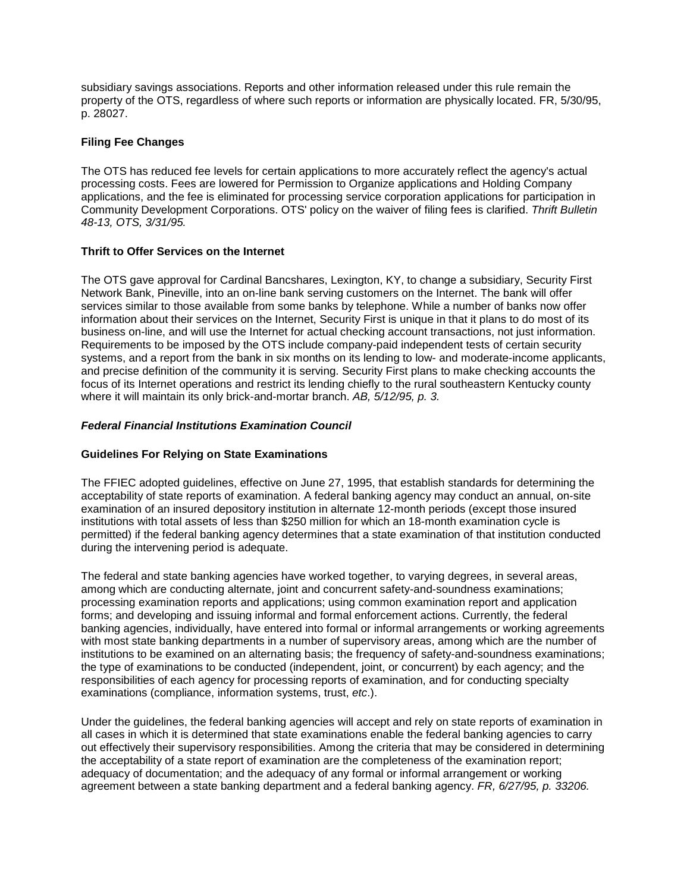property of the OTS, regardless of where such reports or information are physically located. FR, 5/30/95, subsidiary savings associations. Reports and other information released under this rule remain the p. 28027.

### **Filing Fee Changes**

 Community Development Corporations. OTS' policy on the waiver of filing fees is clarified. *Thrift Bulletin*  The OTS has reduced fee levels for certain applications to more accurately reflect the agency's actual processing costs. Fees are lowered for Permission to Organize applications and Holding Company applications, and the fee is eliminated for processing service corporation applications for participation in *48-13, OTS, 3/31/95.* 

## **Thrift to Offer Services on the Internet**

 services similar to those available from some banks by telephone. While a number of banks now offer information about their services on the Internet, Security First is unique in that it plans to do most of its and precise definition of the community it is serving. Security First plans to make checking accounts the The OTS gave approval for Cardinal Bancshares, Lexington, KY, to change a subsidiary, Security First Network Bank, Pineville, into an on-line bank serving customers on the Internet. The bank will offer business on-line, and will use the Internet for actual checking account transactions, not just information. Requirements to be imposed by the OTS include company-paid independent tests of certain security systems, and a report from the bank in six months on its lending to low- and moderate-income applicants, focus of its Internet operations and restrict its lending chiefly to the rural southeastern Kentucky county where it will maintain its only brick-and-mortar branch. *AB, 5/12/95, p. 3.* 

## *Federal Financial Institutions Examination Council*

### **Guidelines For Relying on State Examinations**

 acceptability of state reports of examination. A federal banking agency may conduct an annual, on-site The FFIEC adopted guidelines, effective on June 27, 1995, that establish standards for determining the examination of an insured depository institution in alternate 12-month periods (except those insured institutions with total assets of less than \$250 million for which an 18-month examination cycle is permitted) if the federal banking agency determines that a state examination of that institution conducted during the intervening period is adequate.

 with most state banking departments in a number of supervisory areas, among which are the number of The federal and state banking agencies have worked together, to varying degrees, in several areas, among which are conducting alternate, joint and concurrent safety-and-soundness examinations; processing examination reports and applications; using common examination report and application forms; and developing and issuing informal and formal enforcement actions. Currently, the federal banking agencies, individually, have entered into formal or informal arrangements or working agreements institutions to be examined on an alternating basis; the frequency of safety-and-soundness examinations; the type of examinations to be conducted (independent, joint, or concurrent) by each agency; and the responsibilities of each agency for processing reports of examination, and for conducting specialty examinations (compliance, information systems, trust, *etc*.).

 Under the guidelines, the federal banking agencies will accept and rely on state reports of examination in  agreement between a state banking department and a federal banking agency. *FR, 6/27/95, p. 33206.* all cases in which it is determined that state examinations enable the federal banking agencies to carry out effectively their supervisory responsibilities. Among the criteria that may be considered in determining the acceptability of a state report of examination are the completeness of the examination report; adequacy of documentation; and the adequacy of any formal or informal arrangement or working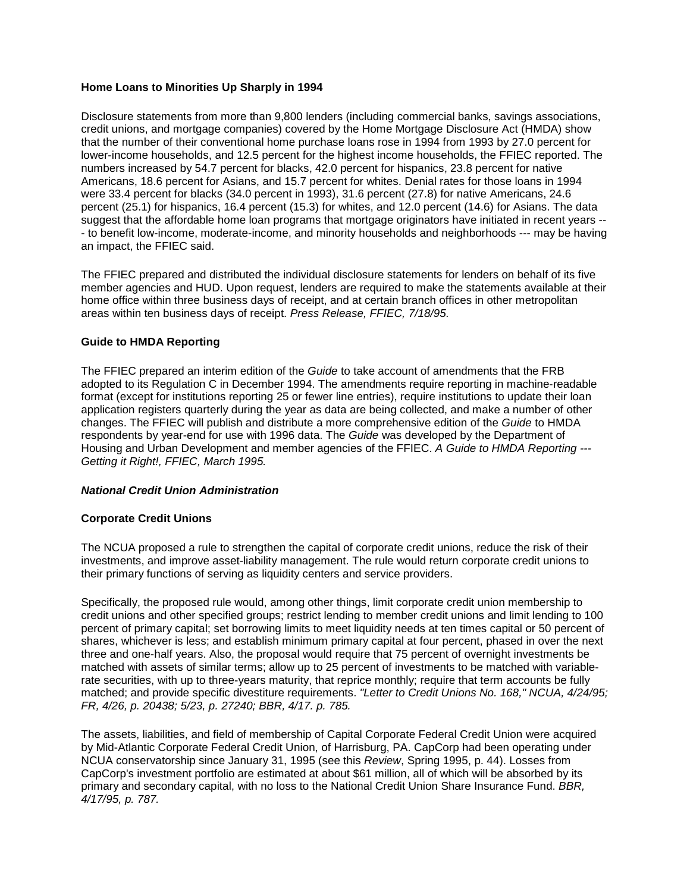# **Home Loans to Minorities Up Sharply in 1994**

 were 33.4 percent for blacks (34.0 percent in 1993), 31.6 percent (27.8) for native Americans, 24.6 suggest that the affordable home loan programs that mortgage originators have initiated in recent years - Disclosure statements from more than 9,800 lenders (including commercial banks, savings associations, credit unions, and mortgage companies) covered by the Home Mortgage Disclosure Act (HMDA) show that the number of their conventional home purchase loans rose in 1994 from 1993 by 27.0 percent for lower-income households, and 12.5 percent for the highest income households, the FFIEC reported. The numbers increased by 54.7 percent for blacks, 42.0 percent for hispanics, 23.8 percent for native Americans, 18.6 percent for Asians, and 15.7 percent for whites. Denial rates for those loans in 1994 percent (25.1) for hispanics, 16.4 percent (15.3) for whites, and 12.0 percent (14.6) for Asians. The data - to benefit low-income, moderate-income, and minority households and neighborhoods --- may be having an impact, the FFIEC said.

 areas within ten business days of receipt. *Press Release, FFIEC, 7/18/95.*  The FFIEC prepared and distributed the individual disclosure statements for lenders on behalf of its five member agencies and HUD. Upon request, lenders are required to make the statements available at their home office within three business days of receipt, and at certain branch offices in other metropolitan

## **Guide to HMDA Reporting**

 The FFIEC prepared an interim edition of the *Guide* to take account of amendments that the FRB adopted to its Regulation C in December 1994. The amendments require reporting in machine-readable format (except for institutions reporting 25 or fewer line entries), require institutions to update their loan application registers quarterly during the year as data are being collected, and make a number of other changes. The FFIEC will publish and distribute a more comprehensive edition of the *Guide* to HMDA respondents by year-end for use with 1996 data. The *Guide* was developed by the Department of Housing and Urban Development and member agencies of the FFIEC. *A Guide to HMDA Reporting -- Getting it Right!, FFIEC, March 1995.* 

### *National Credit Union Administration*

### **Corporate Credit Unions**

The NCUA proposed a rule to strengthen the capital of corporate credit unions, reduce the risk of their investments, and improve asset-liability management. The rule would return corporate credit unions to their primary functions of serving as liquidity centers and service providers.

 percent of primary capital; set borrowing limits to meet liquidity needs at ten times capital or 50 percent of three and one-half years. Also, the proposal would require that 75 percent of overnight investments be  *FR, 4/26, p. 20438; 5/23, p. 27240; BBR, 4/17. p. 785.*  Specifically, the proposed rule would, among other things, limit corporate credit union membership to credit unions and other specified groups; restrict lending to member credit unions and limit lending to 100 shares, whichever is less; and establish minimum primary capital at four percent, phased in over the next matched with assets of similar terms; allow up to 25 percent of investments to be matched with variablerate securities, with up to three-years maturity, that reprice monthly; require that term accounts be fully matched; and provide specific divestiture requirements. *"Letter to Credit Unions No. 168," NCUA, 4/24/95;* 

 The assets, liabilities, and field of membership of Capital Corporate Federal Credit Union were acquired  *4/17/95, p. 787.* by Mid-Atlantic Corporate Federal Credit Union, of Harrisburg, PA. CapCorp had been operating under NCUA conservatorship since January 31, 1995 (see this *Review*, Spring 1995, p. 44). Losses from CapCorp's investment portfolio are estimated at about \$61 million, all of which will be absorbed by its primary and secondary capital, with no loss to the National Credit Union Share Insurance Fund. *BBR,*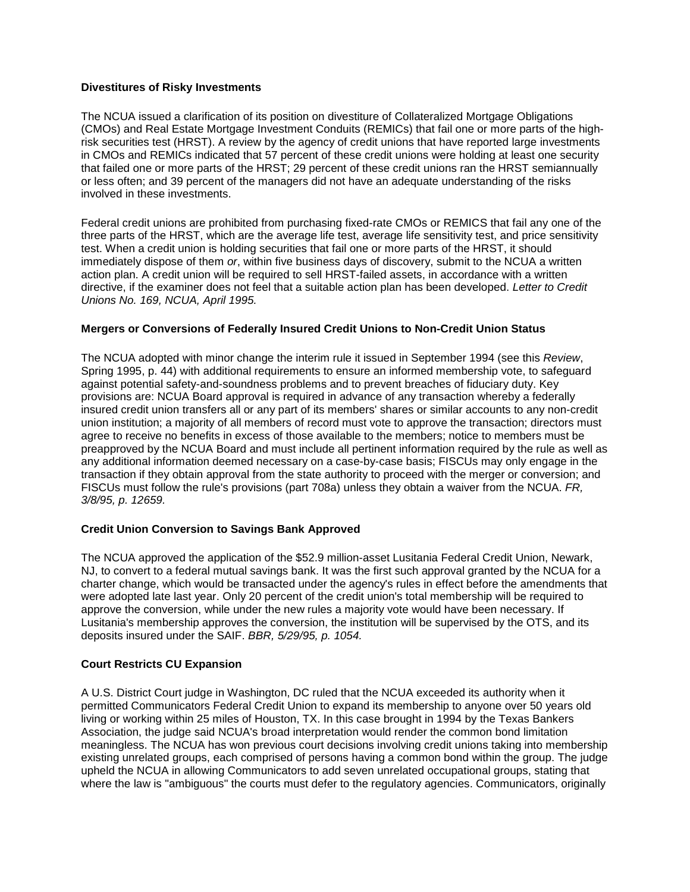## **Divestitures of Risky Investments**

 risk securities test (HRST). A review by the agency of credit unions that have reported large investments in CMOs and REMICs indicated that 57 percent of these credit unions were holding at least one security The NCUA issued a clarification of its position on divestiture of Collateralized Mortgage Obligations (CMOs) and Real Estate Mortgage Investment Conduits (REMICs) that fail one or more parts of the highthat failed one or more parts of the HRST; 29 percent of these credit unions ran the HRST semiannually or less often; and 39 percent of the managers did not have an adequate understanding of the risks involved in these investments.

 *Unions No. 169, NCUA, April 1995.*  Federal credit unions are prohibited from purchasing fixed-rate CMOs or REMICS that fail any one of the three parts of the HRST, which are the average life test, average life sensitivity test, and price sensitivity test. When a credit union is holding securities that fail one or more parts of the HRST, it should immediately dispose of them *or*, within five business days of discovery, submit to the NCUA a written action plan. A credit union will be required to sell HRST-failed assets, in accordance with a written directive, if the examiner does not feel that a suitable action plan has been developed. *Letter to Credit* 

## **Mergers or Conversions of Federally Insured Credit Unions to Non-Credit Union Status**

 Spring 1995, p. 44) with additional requirements to ensure an informed membership vote, to safeguard against potential safety-and-soundness problems and to prevent breaches of fiduciary duty. Key union institution; a majority of all members of record must vote to approve the transaction; directors must preapproved by the NCUA Board and must include all pertinent information required by the rule as well as any additional information deemed necessary on a case-by-case basis; FISCUs may only engage in the The NCUA adopted with minor change the interim rule it issued in September 1994 (see this *Review*, provisions are: NCUA Board approval is required in advance of any transaction whereby a federally insured credit union transfers all or any part of its members' shares or similar accounts to any non-credit agree to receive no benefits in excess of those available to the members; notice to members must be transaction if they obtain approval from the state authority to proceed with the merger or conversion; and FISCUs must follow the rule's provisions (part 708a) unless they obtain a waiver from the NCUA. *FR, 3/8/95, p. 12659.* 

## **Credit Union Conversion to Savings Bank Approved**

 The NCUA approved the application of the \$52.9 million-asset Lusitania Federal Credit Union, Newark, deposits insured under the SAIF. *BBR, 5/29/95, p. 1054.*  NJ, to convert to a federal mutual savings bank. It was the first such approval granted by the NCUA for a charter change, which would be transacted under the agency's rules in effect before the amendments that were adopted late last year. Only 20 percent of the credit union's total membership will be required to approve the conversion, while under the new rules a majority vote would have been necessary. If Lusitania's membership approves the conversion, the institution will be supervised by the OTS, and its

# **Court Restricts CU Expansion**

 A U.S. District Court judge in Washington, DC ruled that the NCUA exceeded its authority when it permitted Communicators Federal Credit Union to expand its membership to anyone over 50 years old living or working within 25 miles of Houston, TX. In this case brought in 1994 by the Texas Bankers Association, the judge said NCUA's broad interpretation would render the common bond limitation meaningless. The NCUA has won previous court decisions involving credit unions taking into membership existing unrelated groups, each comprised of persons having a common bond within the group. The judge upheld the NCUA in allowing Communicators to add seven unrelated occupational groups, stating that where the law is "ambiguous" the courts must defer to the regulatory agencies. Communicators, originally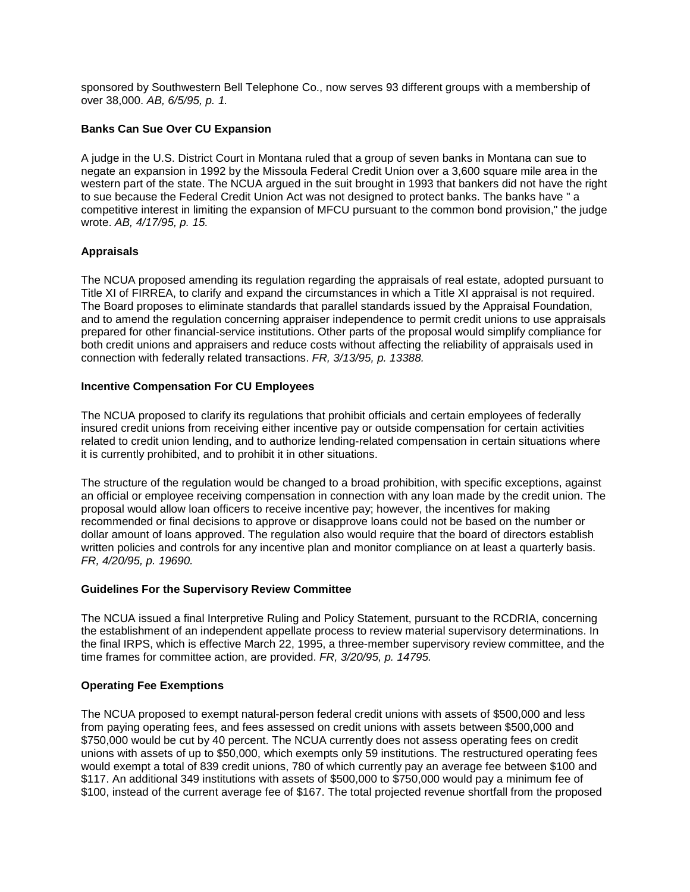over 38,000. *AB, 6/5/95, p. 1.*  sponsored by Southwestern Bell Telephone Co., now serves 93 different groups with a membership of

# **Banks Can Sue Over CU Expansion**

 to sue because the Federal Credit Union Act was not designed to protect banks. The banks have " a competitive interest in limiting the expansion of MFCU pursuant to the common bond provision," the judge A judge in the U.S. District Court in Montana ruled that a group of seven banks in Montana can sue to negate an expansion in 1992 by the Missoula Federal Credit Union over a 3,600 square mile area in the western part of the state. The NCUA argued in the suit brought in 1993 that bankers did not have the right wrote. *AB, 4/17/95, p. 15.* 

# **Appraisals**

 The NCUA proposed amending its regulation regarding the appraisals of real estate, adopted pursuant to  connection with federally related transactions. *FR, 3/13/95, p. 13388.*  Title XI of FIRREA, to clarify and expand the circumstances in which a Title XI appraisal is not required. The Board proposes to eliminate standards that parallel standards issued by the Appraisal Foundation, and to amend the regulation concerning appraiser independence to permit credit unions to use appraisals prepared for other financial-service institutions. Other parts of the proposal would simplify compliance for both credit unions and appraisers and reduce costs without affecting the reliability of appraisals used in

# **Incentive Compensation For CU Employees**

The NCUA proposed to clarify its regulations that prohibit officials and certain employees of federally insured credit unions from receiving either incentive pay or outside compensation for certain activities related to credit union lending, and to authorize lending-related compensation in certain situations where it is currently prohibited, and to prohibit it in other situations.

 an official or employee receiving compensation in connection with any loan made by the credit union. The written policies and controls for any incentive plan and monitor compliance on at least a quarterly basis.  *FR, 4/20/95, p. 19690.*  The structure of the regulation would be changed to a broad prohibition, with specific exceptions, against proposal would allow loan officers to receive incentive pay; however, the incentives for making recommended or final decisions to approve or disapprove loans could not be based on the number or dollar amount of loans approved. The regulation also would require that the board of directors establish

### **Guidelines For the Supervisory Review Committee**

 the final IRPS, which is effective March 22, 1995, a three-member supervisory review committee, and the The NCUA issued a final Interpretive Ruling and Policy Statement, pursuant to the RCDRIA, concerning the establishment of an independent appellate process to review material supervisory determinations. In time frames for committee action, are provided. *FR, 3/20/95, p. 14795.* 

### **Operating Fee Exemptions**

 \$117. An additional 349 institutions with assets of \$500,000 to \$750,000 would pay a minimum fee of The NCUA proposed to exempt natural-person federal credit unions with assets of \$500,000 and less from paying operating fees, and fees assessed on credit unions with assets between \$500,000 and \$750,000 would be cut by 40 percent. The NCUA currently does not assess operating fees on credit unions with assets of up to \$50,000, which exempts only 59 institutions. The restructured operating fees would exempt a total of 839 credit unions, 780 of which currently pay an average fee between \$100 and \$100, instead of the current average fee of \$167. The total projected revenue shortfall from the proposed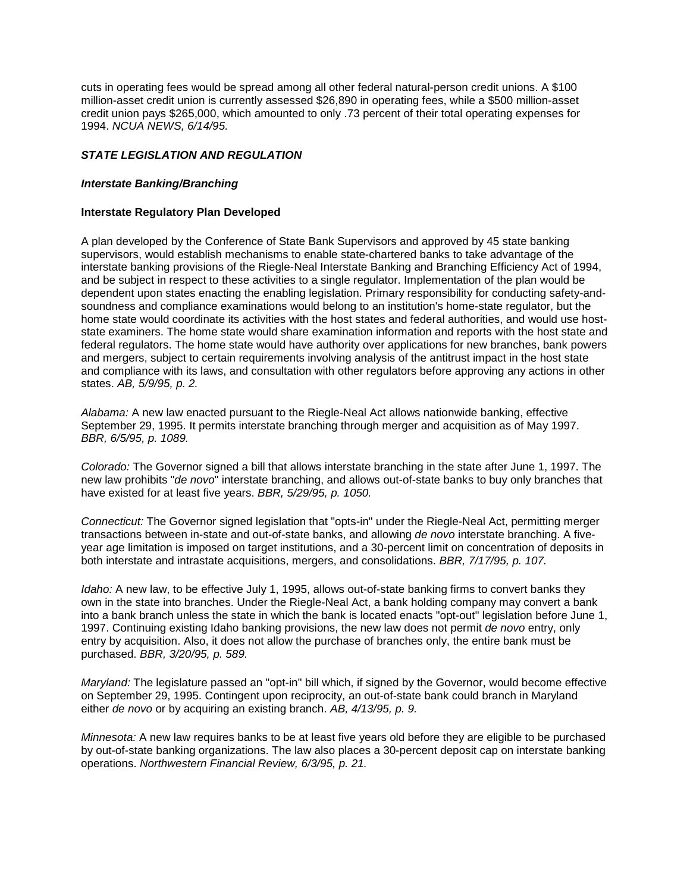cuts in operating fees would be spread among all other federal natural-person credit unions. A \$100 million-asset credit union is currently assessed \$26,890 in operating fees, while a \$500 million-asset credit union pays \$265,000, which amounted to only .73 percent of their total operating expenses for 1994. *NCUA NEWS, 6/14/95.* 

## *STATE LEGISLATION AND REGULATION*

#### *Interstate Banking/Branching*

#### **Interstate Regulatory Plan Developed**

 and mergers, subject to certain requirements involving analysis of the antitrust impact in the host state and compliance with its laws, and consultation with other regulators before approving any actions in other A plan developed by the Conference of State Bank Supervisors and approved by 45 state banking supervisors, would establish mechanisms to enable state-chartered banks to take advantage of the interstate banking provisions of the Riegle-Neal Interstate Banking and Branching Efficiency Act of 1994, and be subject in respect to these activities to a single regulator. Implementation of the plan would be dependent upon states enacting the enabling legislation. Primary responsibility for conducting safety-andsoundness and compliance examinations would belong to an institution's home-state regulator, but the home state would coordinate its activities with the host states and federal authorities, and would use hoststate examiners. The home state would share examination information and reports with the host state and federal regulators. The home state would have authority over applications for new branches, bank powers states. *AB, 5/9/95, p. 2.* 

 *Alabama:* A new law enacted pursuant to the Riegle-Neal Act allows nationwide banking, effective September 29, 1995. It permits interstate branching through merger and acquisition as of May 1997.  *BBR, 6/5/95, p. 1089.* 

 *Colorado:* The Governor signed a bill that allows interstate branching in the state after June 1, 1997. The new law prohibits "*de novo*" interstate branching, and allows out-of-state banks to buy only branches that  have existed for at least five years. *BBR, 5/29/95, p. 1050.* 

 both interstate and intrastate acquisitions, mergers, and consolidations. *BBR, 7/17/95, p. 107. Connecticut:* The Governor signed legislation that "opts-in" under the Riegle-Neal Act, permitting merger transactions between in-state and out-of-state banks, and allowing *de novo* interstate branching. A fiveyear age limitation is imposed on target institutions, and a 30-percent limit on concentration of deposits in

 own in the state into branches. Under the Riegle-Neal Act, a bank holding company may convert a bank entry by acquisition. Also, it does not allow the purchase of branches only, the entire bank must be  purchased. *BBR, 3/20/95, p. 589. Idaho:* A new law, to be effective July 1, 1995, allows out-of-state banking firms to convert banks they into a bank branch unless the state in which the bank is located enacts "opt-out" legislation before June 1, 1997. Continuing existing Idaho banking provisions, the new law does not permit *de novo* entry, only

 *Maryland:* The legislature passed an "opt-in" bill which, if signed by the Governor, would become effective  either *de novo* or by acquiring an existing branch. *AB, 4/13/95, p. 9.*  on September 29, 1995. Contingent upon reciprocity, an out-of-state bank could branch in Maryland

*Minnesota:* A new law requires banks to be at least five years old before they are eligible to be purchased by out-of-state banking organizations. The law also places a 30-percent deposit cap on interstate banking operations. *Northwestern Financial Review, 6/3/95, p. 21.*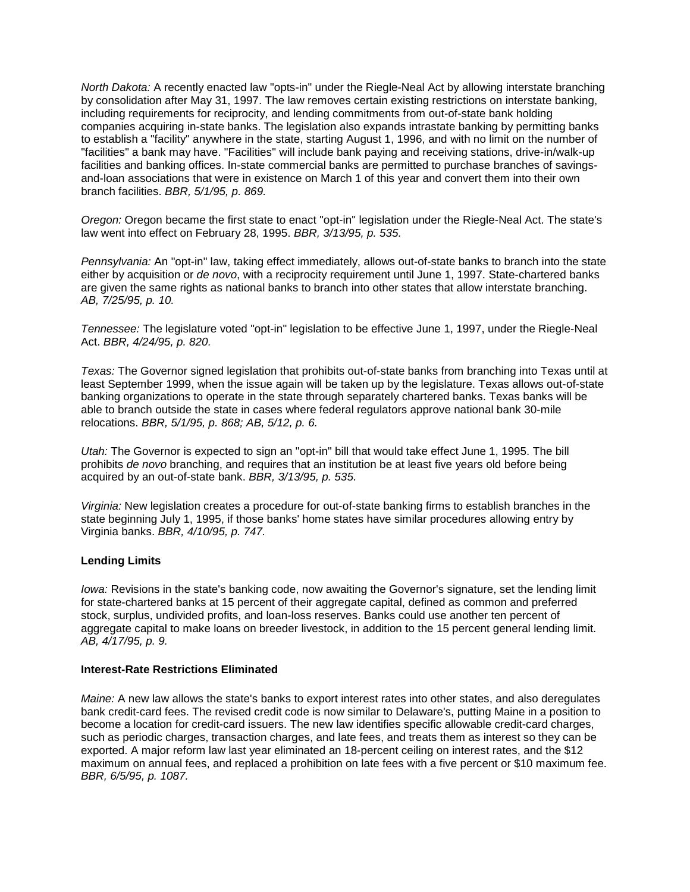to establish a "facility" anywhere in the state, starting August 1, 1996, and with no limit on the number of *North Dakota:* A recently enacted law "opts-in" under the Riegle-Neal Act by allowing interstate branching by consolidation after May 31, 1997. The law removes certain existing restrictions on interstate banking, including requirements for reciprocity, and lending commitments from out-of-state bank holding companies acquiring in-state banks. The legislation also expands intrastate banking by permitting banks "facilities" a bank may have. "Facilities" will include bank paying and receiving stations, drive-in/walk-up facilities and banking offices. In-state commercial banks are permitted to purchase branches of savingsand-loan associations that were in existence on March 1 of this year and convert them into their own branch facilities. *BBR, 5/1/95, p. 869.* 

 law went into effect on February 28, 1995. *BBR, 3/13/95, p. 535. Oregon:* Oregon became the first state to enact "opt-in" legislation under the Riegle-Neal Act. The state's

 either by acquisition or *de novo*, with a reciprocity requirement until June 1, 1997. State-chartered banks *Pennsylvania:* An "opt-in" law, taking effect immediately, allows out-of-state banks to branch into the state are given the same rights as national banks to branch into other states that allow interstate branching. *AB, 7/25/95, p. 10.* 

 Act. *BBR, 4/24/95, p. 820. Tennessee:* The legislature voted "opt-in" legislation to be effective June 1, 1997, under the Riegle-Neal

 relocations. *BBR, 5/1/95, p. 868; AB, 5/12, p. 6. Texas:* The Governor signed legislation that prohibits out-of-state banks from branching into Texas until at least September 1999, when the issue again will be taken up by the legislature. Texas allows out-of-state banking organizations to operate in the state through separately chartered banks. Texas banks will be able to branch outside the state in cases where federal regulators approve national bank 30-mile

 *Utah:* The Governor is expected to sign an "opt-in" bill that would take effect June 1, 1995. The bill prohibits *de novo* branching, and requires that an institution be at least five years old before being acquired by an out-of-state bank. *BBR, 3/13/95, p. 535.* 

 Virginia banks. *BBR, 4/10/95, p. 747. Virginia:* New legislation creates a procedure for out-of-state banking firms to establish branches in the state beginning July 1, 1995, if those banks' home states have similar procedures allowing entry by

### **Lending Limits**

 stock, surplus, undivided profits, and loan-loss reserves. Banks could use another ten percent of *Iowa:* Revisions in the state's banking code, now awaiting the Governor's signature, set the lending limit for state-chartered banks at 15 percent of their aggregate capital, defined as common and preferred aggregate capital to make loans on breeder livestock, in addition to the 15 percent general lending limit. *AB, 4/17/95, p. 9.* 

### **Interest-Rate Restrictions Eliminated**

 *Maine:* A new law allows the state's banks to export interest rates into other states, and also deregulates exported. A major reform law last year eliminated an 18-percent ceiling on interest rates, and the \$12 maximum on annual fees, and replaced a prohibition on late fees with a five percent or \$10 maximum fee.  *BBR, 6/5/95, p. 1087.* bank credit-card fees. The revised credit code is now similar to Delaware's, putting Maine in a position to become a location for credit-card issuers. The new law identifies specific allowable credit-card charges, such as periodic charges, transaction charges, and late fees, and treats them as interest so they can be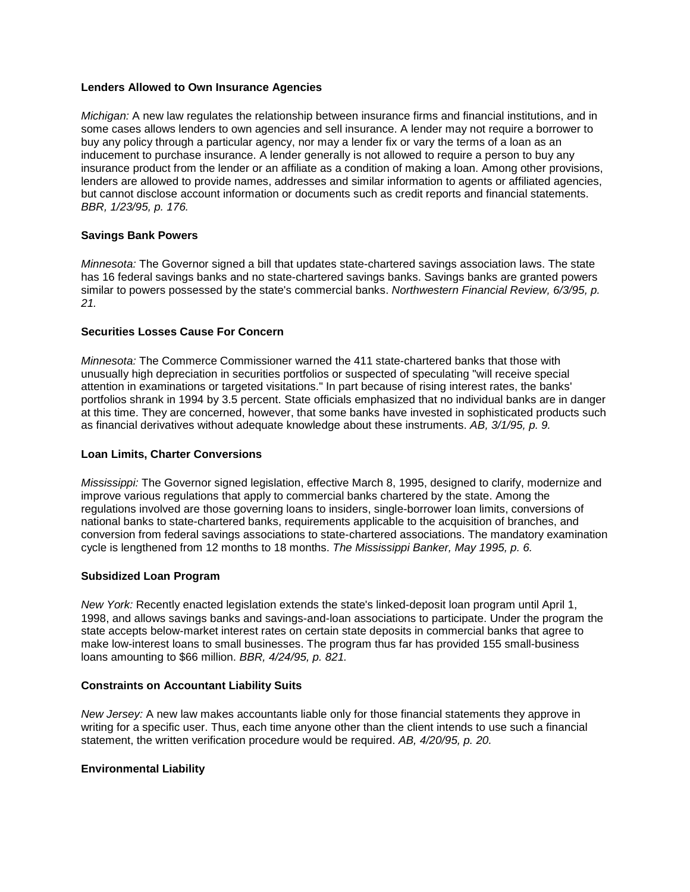# **Lenders Allowed to Own Insurance Agencies**

 buy any policy through a particular agency, nor may a lender fix or vary the terms of a loan as an insurance product from the lender or an affiliate as a condition of making a loan. Among other provisions, *Michigan:* A new law regulates the relationship between insurance firms and financial institutions, and in some cases allows lenders to own agencies and sell insurance. A lender may not require a borrower to inducement to purchase insurance. A lender generally is not allowed to require a person to buy any lenders are allowed to provide names, addresses and similar information to agents or affiliated agencies, but cannot disclose account information or documents such as credit reports and financial statements. *BBR, 1/23/95, p. 176.* 

## **Savings Bank Powers**

*Minnesota:* The Governor signed a bill that updates state-chartered savings association laws. The state has 16 federal savings banks and no state-chartered savings banks. Savings banks are granted powers similar to powers possessed by the state's commercial banks. *Northwestern Financial Review, 6/3/95, p. 21.* 

## **Securities Losses Cause For Concern**

 as financial derivatives without adequate knowledge about these instruments. *AB, 3/1/95, p. 9. Minnesota:* The Commerce Commissioner warned the 411 state-chartered banks that those with unusually high depreciation in securities portfolios or suspected of speculating "will receive special attention in examinations or targeted visitations." In part because of rising interest rates, the banks' portfolios shrank in 1994 by 3.5 percent. State officials emphasized that no individual banks are in danger at this time. They are concerned, however, that some banks have invested in sophisticated products such

### **Loan Limits, Charter Conversions**

 cycle is lengthened from 12 months to 18 months. *The Mississippi Banker, May 1995, p. 6. Mississippi:* The Governor signed legislation, effective March 8, 1995, designed to clarify, modernize and improve various regulations that apply to commercial banks chartered by the state. Among the regulations involved are those governing loans to insiders, single-borrower loan limits, conversions of national banks to state-chartered banks, requirements applicable to the acquisition of branches, and conversion from federal savings associations to state-chartered associations. The mandatory examination

## **Subsidized Loan Program**

 loans amounting to \$66 million. *BBR, 4/24/95, p. 821. New York:* Recently enacted legislation extends the state's linked-deposit loan program until April 1, 1998, and allows savings banks and savings-and-loan associations to participate. Under the program the state accepts below-market interest rates on certain state deposits in commercial banks that agree to make low-interest loans to small businesses. The program thus far has provided 155 small-business

### **Constraints on Accountant Liability Suits**

 *New Jersey:* A new law makes accountants liable only for those financial statements they approve in writing for a specific user. Thus, each time anyone other than the client intends to use such a financial statement, the written verification procedure would be required. *AB, 4/20/95, p. 20.* 

### **Environmental Liability**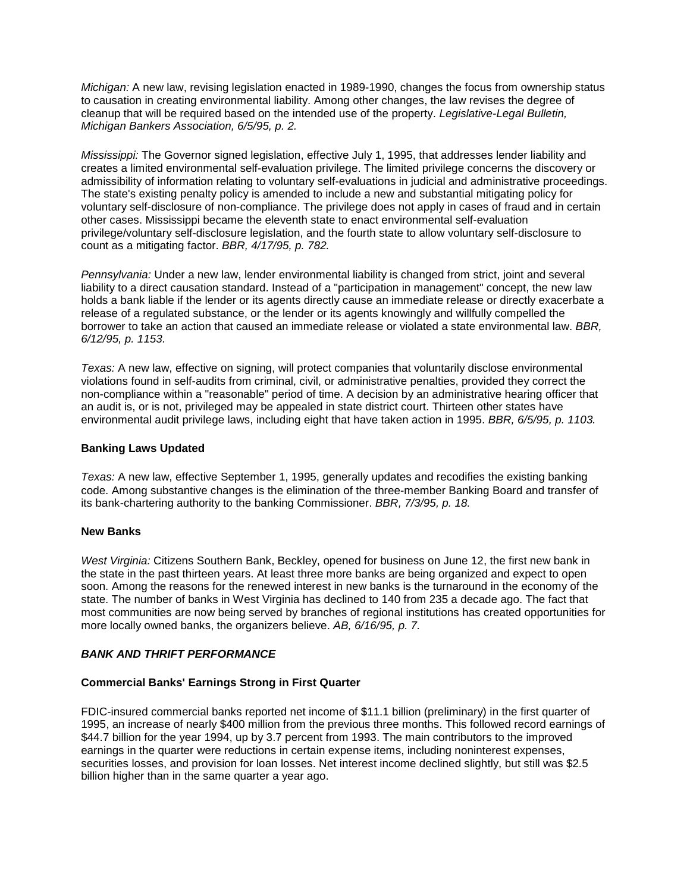*Michigan:* A new law, revising legislation enacted in 1989-1990, changes the focus from ownership status to causation in creating environmental liability. Among other changes, the law revises the degree of cleanup that will be required based on the intended use of the property. *Legislative-Legal Bulletin, Michigan Bankers Association, 6/5/95, p. 2.* 

 The state's existing penalty policy is amended to include a new and substantial mitigating policy for voluntary self-disclosure of non-compliance. The privilege does not apply in cases of fraud and in certain  count as a mitigating factor. *BBR, 4/17/95, p. 782. Mississippi:* The Governor signed legislation, effective July 1, 1995, that addresses lender liability and creates a limited environmental self-evaluation privilege. The limited privilege concerns the discovery or admissibility of information relating to voluntary self-evaluations in judicial and administrative proceedings. other cases. Mississippi became the eleventh state to enact environmental self-evaluation privilege/voluntary self-disclosure legislation, and the fourth state to allow voluntary self-disclosure to

 borrower to take an action that caused an immediate release or violated a state environmental law. *BBR, 6/12/95, p. 1153. Pennsylvania:* Under a new law, lender environmental liability is changed from strict, joint and several liability to a direct causation standard. Instead of a "participation in management" concept, the new law holds a bank liable if the lender or its agents directly cause an immediate release or directly exacerbate a release of a regulated substance, or the lender or its agents knowingly and willfully compelled the

 *Texas:* A new law, effective on signing, will protect companies that voluntarily disclose environmental  environmental audit privilege laws, including eight that have taken action in 1995. *BBR, 6/5/95, p. 1103.*  violations found in self-audits from criminal, civil, or administrative penalties, provided they correct the non-compliance within a "reasonable" period of time. A decision by an administrative hearing officer that an audit is, or is not, privileged may be appealed in state district court. Thirteen other states have

### **Banking Laws Updated**

 *Texas:* A new law, effective September 1, 1995, generally updates and recodifies the existing banking code. Among substantive changes is the elimination of the three-member Banking Board and transfer of its bank-chartering authority to the banking Commissioner. *BBR, 7/3/95, p. 18.* 

### **New Banks**

 the state in the past thirteen years. At least three more banks are being organized and expect to open  more locally owned banks, the organizers believe. *AB, 6/16/95, p. 7. West Virginia:* Citizens Southern Bank, Beckley, opened for business on June 12, the first new bank in soon. Among the reasons for the renewed interest in new banks is the turnaround in the economy of the state. The number of banks in West Virginia has declined to 140 from 235 a decade ago. The fact that most communities are now being served by branches of regional institutions has created opportunities for

# *BANK AND THRIFT PERFORMANCE*

### **Commercial Banks' Earnings Strong in First Quarter**

FDIC-insured commercial banks reported net income of \$11.1 billion (preliminary) in the first quarter of 1995, an increase of nearly \$400 million from the previous three months. This followed record earnings of \$44.7 billion for the year 1994, up by 3.7 percent from 1993. The main contributors to the improved earnings in the quarter were reductions in certain expense items, including noninterest expenses, securities losses, and provision for loan losses. Net interest income declined slightly, but still was \$2.5 billion higher than in the same quarter a year ago.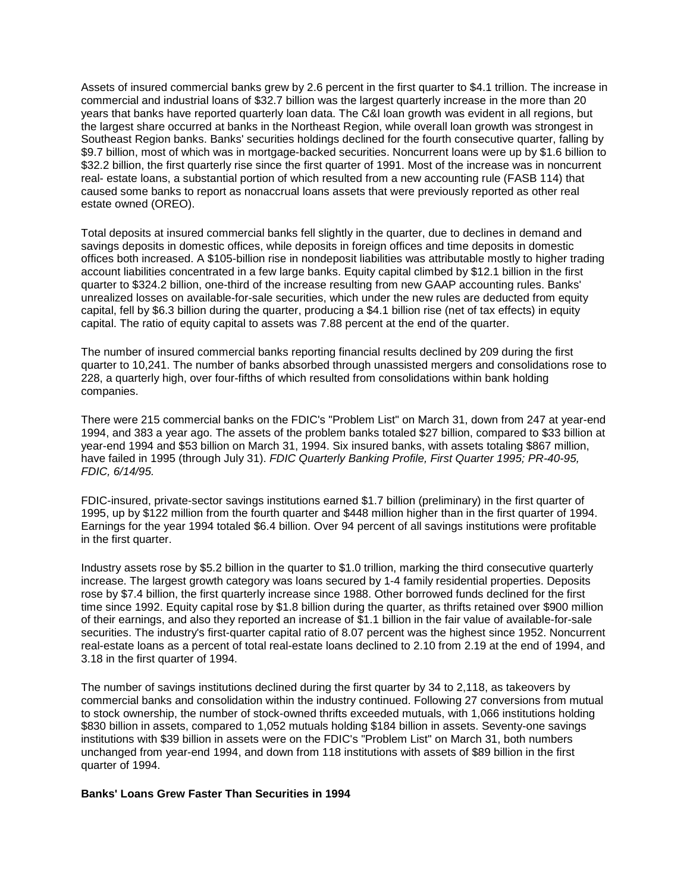years that banks have reported quarterly loan data. The C&I loan growth was evident in all regions, but caused some banks to report as nonaccrual loans assets that were previously reported as other real Assets of insured commercial banks grew by 2.6 percent in the first quarter to \$4.1 trillion. The increase in commercial and industrial loans of \$32.7 billion was the largest quarterly increase in the more than 20 the largest share occurred at banks in the Northeast Region, while overall loan growth was strongest in Southeast Region banks. Banks' securities holdings declined for the fourth consecutive quarter, falling by \$9.7 billion, most of which was in mortgage-backed securities. Noncurrent loans were up by \$1.6 billion to \$32.2 billion, the first quarterly rise since the first quarter of 1991. Most of the increase was in noncurrent real- estate loans, a substantial portion of which resulted from a new accounting rule (FASB 114) that estate owned (OREO).

 offices both increased. A \$105-billion rise in nondeposit liabilities was attributable mostly to higher trading capital. The ratio of equity capital to assets was 7.88 percent at the end of the quarter. Total deposits at insured commercial banks fell slightly in the quarter, due to declines in demand and savings deposits in domestic offices, while deposits in foreign offices and time deposits in domestic account liabilities concentrated in a few large banks. Equity capital climbed by \$12.1 billion in the first quarter to \$324.2 billion, one-third of the increase resulting from new GAAP accounting rules. Banks' unrealized losses on available-for-sale securities, which under the new rules are deducted from equity capital, fell by \$6.3 billion during the quarter, producing a \$4.1 billion rise (net of tax effects) in equity

 228, a quarterly high, over four-fifths of which resulted from consolidations within bank holding The number of insured commercial banks reporting financial results declined by 209 during the first quarter to 10,241. The number of banks absorbed through unassisted mergers and consolidations rose to companies.

 1994, and 383 a year ago. The assets of the problem banks totaled \$27 billion, compared to \$33 billion at year-end 1994 and \$53 billion on March 31, 1994. Six insured banks, with assets totaling \$867 million, There were 215 commercial banks on the FDIC's "Problem List" on March 31, down from 247 at year-end have failed in 1995 (through July 31). *FDIC Quarterly Banking Profile, First Quarter 1995; PR-40-95, FDIC, 6/14/95.* 

 Earnings for the year 1994 totaled \$6.4 billion. Over 94 percent of all savings institutions were profitable FDIC-insured, private-sector savings institutions earned \$1.7 billion (preliminary) in the first quarter of 1995, up by \$122 million from the fourth quarter and \$448 million higher than in the first quarter of 1994. in the first quarter.

Industry assets rose by \$5.2 billion in the quarter to \$1.0 trillion, marking the third consecutive quarterly increase. The largest growth category was loans secured by 1-4 family residential properties. Deposits rose by \$7.4 billion, the first quarterly increase since 1988. Other borrowed funds declined for the first time since 1992. Equity capital rose by \$1.8 billion during the quarter, as thrifts retained over \$900 million of their earnings, and also they reported an increase of \$1.1 billion in the fair value of available-for-sale securities. The industry's first-quarter capital ratio of 8.07 percent was the highest since 1952. Noncurrent real-estate loans as a percent of total real-estate loans declined to 2.10 from 2.19 at the end of 1994, and 3.18 in the first quarter of 1994.

 commercial banks and consolidation within the industry continued. Following 27 conversions from mutual institutions with \$39 billion in assets were on the FDIC's "Problem List" on March 31, both numbers unchanged from year-end 1994, and down from 118 institutions with assets of \$89 billion in the first quarter of 1994. The number of savings institutions declined during the first quarter by 34 to 2,118, as takeovers by to stock ownership, the number of stock-owned thrifts exceeded mutuals, with 1,066 institutions holding \$830 billion in assets, compared to 1,052 mutuals holding \$184 billion in assets. Seventy-one savings

### **Banks' Loans Grew Faster Than Securities in 1994**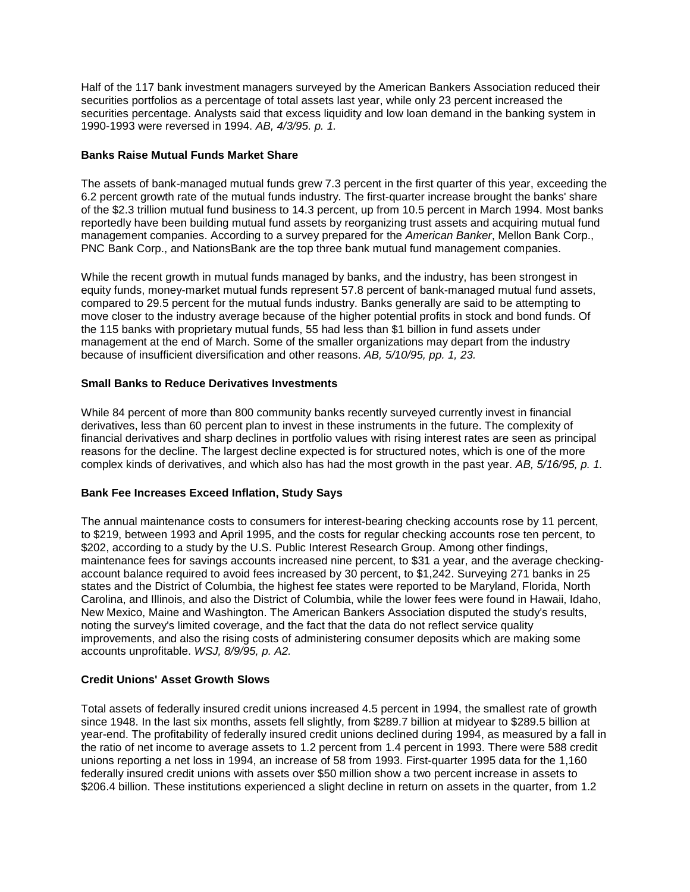securities portfolios as a percentage of total assets last year, while only 23 percent increased the  1990-1993 were reversed in 1994. *AB, 4/3/95. p. 1.*  Half of the 117 bank investment managers surveyed by the American Bankers Association reduced their securities percentage. Analysts said that excess liquidity and low loan demand in the banking system in

### **Banks Raise Mutual Funds Market Share**

 The assets of bank-managed mutual funds grew 7.3 percent in the first quarter of this year, exceeding the 6.2 percent growth rate of the mutual funds industry. The first-quarter increase brought the banks' share of the \$2.3 trillion mutual fund business to 14.3 percent, up from 10.5 percent in March 1994. Most banks reportedly have been building mutual fund assets by reorganizing trust assets and acquiring mutual fund management companies. According to a survey prepared for the *American Banker*, Mellon Bank Corp., PNC Bank Corp., and NationsBank are the top three bank mutual fund management companies.

 While the recent growth in mutual funds managed by banks, and the industry, has been strongest in  because of insufficient diversification and other reasons. *AB, 5/10/95, pp. 1, 23.*  equity funds, money-market mutual funds represent 57.8 percent of bank-managed mutual fund assets, compared to 29.5 percent for the mutual funds industry. Banks generally are said to be attempting to move closer to the industry average because of the higher potential profits in stock and bond funds. Of the 115 banks with proprietary mutual funds, 55 had less than \$1 billion in fund assets under management at the end of March. Some of the smaller organizations may depart from the industry

# **Small Banks to Reduce Derivatives Investments**

 While 84 percent of more than 800 community banks recently surveyed currently invest in financial  complex kinds of derivatives, and which also has had the most growth in the past year. *AB, 5/16/95, p. 1.*  derivatives, less than 60 percent plan to invest in these instruments in the future. The complexity of financial derivatives and sharp declines in portfolio values with rising interest rates are seen as principal reasons for the decline. The largest decline expected is for structured notes, which is one of the more

# **Bank Fee Increases Exceed Inflation, Study Says**

 \$202, according to a study by the U.S. Public Interest Research Group. Among other findings, New Mexico, Maine and Washington. The American Bankers Association disputed the study's results, The annual maintenance costs to consumers for interest-bearing checking accounts rose by 11 percent, to \$219, between 1993 and April 1995, and the costs for regular checking accounts rose ten percent, to maintenance fees for savings accounts increased nine percent, to \$31 a year, and the average checkingaccount balance required to avoid fees increased by 30 percent, to \$1,242. Surveying 271 banks in 25 states and the District of Columbia, the highest fee states were reported to be Maryland, Florida, North Carolina, and Illinois, and also the District of Columbia, while the lower fees were found in Hawaii, Idaho, noting the survey's limited coverage, and the fact that the data do not reflect service quality improvements, and also the rising costs of administering consumer deposits which are making some accounts unprofitable. *WSJ, 8/9/95, p. A2.* 

### **Credit Unions' Asset Growth Slows**

 year-end. The profitability of federally insured credit unions declined during 1994, as measured by a fall in Total assets of federally insured credit unions increased 4.5 percent in 1994, the smallest rate of growth since 1948. In the last six months, assets fell slightly, from \$289.7 billion at midyear to \$289.5 billion at the ratio of net income to average assets to 1.2 percent from 1.4 percent in 1993. There were 588 credit unions reporting a net loss in 1994, an increase of 58 from 1993. First-quarter 1995 data for the 1,160 federally insured credit unions with assets over \$50 million show a two percent increase in assets to \$206.4 billion. These institutions experienced a slight decline in return on assets in the quarter, from 1.2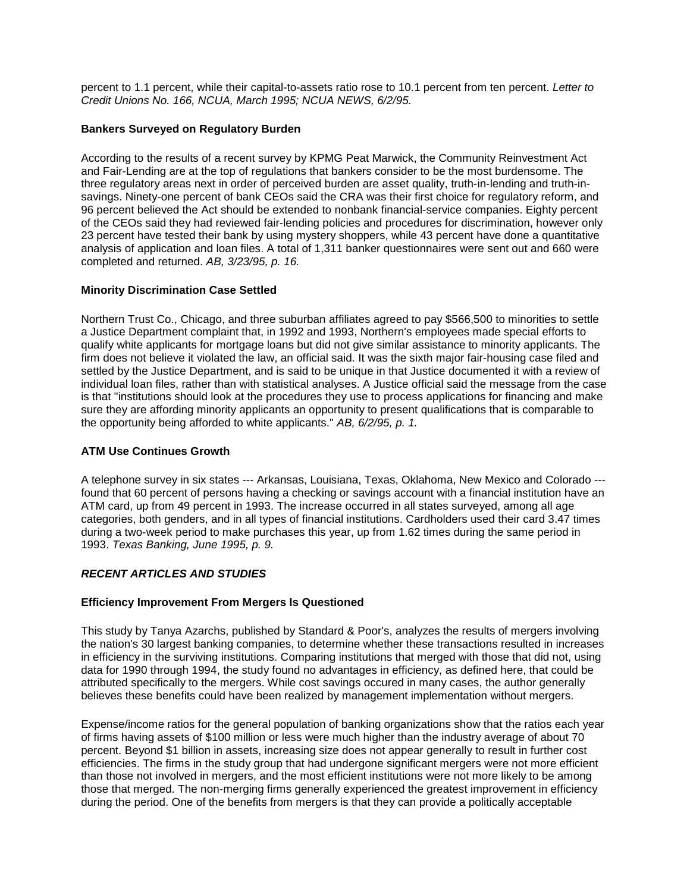percent to 1.1 percent, while their capital-to-assets ratio rose to 10.1 percent from ten percent. *Letter to Credit Unions No. 166, NCUA, March 1995; NCUA NEWS, 6/2/95.* 

## **Bankers Surveyed on Regulatory Burden**

 According to the results of a recent survey by KPMG Peat Marwick, the Community Reinvestment Act analysis of application and loan files. A total of 1,311 banker questionnaires were sent out and 660 were  completed and returned. *AB, 3/23/95, p. 16.*  and Fair-Lending are at the top of regulations that bankers consider to be the most burdensome. The three regulatory areas next in order of perceived burden are asset quality, truth-in-lending and truth-insavings. Ninety-one percent of bank CEOs said the CRA was their first choice for regulatory reform, and 96 percent believed the Act should be extended to nonbank financial-service companies. Eighty percent of the CEOs said they had reviewed fair-lending policies and procedures for discrimination, however only 23 percent have tested their bank by using mystery shoppers, while 43 percent have done a quantitative

# **Minority Discrimination Case Settled**

 the opportunity being afforded to white applicants." *AB, 6/2/95, p. 1.*  Northern Trust Co., Chicago, and three suburban affiliates agreed to pay \$566,500 to minorities to settle a Justice Department complaint that, in 1992 and 1993, Northern's employees made special efforts to qualify white applicants for mortgage loans but did not give similar assistance to minority applicants. The firm does not believe it violated the law, an official said. It was the sixth major fair-housing case filed and settled by the Justice Department, and is said to be unique in that Justice documented it with a review of individual loan files, rather than with statistical analyses. A Justice official said the message from the case is that "institutions should look at the procedures they use to process applications for financing and make sure they are affording minority applicants an opportunity to present qualifications that is comparable to

## **ATM Use Continues Growth**

A telephone survey in six states --- Arkansas, Louisiana, Texas, Oklahoma, New Mexico and Colorado - found that 60 percent of persons having a checking or savings account with a financial institution have an ATM card, up from 49 percent in 1993. The increase occurred in all states surveyed, among all age categories, both genders, and in all types of financial institutions. Cardholders used their card 3.47 times during a two-week period to make purchases this year, up from 1.62 times during the same period in 1993. *Texas Banking, June 1995, p. 9.* 

# *RECENT ARTICLES AND STUDIES*

# **Efficiency Improvement From Mergers Is Questioned**

 in efficiency in the surviving institutions. Comparing institutions that merged with those that did not, using This study by Tanya Azarchs, published by Standard & Poor's, analyzes the results of mergers involving the nation's 30 largest banking companies, to determine whether these transactions resulted in increases data for 1990 through 1994, the study found no advantages in efficiency, as defined here, that could be attributed specifically to the mergers. While cost savings occured in many cases, the author generally believes these benefits could have been realized by management implementation without mergers.

 percent. Beyond \$1 billion in assets, increasing size does not appear generally to result in further cost Expense/income ratios for the general population of banking organizations show that the ratios each year of firms having assets of \$100 million or less were much higher than the industry average of about 70 efficiencies. The firms in the study group that had undergone significant mergers were not more efficient than those not involved in mergers, and the most efficient institutions were not more likely to be among those that merged. The non-merging firms generally experienced the greatest improvement in efficiency during the period. One of the benefits from mergers is that they can provide a politically acceptable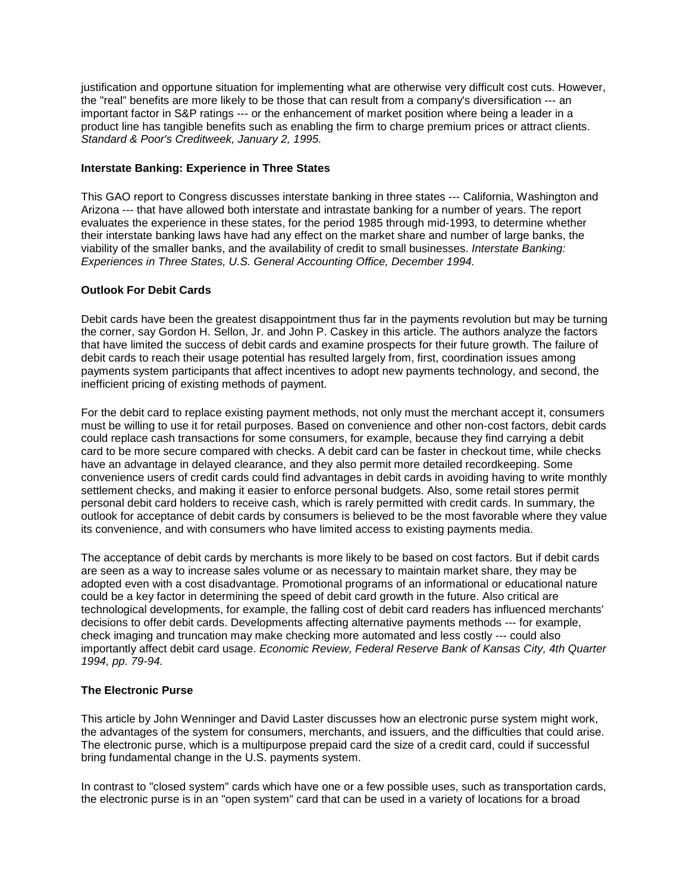important factor in S&P ratings --- or the enhancement of market position where being a leader in a justification and opportune situation for implementing what are otherwise very difficult cost cuts. However, the "real" benefits are more likely to be those that can result from a company's diversification --- an product line has tangible benefits such as enabling the firm to charge premium prices or attract clients. *Standard & Poor's Creditweek, January 2, 1995.* 

### **Interstate Banking: Experience in Three States**

This GAO report to Congress discusses interstate banking in three states --- California, Washington and Arizona --- that have allowed both interstate and intrastate banking for a number of years. The report evaluates the experience in these states, for the period 1985 through mid-1993, to determine whether their interstate banking laws have had any effect on the market share and number of large banks, the viability of the smaller banks, and the availability of credit to small businesses. *Interstate Banking: Experiences in Three States, U.S. General Accounting Office, December 1994.* 

## **Outlook For Debit Cards**

Debit cards have been the greatest disappointment thus far in the payments revolution but may be turning the corner, say Gordon H. Sellon, Jr. and John P. Caskey in this article. The authors analyze the factors that have limited the success of debit cards and examine prospects for their future growth. The failure of debit cards to reach their usage potential has resulted largely from, first, coordination issues among payments system participants that affect incentives to adopt new payments technology, and second, the inefficient pricing of existing methods of payment.

 have an advantage in delayed clearance, and they also permit more detailed recordkeeping. Some settlement checks, and making it easier to enforce personal budgets. Also, some retail stores permit its convenience, and with consumers who have limited access to existing payments media. For the debit card to replace existing payment methods, not only must the merchant accept it, consumers must be willing to use it for retail purposes. Based on convenience and other non-cost factors, debit cards could replace cash transactions for some consumers, for example, because they find carrying a debit card to be more secure compared with checks. A debit card can be faster in checkout time, while checks convenience users of credit cards could find advantages in debit cards in avoiding having to write monthly personal debit card holders to receive cash, which is rarely permitted with credit cards. In summary, the outlook for acceptance of debit cards by consumers is believed to be the most favorable where they value

The acceptance of debit cards by merchants is more likely to be based on cost factors. But if debit cards are seen as a way to increase sales volume or as necessary to maintain market share, they may be adopted even with a cost disadvantage. Promotional programs of an informational or educational nature could be a key factor in determining the speed of debit card growth in the future. Also critical are technological developments, for example, the falling cost of debit card readers has influenced merchants' decisions to offer debit cards. Developments affecting alternative payments methods --- for example, check imaging and truncation may make checking more automated and less costly --- could also importantly affect debit card usage. *Economic Review, Federal Reserve Bank of Kansas City, 4th Quarter 1994, pp. 79-94.* 

# **The Electronic Purse**

 This article by John Wenninger and David Laster discusses how an electronic purse system might work, the advantages of the system for consumers, merchants, and issuers, and the difficulties that could arise. The electronic purse, which is a multipurpose prepaid card the size of a credit card, could if successful bring fundamental change in the U.S. payments system.

In contrast to "closed system" cards which have one or a few possible uses, such as transportation cards, the electronic purse is in an "open system" card that can be used in a variety of locations for a broad